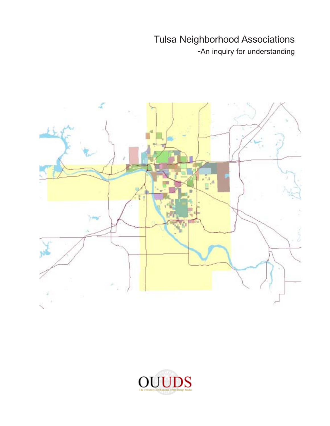-An inquiry for understanding



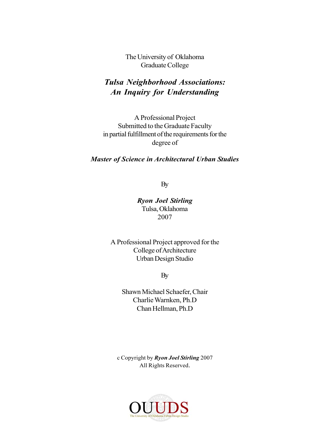The University of Oklahoma Graduate College

#### *Tulsa Neighborhood Associations: An Inquiry for Understanding*

A Professional Project Submitted to the Graduate Faculty in partial fulfillment of the requirements for the degree of

#### *Master of Science in Architectural Urban Studies*

By

*Ryon Joel Stirling* Tulsa, Oklahoma 2007

A Professional Project approved for the College of Architecture Urban Design Studio

By

Shawn Michael Schaefer, Chair Charlie Warnken, Ph.D Chan Hellman, Ph.D

c Copyright by *Ryon Joel Stirling* 2007 All Rights Reserved.

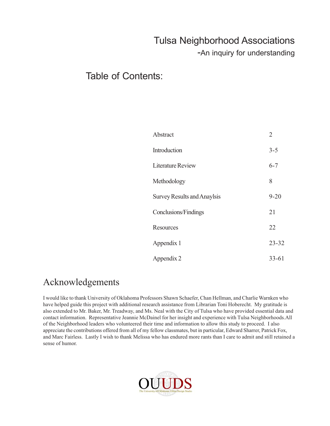-An inquiry for understanding

#### Table of Contents:

| Abstract                           | $\overline{2}$ |
|------------------------------------|----------------|
| Introduction                       | $3 - 5$        |
| <b>Literature Review</b>           | $6 - 7$        |
| Methodology                        | 8              |
| <b>Survey Results and Anaylsis</b> | $9 - 20$       |
| Conclusions/Findings               | 21             |
| Resources                          | 22             |
| Appendix 1                         | $23 - 32$      |
| Appendix 2                         | $33 - 61$      |

### Acknowledgements

I would like to thank University of Oklahoma Professors Shawn Schaefer, Chan Hellman, and Charlie Warnken who have helped guide this project with additional research assistance from Librarian Toni Hoberecht. My gratitude is also extended to Mr. Baker, Mr. Treadway, and Ms. Neal with the City of Tulsa who have provided essential data and contact information. Representative Jeannie McDainel for her insight and experience with Tulsa Neighborhoods.All of the Neighborhood leaders who volunteered their time and information to allow this study to proceed. I also appreciate the contributions offered from all of my fellow classmates, but in particular, Edward Sharrer, Patrick Fox, and Marc Fairless. Lastly I wish to thank Melissa who has endured more rants than I care to admit and still retained a sense of humor.

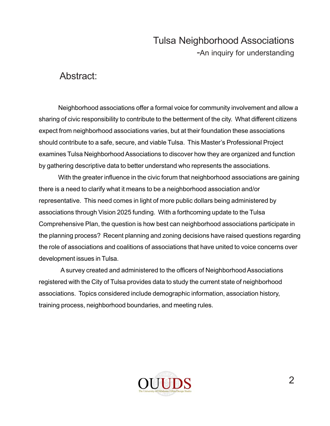#### Abstract:

Neighborhood associations offer a formal voice for community involvement and allow a sharing of civic responsibility to contribute to the betterment of the city. What different citizens expect from neighborhood associations varies, but at their foundation these associations should contribute to a safe, secure, and viable Tulsa. This Master's Professional Project examines Tulsa Neighborhood Associations to discover how they are organized and function by gathering descriptive data to better understand who represents the associations.

With the greater influence in the civic forum that neighborhood associations are gaining there is a need to clarify what it means to be a neighborhood association and/or representative. This need comes in light of more public dollars being administered by associations through Vision 2025 funding. With a forthcoming update to the Tulsa Comprehensive Plan, the question is how best can neighborhood associations participate in the planning process? Recent planning and zoning decisions have raised questions regarding the role of associations and coalitions of associations that have united to voice concerns over development issues in Tulsa.

 A survey created and administered to the officers of Neighborhood Associations registered with the City of Tulsa provides data to study the current state of neighborhood associations. Topics considered include demographic information, association history, training process, neighborhood boundaries, and meeting rules.

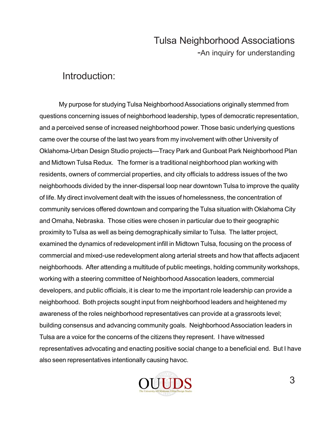#### Introduction:

My purpose for studying Tulsa Neighborhood Associations originally stemmed from questions concerning issues of neighborhood leadership, types of democratic representation, and a perceived sense of increased neighborhood power. Those basic underlying questions came over the course of the last two years from my involvement with other University of Oklahoma-Urban Design Studio projects—Tracy Park and Gunboat Park Neighborhood Plan and Midtown Tulsa Redux. The former is a traditional neighborhood plan working with residents, owners of commercial properties, and city officials to address issues of the two neighborhoods divided by the inner-dispersal loop near downtown Tulsa to improve the quality of life. My direct involvement dealt with the issues of homelessness, the concentration of community services offered downtown and comparing the Tulsa situation with Oklahoma City and Omaha, Nebraska. Those cities were chosen in particular due to their geographic proximity to Tulsa as well as being demographically similar to Tulsa. The latter project, examined the dynamics of redevelopment infill in Midtown Tulsa, focusing on the process of commercial and mixed-use redevelopment along arterial streets and how that affects adjacent neighborhoods. After attending a multitude of public meetings, holding community workshops, working with a steering committee of Neighborhood Assocation leaders, commercial developers, and public officials, it is clear to me the important role leadership can provide a neighborhood. Both projects sought input from neighborhood leaders and heightened my awareness of the roles neighborhood representatives can provide at a grassroots level; building consensus and advancing community goals. Neighborhood Association leaders in Tulsa are a voice for the concerns of the citizens they represent. I have witnessed representatives advocating and enacting positive social change to a beneficial end. But I have also seen representatives intentionally causing havoc.

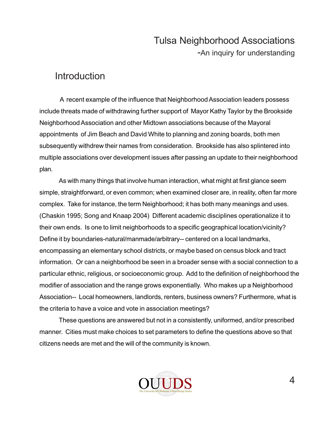#### **Introduction**

 A recent example of the influence that Neighborhood Association leaders possess include threats made of withdrawing further support of Mayor Kathy Taylor by the Brookside Neighborhood Association and other Midtown associations because of the Mayoral appointments of Jim Beach and David White to planning and zoning boards, both men subsequently withdrew their names from consideration. Brookside has also splintered into multiple associations over development issues after passing an update to their neighborhood plan.

As with many things that involve human interaction, what might at first glance seem simple, straightforward, or even common; when examined closer are, in reality, often far more complex. Take for instance, the term Neighborhood; it has both many meanings and uses. (Chaskin 1995; Song and Knaap 2004) Different academic disciplines operationalize it to their own ends. Is one to limit neighborhoods to a specific geographical location/vicinity? Define it by boundaries-natural/manmade/arbitrary-- centered on a local landmarks, encompassing an elementary school districts, or maybe based on census block and tract information. Or can a neighborhood be seen in a broader sense with a social connection to a particular ethnic, religious, or socioeconomic group. Add to the definition of neighborhood the modifier of association and the range grows exponentially. Who makes up a Neighborhood Association-- Local homeowners, landlords, renters, business owners? Furthermore, what is the criteria to have a voice and vote in association meetings?

These questions are answered but not in a consistently, uniformed, and/or prescribed manner. Cities must make choices to set parameters to define the questions above so that citizens needs are met and the will of the community is known.

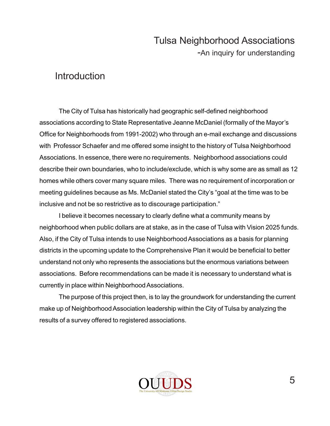-An inquiry for understanding

#### **Introduction**

The City of Tulsa has historically had geographic self-defined neighborhood associations according to State Representative Jeanne McDaniel (formally of the Mayor's Office for Neighborhoods from 1991-2002) who through an e-mail exchange and discussions with Professor Schaefer and me offered some insight to the history of Tulsa Neighborhood Associations. In essence, there were no requirements. Neighborhood associations could describe their own boundaries, who to include/exclude, which is why some are as small as 12 homes while others cover many square miles. There was no requirement of incorporation or meeting guidelines because as Ms. McDaniel stated the City's "goal at the time was to be inclusive and not be so restrictive as to discourage participation."

I believe it becomes necessary to clearly define what a community means by neighborhood when public dollars are at stake, as in the case of Tulsa with Vision 2025 funds. Also, if the City of Tulsa intends to use Neighborhood Associations as a basis for planning districts in the upcoming update to the Comprehensive Plan it would be beneficial to better understand not only who represents the associations but the enormous variations between associations. Before recommendations can be made it is necessary to understand what is currently in place within Neighborhood Associations.

The purpose of this project then, is to lay the groundwork for understanding the current make up of Neighborhood Association leadership within the City of Tulsa by analyzing the results of a survey offered to registered associations.

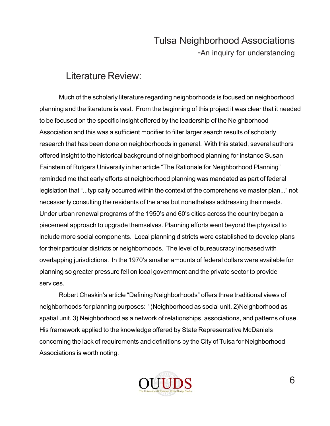### Literature Review:

Much of the scholarly literature regarding neighborhoods is focused on neighborhood planning and the literature is vast. From the beginning of this project it was clear that it needed to be focused on the specific insight offered by the leadership of the Neighborhood Association and this was a sufficient modifier to filter larger search results of scholarly research that has been done on neighborhoods in general. With this stated, several authors offered insight to the historical background of neighborhood planning for instance Susan Fainstein of Rutgers University in her article "The Rationale for Neighborhood Planning" reminded me that early efforts at neighborhood planning was mandated as part of federal legislation that "...typically occurred within the context of the comprehensive master plan..." not necessarily consulting the residents of the area but nonetheless addressing their needs. Under urban renewal programs of the 1950's and 60's cities across the country began a piecemeal approach to upgrade themselves. Planning efforts went beyond the physical to include more social components. Local planning districts were established to develop plans for their particular districts or neighborhoods. The level of bureaucracy increased with overlapping jurisdictions. In the 1970's smaller amounts of federal dollars were available for planning so greater pressure fell on local government and the private sector to provide services.

Robert Chaskin's article "Defining Neighborhoods" offers three traditional views of neighborhoods for planning purposes: 1)Neighborhood as social unit. 2)Neighborhood as spatial unit. 3) Neighborhood as a network of relationships, associations, and patterns of use. His framework applied to the knowledge offered by State Representative McDaniels concerning the lack of requirements and definitions by the City of Tulsa for Neighborhood Associations is worth noting.

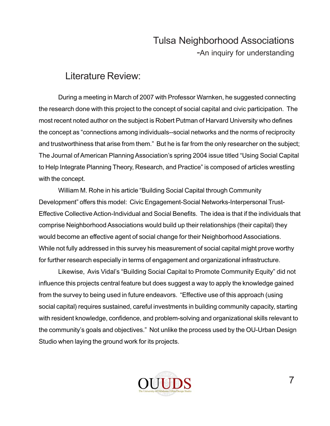### Literature Review:

During a meeting in March of 2007 with Professor Warnken, he suggested connecting the research done with this project to the concept of social capital and civic participation. The most recent noted author on the subject is Robert Putman of Harvard University who defines the concept as "connections among individuals--social networks and the norms of reciprocity and trustworthiness that arise from them." But he is far from the only researcher on the subject; The Journal of American Planning Association's spring 2004 issue titled "Using Social Capital to Help Integrate Planning Theory, Research, and Practice" is composed of articles wrestling with the concept.

William M. Rohe in his article "Building Social Capital through Community Development" offers this model: Civic Engagement-Social Networks-Interpersonal Trust-Effective Collective Action-Individual and Social Benefits. The idea is that if the individuals that comprise Neighborhood Associations would build up their relationships (their capital) they would become an effective agent of social change for their Neighborhood Associations. While not fully addressed in this survey his measurement of social capital might prove worthy for further research especially in terms of engagement and organizational infrastructure.

Likewise, Avis Vidal's "Building Social Capital to Promote Community Equity" did not influence this projects central feature but does suggest a way to apply the knowledge gained from the survey to being used in future endeavors. "Effective use of this approach (using social capital) requires sustained, careful investments in building community capacity, starting with resident knowledge, confidence, and problem-solving and organizational skills relevant to the community's goals and objectives." Not unlike the process used by the OU-Urban Design Studio when laying the ground work for its projects.

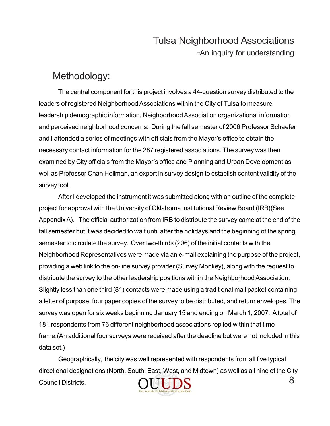#### Methodology:

The central component for this project involves a 44-question survey distributed to the leaders of registered Neighborhood Associations within the City of Tulsa to measure leadership demographic information, Neighborhood Association organizational information and perceived neighborhood concerns. During the fall semester of 2006 Professor Schaefer and I attended a series of meetings with officials from the Mayor's office to obtain the necessary contact information for the 287 registered associations. The survey was then examined by City officials from the Mayor's office and Planning and Urban Development as well as Professor Chan Hellman, an expert in survey design to establish content validity of the survey tool.

After I developed the instrument it was submitted along with an outline of the complete project for approval with the University of Oklahoma Institutional Review Board (IRB)(See Appendix A). The official authorization from IRB to distribute the survey came at the end of the fall semester but it was decided to wait until after the holidays and the beginning of the spring semester to circulate the survey. Over two-thirds (206) of the initial contacts with the Neighborhood Representatives were made via an e-mail explaining the purpose of the project, providing a web link to the on-line survey provider (Survey Monkey), along with the request to distribute the survey to the other leadership positions within the Neighborhood Association. Slightly less than one third (81) contacts were made using a traditional mail packet containing a letter of purpose, four paper copies of the survey to be distributed, and return envelopes. The survey was open for six weeks beginning January 15 and ending on March 1, 2007. A total of 181 respondents from 76 different neighborhood associations replied within that time frame.(An additional four surveys were received after the deadline but were not included in this data set.)

Geographically, the city was well represented with respondents from all five typical directional designations (North, South, East, West, and Midtown) as well as all nine of the City 8 **UUDS** Council Districts.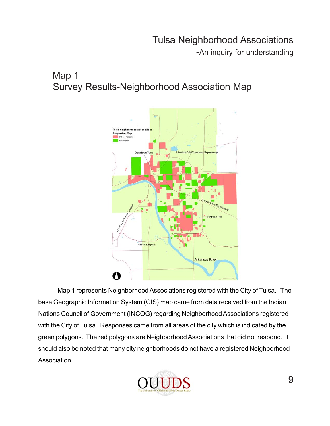-An inquiry for understanding

## Map 1 Survey Results-Neighborhood Association Map



Map 1 represents Neighborhood Associations registered with the City of Tulsa. The base Geographic Information System (GIS) map came from data received from the Indian Nations Council of Government (INCOG) regarding Neighborhood Associations registered with the City of Tulsa. Responses came from all areas of the city which is indicated by the green polygons. The red polygons are Neighborhood Associations that did not respond. It should also be noted that many city neighborhoods do not have a registered Neighborhood Association.

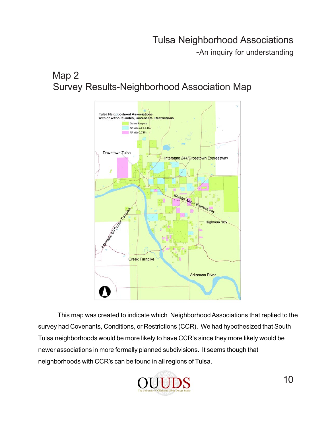-An inquiry for understanding

## Map 2 Survey Results-Neighborhood Association Map



This map was created to indicate which Neighborhood Associations that replied to the survey had Covenants, Conditions, or Restrictions (CCR). We had hypothesized that South Tulsa neighborhoods would be more likely to have CCR's since they more likely would be newer associations in more formally planned subdivisions. It seems though that neighborhoods with CCR's can be found in all regions of Tulsa.

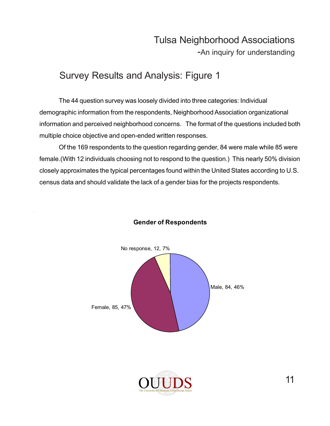-An inquiry for understanding

## Survey Results and Analysis: Figure 1

The 44 question survey was loosely divided into three categories: Individual demographic information from the respondents, Neighborhood Association organizational information and perceived neighborhood concerns. The format of the questions included both multiple choice objective and open-ended written responses.

Of the 169 respondents to the question regarding gender, 84 were male while 85 were female.(With 12 individuals choosing not to respond to the question.) This nearly 50% division closely approximates the typical percentages found within the United States according to U.S. census data and should validate the lack of a gender bias for the projects respondents.



#### **Gender of Respondents**

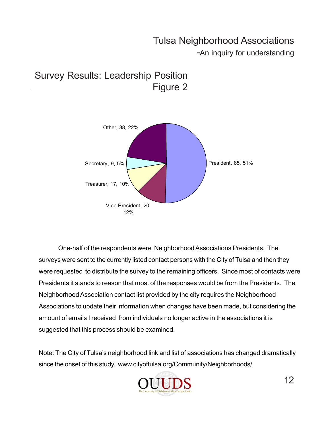-An inquiry for understanding





One-half of the respondents were Neighborhood Associations Presidents. The surveys were sent to the currently listed contact persons with the City of Tulsa and then they were requested to distribute the survey to the remaining officers. Since most of contacts were Presidents it stands to reason that most of the responses would be from the Presidents. The Neighborhood Association contact list provided by the city requires the Neighborhood Associations to update their information when changes have been made, but considering the amount of emails I received from individuals no longer active in the associations it is suggested that this process should be examined.

Note: The City of Tulsa's neighborhood link and list of associations has changed dramatically since the onset of this study. www.cityoftulsa.org/Community/Neighborhoods/

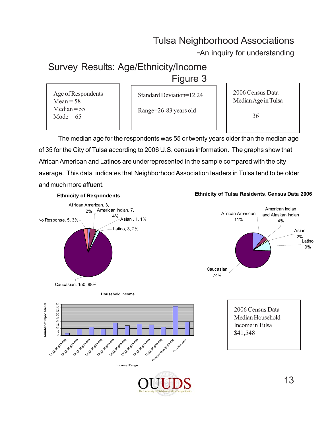-An inquiry for understanding

## Survey Results: Age/Ethnicity/Income

#### Figure 3

Standard Deviation=12.24

Range=26-83 years old

2006 Census Data Median Age in Tulsa

36

The median age for the respondents was 55 or twenty years older than the median age of 35 for the City of Tulsa according to 2006 U.S. census information. The graphs show that African American and Latinos are underrepresented in the sample compared with the city average. This data indicates that Neighborhood Association leaders in Tulsa tend to be older and much more affuent.

#### **Ethnicity of Respondents**



**Ethnicity of Tulsa Residents, Census Data 2006**





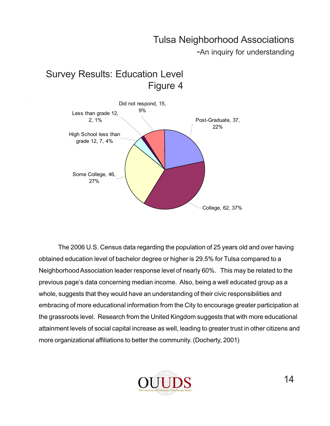-An inquiry for understanding



Survey Results: Education Level

The 2006 U.S. Census data regarding the population of 25 years old and over having obtained education level of bachelor degree or higher is 29.5% for Tulsa compared to a Neighborhood Association leader response level of nearly 60%. This may be related to the previous page's data concerning median income. Also, being a well educated group as a whole, suggests that they would have an understanding of their civic responsibilities and embracing of more educational information from the City to encourage greater participation at the grassroots level. Research from the United Kingdom suggests that with more educational attainment levels of social capital increase as well, leading to greater trust in other citizens and more organizational affiliations to better the community. (Docherty, 2001)

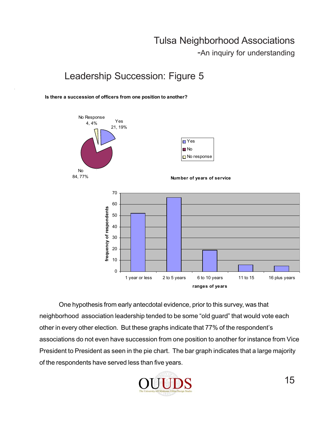-An inquiry for understanding

### Leadership Succession: Figure 5

**Is there a succession of officers from one position to another?**



One hypothesis from early antecdotal evidence, prior to this survey, was that neighborhood association leadership tended to be some "old guard" that would vote each other in every other election. But these graphs indicate that 77% of the respondent's associations do not even have succession from one position to another for instance from Vice President to President as seen in the pie chart. The bar graph indicates that a large majority of the respondents have served less than five years.

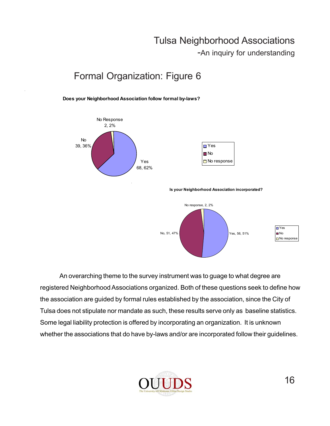-An inquiry for understanding

## Formal Organization: Figure 6

**Does your Neighborhood Association follow formal by-laws?**



| $\blacksquare$ Yes |
|--------------------|
| <b>π</b> No        |
| $\Box$ No response |

**Is your Neighborhood Association incorporated?**



An overarching theme to the survey instrument was to guage to what degree are registered Neighborhood Associations organized. Both of these questions seek to define how the association are guided by formal rules established by the association, since the City of Tulsa does not stipulate nor mandate as such, these results serve only as baseline statistics. Some legal liability protection is offered by incorporating an organization. It is unknown whether the associations that do have by-laws and/or are incorporated follow their guidelines.

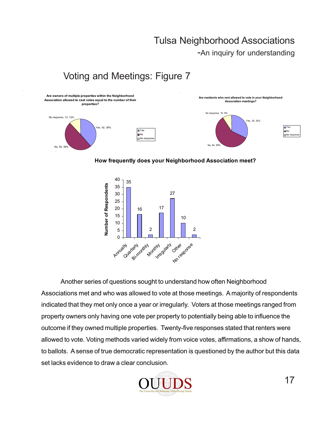-An inquiry for understanding

## Voting and Meetings: Figure 7



**How frequently does your Neighborhood Association meet?**



Another series of questions sought to understand how often Neighborhood Associations met and who was allowed to vote at those meetings. A majority of respondents indicated that they met only once a year or irregularly. Voters at those meetings ranged from property owners only having one vote per property to potentially being able to influence the outcome if they owned multiple properties. Twenty-five responses stated that renters were allowed to vote. Voting methods varied widely from voice votes, affirmations, a show of hands, to ballots. A sense of true democratic representation is questioned by the author but this data set lacks evidence to draw a clear conclusion.

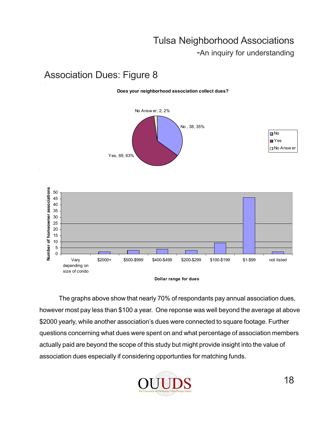-An inquiry for understanding

### Association Dues: Figure 8

#### **Does your neighborhood association collect dues?**



| ı No                      |
|---------------------------|
| ∣Yes                      |
| <mark>⊓</mark> No Answ er |





The graphs above show that nearly 70% of respondants pay annual association dues, however most pay less than \$100 a year. One reponse was well beyond the average at above \$2000 yearly, while another association's dues were connected to square footage. Further questions concerning what dues were spent on and what percentage of association members actually paid are beyond the scope of this study but might provide insight into the value of association dues especially if considering opportunties for matching funds.

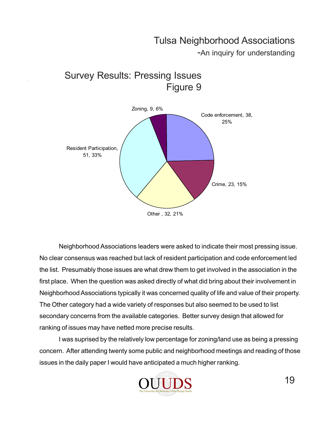-An inquiry for understanding



Survey Results: Pressing Issues

Neighborhood Associations leaders were asked to indicate their most pressing issue. No clear consensus was reached but lack of resident participation and code enforcement led the list. Presumably those issues are what drew them to get involved in the association in the first place. When the question was asked directly of what did bring about their involvement in Neighborhood Associations typically it was concerned quality of life and value of their property. The Other category had a wide variety of responses but also seemed to be used to list secondary concerns from the available categories. Better survey design that allowed for ranking of issues may have netted more precise results.

I was suprised by the relatively low percentage for zoning/land use as being a pressing concern. After attending twenty some public and neighborhood meetings and reading of those issues in the daily paper I would have anticipated a much higher ranking.

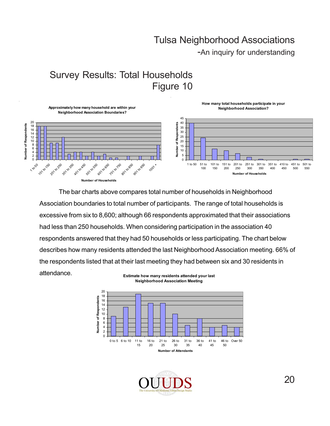-An inquiry for understanding

## Survey Results: Total Households Figure 10



The bar charts above compares total number of households in Neighborhood Association boundaries to total number of participants. The range of total households is excessive from six to 8,600; although 66 respondents approximated that their associations had less than 250 households. When considering participation in the association 40 respondents answered that they had 50 households or less participating. The chart below describes how many residents attended the last Neighborhood Association meeting. 66% of the respondents listed that at their last meeting they had between six and 30 residents in attendance. **Estimate how many residents attended your last** 



**Neighborhood Association Meeting**

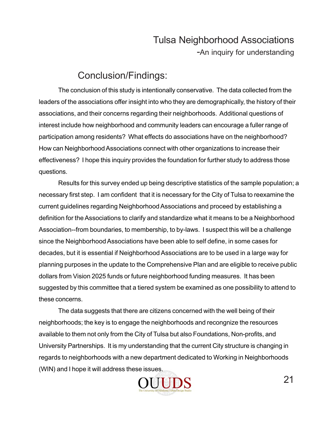#### Conclusion/Findings:

The conclusion of this study is intentionally conservative. The data collected from the leaders of the associations offer insight into who they are demographically, the history of their associations, and their concerns regarding their neighborhoods. Additional questions of interest include how neighborhood and community leaders can encourage a fuller range of participation among residents? What effects do associations have on the neighborhood? How can Neighborhood Associations connect with other organizations to increase their effectiveness? I hope this inquiry provides the foundation for further study to address those questions.

Results for this survey ended up being descriptive statistics of the sample population; a necessary first step. I am confident that it is necessary for the City of Tulsa to reexamine the current guidelines regarding Neighborhood Associations and proceed by establishing a definition for the Associations to clarify and standardize what it means to be a Neighborhood Association--from boundaries, to membership, to by-laws. I suspect this will be a challenge since the Neighborhood Associations have been able to self define, in some cases for decades, but it is essential if Neighborhood Associations are to be used in a large way for planning purposes in the update to the Comprehensive Plan and are eligible to receive public dollars from Vision 2025 funds or future neighborhood funding measures. It has been suggested by this committee that a tiered system be examined as one possibility to attend to these concerns.

The data suggests that there are citizens concerned with the well being of their neighborhoods; the key is to engage the neighborhoods and recongnize the resources available to them not only from the City of Tulsa but also Foundations, Non-profits, and University Partnerships. It is my understanding that the current City structure is changing in regards to neighborhoods with a new department dedicated to Working in Neighborhoods (WIN) and I hope it will address these issues.

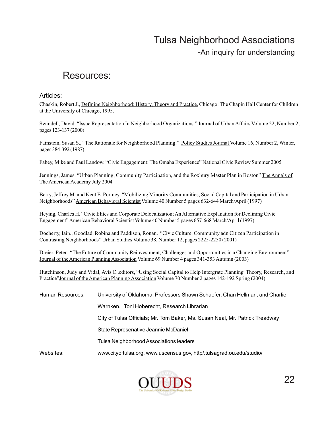-An inquiry for understanding

#### Resources:

#### Articles:

Chaskin, Robert J., Defining Neighborhood: History, Theory and Practice. Chicago: The Chapin Hall Center for Children at the University of Chicago, 1995.

Swindell, David. "Issue Representation In Neighborhood Organizations." Journal of Urban Affairs Volume 22, Number 2, pages 123-137 (2000)

Fainstein, Susan S., "The Rationale for Neighborhood Planning." Policy Studies Journal Volume 16, Number 2, Winter, pages 384-392 (1987)

Fahey, Mike and Paul Landow. "Civic Engagement: The Omaha Experience" National Civic Review Summer 2005

Jennings, James. "Urban Planning, Community Participation, and the Roxbury Master Plan in Boston" The Annals of The American Academy July 2004

Berry, Jeffrey M. and Kent E. Portney. "Mobilizing Minority Communities; Social Capital and Participation in Urban Neighborhoods" American Behavioral Scientist Volume 40 Number 5 pages 632-644 March/April (1997)

Heying, Charles H. "Civic Elites and Corporate Delocalization; An Alternative Explanation for Declining Civic Engagement" American Behavioral Scientist Volume 40 Number 5 pages 657-668 March/April (1997)

Docherty, Iain., Goodlad, Robina and Paddison, Ronan. "Civic Culture, Community adn Citizen Participation in Contrasting Neighborhoods" Urban Studies Volume 38, Number 12, pages 2225-2250 (2001)

Dreier, Peter. "The Future of Community Reinvestment; Challenges and Opportunities in a Changing Environment" Journal of the American Planning Association Volume 69 Number 4 pages 341-353 Autumn (2003)

Hutchinson, Judy and Vidal, Avis C.,editors, "Using Social Capital to Help Intergrate Planning Theory, Research, and Practice"Journal of the American Planning Association Volume 70 Number 2 pages 142-192 Spring (2004)

| Human Resources: | University of Oklahoma; Professors Shawn Schaefer, Chan Hellman, and Charlie |  |  |  |  |
|------------------|------------------------------------------------------------------------------|--|--|--|--|
|                  | Warnken. Toni Hoberecht, Research Librarian                                  |  |  |  |  |
|                  | City of Tulsa Officials; Mr. Tom Baker, Ms. Susan Neal, Mr. Patrick Treadway |  |  |  |  |
|                  | State Represenative Jeannie McDaniel                                         |  |  |  |  |
|                  | Tulsa Neighborhood Associations leaders                                      |  |  |  |  |
| Websites:        | www.cityoftulsa.org. www.uscensus.gov. http/.tulsagrad.ou.edu/studio/        |  |  |  |  |

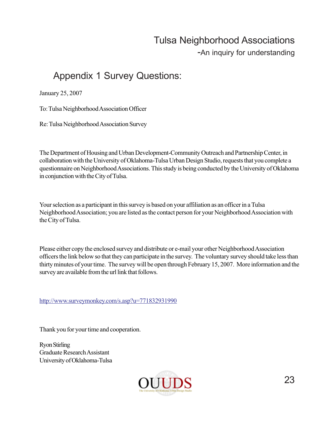-An inquiry for understanding

## Appendix 1 Survey Questions:

January 25, 2007

To: Tulsa Neighborhood Association Officer

Re: Tulsa Neighborhood Association Survey

The Department of Housing and Urban Development-Community Outreach and Partnership Center, in collaboration with the University of Oklahoma-Tulsa Urban Design Studio, requests that you complete a questionnaire on Neighborhood Associations. This study is being conducted by the University of Oklahoma in conjunction with the City of Tulsa.

Your selection as a participant in this survey is based on your affiliation as an officer in a Tulsa Neighborhood Association; you are listed as the contact person for your Neighborhood Association with the City of Tulsa.

Please either copy the enclosed survey and distribute or e-mail your other Neighborhood Association officers the link below so that they can participate in the survey. The voluntary survey should take less than thirty minutes of your time. The survey will be open through February 15, 2007. More information and the survey are available from the url link that follows.

http://www.surveymonkey.com/s.asp?u=771832931990

Thank you for your time and cooperation.

Ryon Stirling Graduate Research Assistant University of Oklahoma-Tulsa

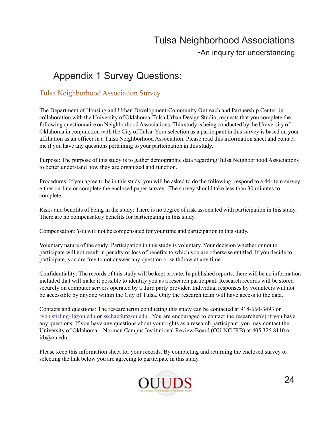## Appendix 1 Survey Questions:

#### Tulsa Neighborhood Association Survey

The Department of Housing and Urban Development-Community Outreach and Partnership Center, in collaboration with the University of Oklahoma-Tulsa Urban Design Studio, requests that you complete the following questionnaire on Neighborhood Associations. This study is being conducted by the University of Oklahoma in conjunction with the City of Tulsa. Your selection as a participant in this survey is based on your affiliation as an officer in a Tulsa Neighborhood Association. Please read this information sheet and contact me if you have any questions pertaining to your participation in this study.

Purpose: The purpose of this study is to gather demographic data regarding Tulsa Neighborhood Associations to better understand how they are organized and function.

Procedures: If you agree to be in this study, you will be asked to do the following: respond to a 44-item survey, either on-line or complete the enclosed paper survey. The survey should take less than 30 minutes to complete.

Risks and benefits of being in the study: There is no degree of risk associated with participation in this study. There are no compensatory benefits for participating in this study.

Compensation: You will not be compensated for your time and participation in this study.

Voluntary nature of the study: Participation in this study is voluntary. Your decision whether or not to participate will not result in penalty or loss of benefits to which you are otherwise entitled. If you decide to participate, you are free to not answer any question or withdraw at any time.

Confidentiality: The records of this study will be kept private. In published reports, there will be no information included that will make it possible to identify you as a research participant. Research records will be stored securely on computer servers operated by a third party provider. Individual responses by volunteers will not be accessible by anyone within the City of Tulsa. Only the research team will have access to the data.

Contacts and questions: The researcher(s) conducting this study can be contacted at 918-660-3493 or ryon.stirling-1@ou.edu or sschaefer@ou.edu. You are encouraged to contact the researcher(s) if you have any questions. If you have any questions about your rights as a research participant, you may contact the University of Oklahoma – Norman Campus Institutional Review Board (OU-NC IRB) at 405.325.8110 or irb@ou.edu.

Please keep this information sheet for your records. By completing and returning the enclosed survey or selecting the link below you are agreeing to participate in this study.

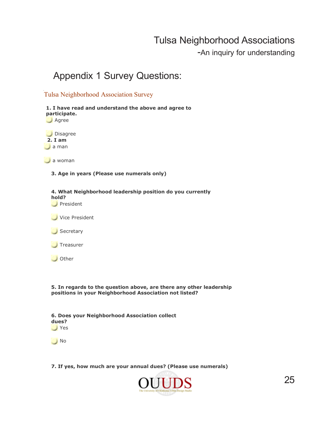-An inquiry for understanding

#### Appendix 1 Survey Questions:

#### Tulsa Neighborhood Association Survey



**5. In regards to the question above, are there any other leadership positions in your Neighborhood Association not listed?**

| dues?         | 6. Does your Neighborhood Association collect |  |  |
|---------------|-----------------------------------------------|--|--|
| $\bigcup$ Yes |                                               |  |  |



**7. If yes, how much are your annual dues? (Please use numerals)**

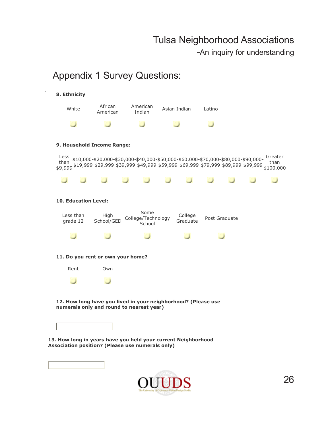-An inquiry for understanding

#### Appendix 1 Survey Questions:

#### **8. Ethnicity**



#### **9. Household Income Range:**

Less Less \$10,000-\$20,000-\$30,000-\$40,000-\$50,000-\$60,000-\$70,000-\$80,000-\$90,000-<br>than \$10,000-\$20,000-\$20,000-\$40,000-\$50,000-\$60,000-\$70,000-\$90,000-\$90,000- than \$9,999 \$19,999 \$29,999 \$39,999 \$49,999 \$59,999 \$69,999 \$79,999 \$89,999 \$99,999 \$100,000 than



#### **10. Education Level:**



#### **11. Do you rent or own your home?**



 **12. How long have you lived in your neighborhood? (Please use numerals only and round to nearest year)**

**13. How long in years have you held your current Neighborhood Association position? (Please use numerals only)**

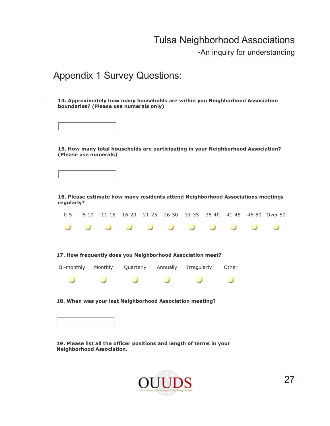-An inquiry for understanding

#### Appendix 1 Survey Questions:

 **14. Approximately how many households are within you Neighborhood Association boundaries? (Please use numerals only)**

 **15. How many total households are participating in your Neighborhood Association? (Please use numerals)**



 **16. Please estimate how many residents attend Neighborhood Associations meetings regularly?**

|  |  |  |  |  | 0-5 6-10 11-15 16-20 21-25 26-30 31-35 36-40 41-45 46-50 Over 50 |
|--|--|--|--|--|------------------------------------------------------------------|
|  |  |  |  |  | .                                                                |

| Bi-monthly | Monthly | Qua |
|------------|---------|-----|
|            |         |     |

arterly Annually Irregularly Other

ت

 **18. When was your last Neighborhood Association meeting?**

 $\cup$ 

 **19. Please list all the officer positions and length of terms in your Neighborhood Association.**

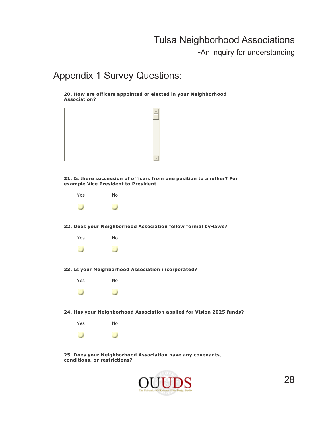-An inquiry for understanding

#### Appendix 1 Survey Questions:

 **20. How are officers appointed or elected in your Neighborhood Association?**



 **21. Is there succession of officers from one position to another? For example Vice President to President**



 **22. Does your Neighborhood Association follow formal by-laws?**



 **23. Is your Neighborhood Association incorporated?**



 **24. Has your Neighborhood Association applied for Vision 2025 funds?**



 **25. Does your Neighborhood Association have any covenants, conditions, or restrictions?**

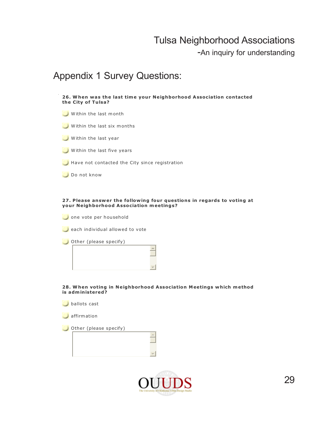-An inquiry for understanding

#### Appendix 1 Survey Questions:



#### **27 . P lease answer the fo llow ing four questions in regards to voting at your Neighborhood Association meetings?**

one vote per household

each individual allowed to vote

Other (please specify)



 **28. W hen voting in Neighborhood Association Meetings which method is adm inistered?**

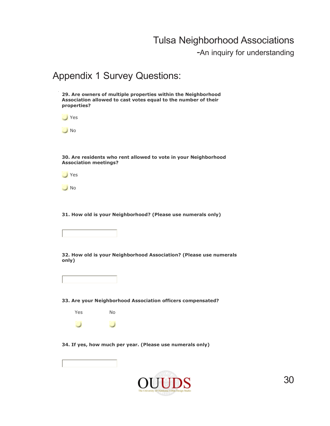-An inquiry for understanding

#### Appendix 1 Survey Questions:

 **29. Are owners of multiple properties within the Neighborhood Association allowed to cast votes equal to the number of their properties? S**Yes

O No

 **30. Are residents who rent allowed to vote in your Neighborhood Association meetings?**

Yes

**No** 

 **31. How old is your Neighborhood? (Please use numerals only)**



 **32. How old is your Neighborhood Association? (Please use numerals only)**



 **33. Are your Neighborhood Association officers compensated?**



 **34. If yes, how much per year. (Please use numerals only)**

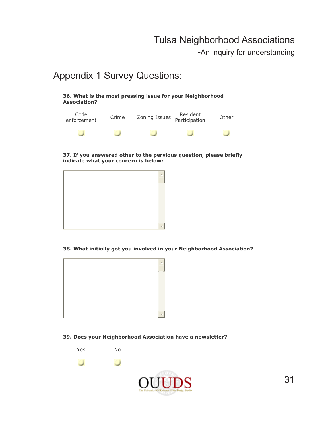-An inquiry for understanding

#### Appendix 1 Survey Questions:

| 36. What is the most pressing issue for your Neighborhood |
|-----------------------------------------------------------|
| <b>Association?</b>                                       |

| Code<br>enforcement | Crime | Zoning Issues | Resident<br>Participation | Other |
|---------------------|-------|---------------|---------------------------|-------|
|                     |       |               |                           |       |

 **37. If you answered other to the pervious question, please briefly indicate what your concern is below:**



 **38. What initially got you involved in your Neighborhood Association?**



#### **39. Does your Neighborhood Association have a newsletter?**

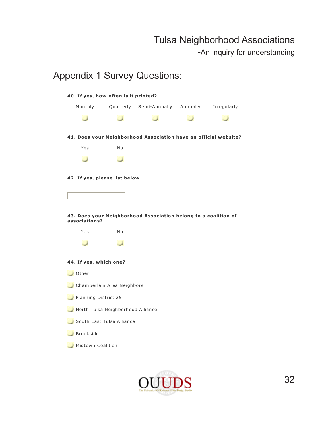-An inquiry for understanding

## Appendix 1 Survey Questions:  **40. If yes, how often is it printed?** Monthly Quarterly Semi-Annually Annually Irregularly  $\cup$  $\cup$  $\cup$  $\cup$  $\cup$  **41. Does your Neighborhood Association have an official website?** Yes No  $\cup$ ں  **42. If yes, please list below . 43. Does your Neighborhood Association belong to a coalition of associations?** Yes No  $\cup$  $\cup$  **44. If yes, which one?** Other Chamberlain Area Neighbors Planning District 25 North Tulsa Neighborhood Alliance South East Tulsa Alliance Brookside Midtown Coalition

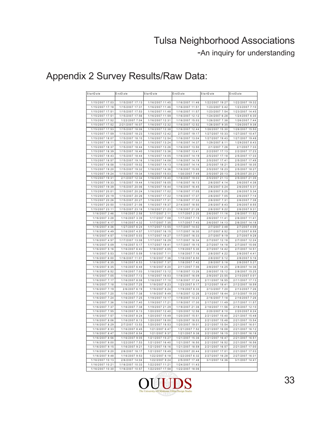-An inquiry for understanding

| StartD ate                         | EndDate                            | StartD ate                         | EndDate                            | StartDate                        | EndDate                          |
|------------------------------------|------------------------------------|------------------------------------|------------------------------------|----------------------------------|----------------------------------|
|                                    |                                    |                                    |                                    |                                  |                                  |
| 1/15/2007 17:03                    | 1/15/2007 17:13                    | 1/16/2007 11:45                    | 1/16/2007 11:46                    | 1/22/2007 19:27                  | 1/22/2007 19:32                  |
| 1/15/2007 17:18                    | 1/15/2007 17:31                    | 1/16/2007 11:46                    | 1/16/2007 11:51                    | 1/23/2007 5:42                   | 1/23/2007 7:10                   |
| 1/15/2007 17:51                    | 1/15/2007 17:53                    | 1/16/2007 11:48                    | 1/16/2007 11:57                    | 1/23/2007 7:54                   | 1/23/2007 14:45                  |
| 1/15/2007 17:51                    | 1/15/2007 17:56                    | 1/16/2007 11:59                    | 1/16/2007 12:12                    | 1/24/2007 6:28                   | 1/24/2007 6:30                   |
| 1/15/2007 17:52                    | 1/22/2007 7:04                     | 1/16/2007 12:31                    | 1/16/2007 15:03                    | 1/26/2007 7:38                   | 1/26/2007 7:44                   |
| 1/15/2007 17:52                    | 2/21/2007 16:07                    | 1/16/2007 12:32                    | 1/16/2007 12:52                    | 1/26/2007 9:35                   | 1/26/2007 9:38                   |
| 1/15/2007 17:53                    | 1/15/2007 18:06                    | 1/16/2007 12:38                    | 1/16/2007 12:44                    | 1/26/2007 15:30                  | 1/26/2007 15:50                  |
| 1/15/2007 17:59                    | 1/15/2007 18:23                    | 1/16/2007 12:42                    | 2/7/2007 19:17                     | 1/27/2007 10:33                  | 1/27/2007 10:47                  |
| 1/15/2007 18:07                    | 1/15/2007 18:10                    | 1/16/2007 12:54                    | 1/16/2007 13:04                    | 1/27/2007 19:43                  | 1/27/2007 19:48                  |
| 1/15/2007 18:11                    | 1/15/2007 18:31                    | 1/16/2007 13:24                    | 1/16/2007 14:37                    | 1/29/2007 8:11                   | 1/29/2007 8:43                   |
| 1/15/2007 18:37                    | 1/15/2007 18:44                    | 1/16/2007 13:26                    | 1/16/2007 13:50                    | 2/1/2007 7:26                    | 2/1/2007 7:33                    |
| 1/15/2007 18:39                    | 1/15/2007 18:40                    | 1/16/2007 13:36                    | 1/16/2007 13:41                    | 2/2/2007 17:13                   | 2/2/2007 17:23                   |
| 1/15/2007 18:43                    | 1/15/2007 18:44                    | 1/16/2007 14:05                    | 1/16/2007 14:19                    | 2/5/2007 17:18                   | 2/5/2007 17:33                   |
| 1/15/2007 18:57                    | 1/15/2007 19:16                    | 1/16/2007 14:08                    | 1/16/2007 14:19                    | 2/5/2007 17:41                   | 2/5/2007 17:49                   |
| 1/15/2007 18:58                    | 1/15/2007 19:02                    | 1/16/2007 14:13                    | 1/16/2007 14:14                    | 2/5/2007 18:21                   | 2/5/2007 18:35                   |
| 1/15/2007 19:20                    | 1/15/2007 19:32                    | 1/16/2007 14:36                    | 1/16/2007 15:00                    | 2/5/2007 18:23                   | 2/5/2007 18:27                   |
| 1/15/2007 19:24                    | 1/15/2007 19:34                    | 1/16/2007 15:03                    | 1/30/2007 7:49                     | 2/5/2007 20:13                   | 2/5/2007 20:21                   |
| 1/15/2007 19:31                    | 2/1/2007 12:34                     | 1/16/2007 15:40                    | 1/18/2007 19:03                    | 2/5/2007 21:13                   | 2/5/2007 21:35                   |
| 1/15/2007 19:33                    | 1/15/2007 19:44                    | 1/16/2007 16:05                    | 1/16/2007 16:13                    | 2/6/2007 4:14                    | 2/6/2007 4:38                    |
| 1/15/2007 19:39                    | 1/15/2007 20:06                    | 1/16/2007 16:44                    | 1/16/2007 16:45                    | 2/6/2007 5:24                    | 2/6/2007 5:31                    |
| 1/15/2007 20:01                    | 1/15/2007 20:24                    | 1/16/2007 17:02                    | 1/16/2007 17:05                    | 2/6/2007 5:25                    | 2/6/2007 5:34                    |
|                                    |                                    |                                    |                                    |                                  |                                  |
| 1/15/2007 20:19<br>1/15/2007 20:26 | 1/15/2007 20:26<br>1/15/2007 20:27 | 1/16/2007 17:22<br>1/16/2007 17:31 | 1/16/2007 17:37<br>1/16/2007 17:33 | 2/6/2007 7:05                    | 2/6/2007 7:14                    |
| 1/15/2007 20:50                    | 1/15/2007 21:06                    | 1/16/2007 19:37                    | 2/14/2007 18:50                    | 2/6/2007 7:31<br>2/6/2007 8:43   | 2/6/2007 7:38<br>2/6/2007 8:55   |
| 1/15/2007 23:11                    | 1/15/2007 23:18                    | 1/16/2007 21:23                    | 1/16/2007 21:26                    |                                  |                                  |
| 1/16/2007 2:46                     | 1/16/2007 2:58                     | 1/17/2007 2:11                     |                                    | 2/6/2007 9:22                    | 2/6/2007 9:31                    |
| 1/16/2007 3:28                     | 1/16/2007 3:39                     | 1/17/2007 7:08                     | 1/17/2007 2:20<br>1/17/2007 7:15   | 2/6/2007 11:16<br>2/6/2007 11:41 | 2/6/2007 11:52<br>2/6/2007 11:41 |
| 1/16/2007 4:17                     | 1/16/2007 4:32                     | 1/17/2007 7:35                     | 1/17/2007 7:43                     | 2/6/2007 14:13                   | 2/6/2007 14:18                   |
| 1/16/2007 4:36                     | 1/27/2007 6:24                     | 1/17/2007 13:55                    | 1/17/2007 14:02                    | 2/7/2007 3:48                    | 2/7/2007 4:09                    |
| 1/16/2007 4:49                     | 1/16/2007 4:57                     | 1/17/2007 16:15                    | 1/17/2007 16:30                    | 2/7/2007 8:52                    | 2/7/2007 8:59                    |
| 1/16/2007 4:57                     | 1/16/2007 5:03                     | 1/17/2007 16:27                    | 1/17/2007 16:33                    | 2/7/2007 9:19                    | 2/7/2007 9:28                    |
| 1/16/2007 4:57                     | 1/17/2007 13:08                    | 1/17/2007 16:29                    | 1/17/2007 16:34                    | 2/7/2007 12:18                   | 2/7/2007 12:24                   |
| 1/16/2007 5:09                     | 1/16/2007 5:17                     | 1/17/2007 18:41                    | 1/17/2007 19:15                    | 2/7/2007 14:18                   | 2/7/2007 15:06                   |
| 1/16/2007 5:16                     | 1/16/2007 6:43                     | 1/18/2007 4:05                     | 1/19/2007 5:30                     | 2/7/2007 14:42                   | 2/7/2007 14:51                   |
| 1/16/2007 5:53                     | 1/16/2007 5:59                     | 1/18/2007 7:11                     | 1/18/2007 7:16                     | 2/8/2007 4:22                    | 2/8/2007 4:41                    |
| 1/16/2007 6:00                     | 1/16/2007 11:01                    | 1/18/2007 7:36                     | 1/18/2007 8:50                     | 2/8/2007 5:12                    | 2/8/2007 5:16                    |
| 1/16/2007 6:35                     | 1/16/2007 6:53                     | 1/18/2007 7:37                     | 1/18/2007 7:42                     | 2/8/2007 5:18                    | 2/8/2007 5:27                    |
| 1/16/2007 6:35                     | 1/16/2007 6:48                     | 1/18/2007 8:20                     | 2/11/2007 7:06                     | 2/8/2007 14:25                   | 2/8/2007 14:36                   |
| 1/16/2007 6:52                     | 1/16/2007 7:03                     | 1/18/2007 13:12                    | 1/18/2007 13:26                    | 2/8/2007 15:12                   | 2/8/2007 15:25                   |
| 1/16/2007 7:05                     | 1/16/2007 7:13                     | 1/18/2007 16:03                    | 1/18/2007 16:09                    | 2/9/2007 23:55                   | 2/10/2007 0:01                   |
| 1/16/2007 7:17                     | 1/16/2007 8:08                     | 1/18/2007 17:10                    | 1/18/2007 17:24                    | 2/11/2007 16:55                  | 2/11/2007 17:13                  |
| 1/16/2007 7:18                     | 1/16/2007 7:25                     | 1/19/2007 8:23                     | 1/23/2007 9:17                     | 2/12/2007 18:41                  | 2/12/2007 18:59                  |
| 1/16/2007 7:19                     | 2/6/2007 6:19                      | 1/19/2007 8:24                     | 1/19/2007 8:33                     | 2/13/2007 7:20                   | 2/13/2007 7:26                   |
| 1/16/2007 7:20                     | 1/16/2007 7:38                     | 1/19/2007 9:49                     | 1/19/2007 12:26                    | 2/13/2007 18:44                  | 2/13/2007 19:30                  |
| 1/16/2007 7:24                     | 1/16/2007 7:25                     | 1/19/2007 10:17                    | 1/19/2007 10:23                    | 2/16/2007 7:18                   | 2/16/2007 7:26                   |
| 1/16/2007 7:36                     | 1/16/2007 7:40                     | 1/19/2007 17:21                    | 1/19/2007 17:30                    | 2/17/2007 11:49                  | 2/17/2007 11:57                  |
| 1/16/2007 7:37                     | 1/16/2007 7:38                     | 1/19/2007 21:29                    | 1/19/2007 21:36                    | 2/18/2007 11:56                  | 2/18/2007 12:10                  |
| 1/16/2007 7:55                     | 1/16/2007 8:13                     | 1/20/2007 12:40                    | 1/20/2007 12:56                    | 2/20/2007 8:10                   | 2/20/2007 8:24                   |
| 1/16/2007 7:57                     | 1/16/2007 8:24                     | 1/20/2007 15:49                    | 1/20/2007 15:51                    | 2/21/2007 15:40                  | 2/21/2007 15:48                  |
| 1/16/2007 8:06                     | 1/16/2007 8:13                     | 1/20/2007 18:00                    | 1/20/2007 18:03                    | 2/21/2007 15:48                  | 2/21/2007 15:54                  |
| 1/16/2007 8:29                     | 2/7/2007 13:53                     | 1/20/2007 18:53                    | 1/20/2007 19:01                    | 2/21/2007 15:54                  | 2/21/2007 16:01                  |
| 1/16/2007 8:33                     | 1/16/2007 8:45                     | 1/21/2007 6:47                     | 1/21/2007 7:52                     | 2/21/2007 16:08                  | 2/21/2007 16:12                  |
| 1/16/2007 8:47                     | 1/16/2007 8:54                     | 1/21/2007 9:37                     |                                    | 2/21/2007 16:15                  | 2/21/2007 16:18                  |
|                                    |                                    |                                    | 1/21/2007 9:38                     |                                  |                                  |
| 1/16/2007 8:56                     | 1/16/2007 9:05                     | 1/21/2007 15:27                    | 1/21/2007 15:36                    | 2/21/2007 16:47                  | 2/21/2007 16:51                  |
| 1/16/2007 9:00                     | 1/22/2007 7:53                     | 1/21/2007 16:40                    | 1/21/2007 16:50                    | 2/21/2007 16:52                  | 2/21/2007 16:56                  |
| 1/16/2007 9:15                     | 1/16/2007 9:21                     | 1/21/2007 18:16                    | 1/21/2007 18:59                    | 2/21/2007 16:57                  | 2/21/2007 17:00                  |
| 1/16/2007 9:20                     | 2/6/2007 18:17                     | 1/21/2007 19:49                    | 1/23/2007 20:44                    | 2/21/2007 17:01                  | 2/21/2007 17:03                  |
| 1/16/2007 9:48                     | 1/16/2007 9:53                     | 1/22/2007 6:18<br>1/22/2007 9:24   | 1/22/2007 6:32                     | 2/27/2007 16:28                  | 2/27/2007 16:31                  |
| 1/16/2007 10:13                    | 2/6/2007 14:04                     |                                    | 2/5/2007 17:48                     | 3/1/2007 14:36                   | 3/1/2007 14:41                   |
| 1/16/2007 10:21                    | 1/16/2007 10:33                    | 1/22/2007 11:21                    | 1/24/2007 11:43                    |                                  |                                  |
| 1/16/2007 10:30                    | 1/16/2007 10:57                    | 1/22/2007 17:58                    | 1/22/2007 18:06                    |                                  |                                  |

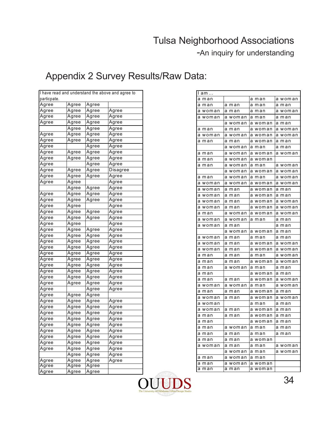-An inquiry for understanding

|             |              |       | I have read and understand the above and agree to | am      |         |         |         |
|-------------|--------------|-------|---------------------------------------------------|---------|---------|---------|---------|
| particpate. |              |       |                                                   | a man   |         | a man   | a woman |
| Agree       | Agree        | Agree |                                                   | a man   | a man   | a man   | a man   |
| Agree       | Agree        | Agree | Agree                                             | a woman | a man   | a man   | a woman |
| Agree       | Agree        | Agree | Agree                                             | a woman | a woman | a man   | a man   |
| Agree       | Agree        | Agree | Agree                                             |         | a woman | a woman | a man   |
|             | Agree        | Agree | Agree                                             | a man   | a man   | a woman | a woman |
| Agree       | Agree        | Agree | Agree                                             | a woman | a woman | a woman | a woman |
| Agree       | Agree        | Agree | Agree                                             | a man   | a man   | a woman | a man   |
| Agree       |              | Agree | Agree                                             |         | a woman | a man   | a man   |
| Agree       | Agree        | Agree | Agree                                             | a man   | a woman | a woman | a woman |
| Agree       | Agree        | Agree | Agree                                             | a man   | a woman | a woman |         |
| Agree       |              | Agree | Agree                                             | a man   | a woman | a man   | a woman |
| Agree       | Agree        | Agree | Disagree                                          |         | a woman | a woman | a woman |
| Agree       | Agree        | Agree | Agree                                             | a man   | a woman | a man   | a woman |
| Agree       | Agree        |       | Agree                                             | a woman | a woman | a woman | a woman |
|             | Agree        | Agree | Agree                                             | a woman | a man   | a woman | a man   |
| Agree       | Agree        | Agree | Agree                                             | a woman | a man   | a woman | a man   |
| Agree       | Agree        | Agree | Agree                                             | a woman | a man   | a woman | a woman |
| Agree       | Agree        |       | Agree                                             | a woman | a man   | a woman | a woman |
| Agree       | Agree        | Agree | Agree                                             | a man   | a woman | a woman | a woman |
| Agree       | Agree        | Agree | Agree                                             | a woman | a woman | a man   | a man   |
| Agree       | Agree        |       | Agree                                             | a woman | a man   |         | a man   |
| Agree       | Agree        | Agree | Agree                                             |         | a woman | a woman | a man   |
| Agree       | Agree        | Agree | Agree                                             | a woman | a man   | a man   | a man   |
| Agree       | Agree        | Agree | Agree                                             | a woman | a man   | a woman | a woman |
| Agree       | Agree        | Agree | Agree                                             | a woman | a man   | a woman | a woman |
| Agree       | Agree        | Agree | Agree                                             | a man   | a man   | a man   | a woman |
| Agree       | Agree        | Agree | Agree                                             | a man   | a man   | a woman | a woman |
| Agree       | Agree        | Agree | Agree                                             | a man   | a woman | a man   | a man   |
| Agree       | Agree        | Agree | Agree                                             | a man   |         | a woman | a man   |
| Agree       | Agree        | Agree | Agree                                             | a man   | a man   | a woman | a woman |
| Agree       | Agree        | Agree | Agree                                             | a woman | a woman | a man   | a woman |
| Agree       |              | Agree | Agree                                             | a man   | a man   | a woman | a man   |
| Agree       | Agree        | Agree |                                                   | a woman | a man   | a woman | a woman |
| Agree       | Agree        | Agree | Agree                                             | a woman |         | a man   | a man   |
| Agree       | Agree        | Agree | Agree                                             | a woman | a man   | a woman | a man   |
| Agree       | Agree        | Agree | Agree                                             | a man   | a man   | a woman | a man   |
| Agree       | Agree        | Agree | Agree                                             | a man   |         | a woman | a man   |
| Agree       | Agree        | Agree | Agree                                             | a man   | a woman | a man   | a man   |
| Agree       | Agree        | Agree | Agree                                             | a man   | a man   | a man   | a man   |
| Agree       | Agree        | Agree | Agree                                             | a man   | a man   | a woman |         |
| Agree       | Agree        | Agree | Agree                                             | a woman | a man   | a man   | a woman |
| Agree       | Agree        | Agree | Agree                                             |         | a woman | a man   | a woman |
|             | Agree        | Agree | Agree                                             | a man   | a woman | a man   |         |
| Agree       | Agree        | Agree | Agree                                             | a man   | a woman | a woman |         |
| Agree       | Agree        | Agree |                                                   | a man   | a man   | a woman |         |
| Agree       | <u>Agree</u> | Agree |                                                   |         |         |         |         |

| I а <u>m…</u> |            |            |            |
|---------------|------------|------------|------------|
| a man         |            | man<br>а   | a woman    |
| а<br>man      | man<br>a   | а<br>man   | man<br>a   |
| woman<br>а    | а<br>man   | а<br>man   | а<br>woman |
| а<br>woman    | а<br>woman | а<br>man   | a man      |
|               | woman<br>а | a woman    | а<br>man   |
| а<br>man      | man<br>a   | woman<br>а | woman<br>а |
| a woman       | woman<br>а | a woman    | a woman    |
| man<br>а      | man<br>а   | woman<br>а | man<br>а   |
|               | a<br>woman | a man      | man<br>а   |
| man<br>a      | woman<br>а | a woman    | a woman    |
| а<br>man      | woman<br>а | woman<br>а |            |
| a man         | woman<br>а | a man      | woman<br>а |
|               | а<br>woman | a woman    | a woman    |
| man<br>а      | а<br>woman | a man      | a woman    |
| a woman       | a<br>woman | a woman    | a woman    |
| а<br>woman    | а<br>man   | а<br>woman | a man      |
| woman<br>а    | а<br>man   | a woman    | a man      |
| а<br>woman    | a<br>man   | a woman    | a woman    |
| woman<br>а    | a man      | a woman    | a woman    |
| man<br>а      | a woman    | a woman    | a woman    |
| woman<br>а    | a woman    | а<br>man   | а<br>man   |
| woman<br>а    | а<br>man   |            | а<br>man   |
|               | woman<br>а | a woman    | a man      |
| a woman       | man<br>а   | a man      | a man      |
| а<br>woman    | а<br>man   | a woman    | a woman    |
| woman<br>а    | а<br>man   | woman<br>а | a woman    |
| а<br>man      | а<br>man   | а<br>man   | а<br>woman |
| man<br>а      | а<br>man   | a woman    | woman<br>а |
| а<br>man      | woman<br>а | a man      | a man      |
| а<br>man      |            | a woman    | a man      |
| man<br>а      | а<br>man   | a woman    | a woman    |
| woman<br>а    | а<br>woman | a man      | woman<br>а |
| man<br>а      | a man      | a woman    | a man      |
| woman<br>а    | man<br>а   | a woman    | a woman    |
| a woman       |            | a man      | a man      |
| woman<br>а    | a man      | a woman    | a man      |
| а<br>man      | а<br>man   | a woman    | a man      |
| man<br>а      |            | a<br>woman | man<br>а   |
| а<br>man      | a woman    | a man      | man<br>a   |
| а<br>man      | a man      | a man      | a man      |
| man<br>а      | a man      | a woman    |            |
| a woman       | a man      | a man      | a woman    |
|               | a<br>woman | а<br>man   | a woman    |
| man<br>а      | woman<br>а | man<br>а   |            |
| а<br>man      | а<br>woman | a woman    |            |
| a<br>man      | man<br>a   | woman<br>а |            |

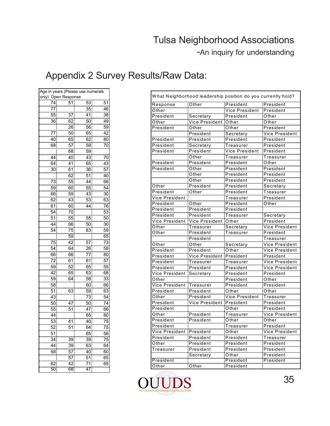| Age in years (Please use numerals |                 |                 |                 |  |  |
|-----------------------------------|-----------------|-----------------|-----------------|--|--|
| Open Response<br>onlv)            |                 |                 |                 |  |  |
| 74                                | 51              | 53              | 51              |  |  |
| 77<br>55                          |                 | $\overline{35}$ | 46              |  |  |
|                                   | 37              | 41              | 38              |  |  |
| <br>36                            | 62              | 50              | 49              |  |  |
|                                   | 26              | .<br>56         | 59              |  |  |
| 77.                               | 50.             | 65              | 42              |  |  |
| 40                                | 65              | $\overline{62}$ | 80              |  |  |
| 68                                | 57              | 58              | 70              |  |  |
|                                   | 68              | 59              |                 |  |  |
| 44                                | 40              | 43              | 70              |  |  |
| 64                                | $\overline{41}$ | 65              | 43              |  |  |
| 30                                | 61              | 36              | 57              |  |  |
|                                   | 62              | .<br>51         | 40              |  |  |
| 73                                | 55              | 44.             | 66              |  |  |
| 59.                               | 60              | 55              | 54              |  |  |
| 66                                | 59.             | 43              | 30              |  |  |
|                                   |                 |                 |                 |  |  |
| 62                                | 43              | 53              | 63              |  |  |
| $\overline{61}$                   | 60              | .<br>44         | 76              |  |  |
| 54                                | 70              |                 | 53              |  |  |
| $\overline{51}$                   | 55              | 55              | $\overline{50}$ |  |  |
| .<br>44                           | 66              | 50              | 30              |  |  |
| .<br>54                           | 75              | .<br>83         | 59              |  |  |
|                                   | .<br>59         |                 | 65              |  |  |
| 75                                | .<br>42         | 57              | 73              |  |  |
| $\overline{54}$                   | 64              | 26              | 58              |  |  |
| 66                                | 66              | $\overline{77}$ | $\overline{80}$ |  |  |
| 72                                | $\overline{61}$ | $\overline{61}$ | 57              |  |  |
| 59                                | 52              | 65              | 55              |  |  |
| 42                                | 65              | 63              | 68              |  |  |
| 59                                | $\overline{64}$ | 58              | 33              |  |  |
| $\overline{58}$                   |                 | 60              | 66              |  |  |
| 51                                | 63              | 59              | 63              |  |  |
|                                   |                 |                 |                 |  |  |
| 43                                |                 | $\overline{73}$ | 54              |  |  |
| 50                                | 47              | 50              | $\overline{74}$ |  |  |
| 55                                | 51              | 47              | 66              |  |  |
| 44                                |                 | 65              | 80              |  |  |
| 53                                | 41              | 40              | 75              |  |  |
| 52                                | 51              | .<br>64         | 75              |  |  |
| 51                                |                 | 65              | 56              |  |  |
| 34 <sup>°</sup>                   | 39-             | 39              | 75              |  |  |
| 44                                | 39.             | 63              | 64              |  |  |
| 58.                               | 57              | 40              | 60              |  |  |
|                                   | 57              | 51              | 65              |  |  |
| 62.                               | 42.             | 71              | 65              |  |  |
| 50                                | 68              | 47              |                 |  |  |

| What Neighborhood leadership position do you currently hold? |                    |                    |                        |  |  |
|--------------------------------------------------------------|--------------------|--------------------|------------------------|--|--|
| <br>Response                                                 | Other              | President          | President              |  |  |
| Other                                                        |                    | Vice President     | President              |  |  |
| President                                                    | <br>Secretary      | President          | Other                  |  |  |
| Other                                                        | Vice President     | Other              | Other                  |  |  |
| President                                                    | Other              | Other              | President              |  |  |
|                                                              | President          | Secretary          | <br>Vice President     |  |  |
| President                                                    | <u>President</u>   | <u>President</u>   | President              |  |  |
| President                                                    | Secretary          | Treasurer          | President              |  |  |
| President                                                    | President          | Vice President     | President              |  |  |
|                                                              | Other              | Treasurer          | Treasurer              |  |  |
| President                                                    | President          | President          | Other                  |  |  |
| President                                                    | Other              | President          | <b>President</b>       |  |  |
|                                                              | Öther              | <br>President      | <br>President          |  |  |
|                                                              |                    |                    |                        |  |  |
|                                                              | Other              | President          | President              |  |  |
| Other                                                        | President          | President          | Secretary              |  |  |
| President                                                    | Other              | President          | Treasurer              |  |  |
| Vice President                                               |                    | Treasurer          | President              |  |  |
| President                                                    | Öther              | President          | Other                  |  |  |
| President                                                    | President          | President          |                        |  |  |
| <br>President                                                | President          | Treasurer          | <br>Secretary          |  |  |
| Vice President                                               | <br>Vice President | Other              | President              |  |  |
| Other                                                        | Treasurer          | Secretary          | <br>Vice President     |  |  |
| Other                                                        | President          | Treasurer          | President              |  |  |
|                                                              | President          |                    | Treasurer              |  |  |
| Other                                                        | Other              | secretary          | Vice President         |  |  |
| President                                                    | President          | Other              | Vice President         |  |  |
| President                                                    | Vice President     | President          | President              |  |  |
| President                                                    | Treasurer          | Treasurer          | <br>Vice President     |  |  |
| President                                                    | President          | President          | <br>Vice President     |  |  |
| Vice President                                               | Secretary          | President          | President              |  |  |
| Other                                                        |                    | President          | Other                  |  |  |
| <u>Wice President</u>                                        | <br>Treasurer      | President          | President              |  |  |
| President                                                    | President          | Other              | Other                  |  |  |
| Öther                                                        | <br>President      | Vice President     | Treasurer              |  |  |
| <b>President</b>                                             | Vice President     | President          | President              |  |  |
| President                                                    |                    | Other              | President              |  |  |
| Other                                                        | President          | Treasurer          | Vice President         |  |  |
| President                                                    | President          | Other              | Other                  |  |  |
| President                                                    |                    | <br>Treasurer      | President              |  |  |
| Vice President                                               | President          | Other              |                        |  |  |
| President                                                    | <br>President      | President          | <br>Treasurer          |  |  |
| Other                                                        | President          | President          | President              |  |  |
| Treasurer                                                    | President          | President          | President              |  |  |
|                                                              |                    |                    |                        |  |  |
| President                                                    | Secretary          | Other<br>President | President<br>President |  |  |
|                                                              |                    |                    |                        |  |  |
| Other                                                        | Other              | President          |                        |  |  |

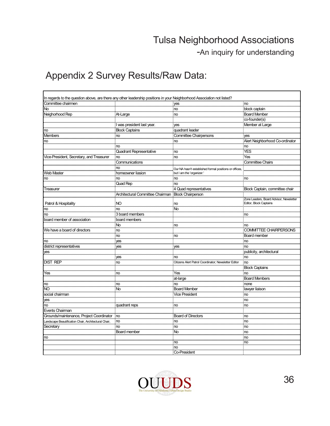-An inquiry for understanding

| In regards to the question above, are there any other leadership positions in your Neighborhood Association not listed? |                                                    |                                                                    |                                         |
|-------------------------------------------------------------------------------------------------------------------------|----------------------------------------------------|--------------------------------------------------------------------|-----------------------------------------|
| Committee chairmen                                                                                                      |                                                    | yes                                                                | :no                                     |
| <b>No</b>                                                                                                               |                                                    | no.                                                                | block captain                           |
| Neighorhood Rep                                                                                                         | At-Large                                           | no                                                                 | <b>Board Member</b>                     |
|                                                                                                                         |                                                    |                                                                    | co-founder(s)                           |
|                                                                                                                         | was president last year.                           | yes                                                                | Member at Large                         |
| no                                                                                                                      | <b>Block Captains</b>                              | quadrant leader                                                    |                                         |
| Members                                                                                                                 | no                                                 | <b>Committee Chairpersons</b>                                      | yes                                     |
| no                                                                                                                      |                                                    | no                                                                 | Alert Neighborhood Co-ordinato          |
|                                                                                                                         | no                                                 |                                                                    | .no                                     |
|                                                                                                                         | <b>Quadrant Representative</b>                     | .<br>no                                                            | <br>YES                                 |
| Vice-President, Secretary, and Treasurer                                                                                | no                                                 | no                                                                 | Yes                                     |
|                                                                                                                         | Communications                                     |                                                                    | .<br><b>Committee Chairs</b>            |
|                                                                                                                         | no.                                                |                                                                    |                                         |
|                                                                                                                         | homeowner liasion                                  | Our NA hasn't established formal posi<br>but I am the 'organizer.' |                                         |
| Web Master                                                                                                              | no                                                 | <b>no</b>                                                          | :no                                     |
| no                                                                                                                      | Quad Rep                                           | :no                                                                |                                         |
| Treasurer                                                                                                               |                                                    | 4 Quad representatives                                             | Block Captain, committee chair          |
|                                                                                                                         | Architectural Committee Chairman Block Chairperson |                                                                    |                                         |
|                                                                                                                         |                                                    |                                                                    | Zone Leaders, Board Advisor, Newsletter |
| Patrol & Hospitality                                                                                                    | N <sub>O</sub>                                     | ino                                                                | Editor, Block Captains                  |
| n <sub>o</sub>                                                                                                          | no                                                 | :No                                                                |                                         |
| no                                                                                                                      | 3 board members                                    |                                                                    | no                                      |
| board member of association                                                                                             | board members                                      |                                                                    |                                         |
|                                                                                                                         | No                                                 | no                                                                 | no                                      |
| We have a board of directors                                                                                            |                                                    |                                                                    | COMMITTEE CHAIRPERSONS                  |
|                                                                                                                         | no<br>no                                           | :no                                                                | Board member                            |
| no                                                                                                                      |                                                    |                                                                    | ·no                                     |
| district representatives                                                                                                | yes                                                |                                                                    | <b>no</b>                               |
|                                                                                                                         | yes                                                | yes                                                                | j.c.<br>publicity, architectural        |
| yes                                                                                                                     |                                                    | no                                                                 |                                         |
| <b>DIST REP</b>                                                                                                         | yes<br>·no                                         | Citizens Alert Patrol Coordinator: Newsletter Editor               | $\mathsf{no}$<br>:no                    |
|                                                                                                                         |                                                    |                                                                    | <b>Block Captains</b>                   |
| Yes                                                                                                                     |                                                    | Yes                                                                | .                                       |
|                                                                                                                         | n <sub>o</sub>                                     |                                                                    | <b>no</b>                               |
|                                                                                                                         |                                                    | .at-large                                                          | Board Members                           |
| no<br>NO                                                                                                                | no.<br>innan<br>No.                                | <b>no</b>                                                          | none                                    |
|                                                                                                                         |                                                    | <b>Board Member</b><br><b>Vice President</b>                       | lawyer liaison<br>                      |
| social chairman                                                                                                         |                                                    |                                                                    | <b>no</b><br>$rac{1}{10}$               |
| yes                                                                                                                     |                                                    |                                                                    | r.                                      |
| no                                                                                                                      | quadrant reps                                      | no                                                                 | ·no                                     |
| <b>Events Chairman</b>                                                                                                  |                                                    |                                                                    | .                                       |
| Grounds/maintenance, Project Coordinator                                                                                | n <sub>o</sub>                                     | <b>Board of Directors</b>                                          | no<br>in e c                            |
| Landscape Beautification Chair, Architectural Chair,                                                                    | no                                                 | <sub>.</sub> no                                                    | no<br>in e c                            |
| Secretary                                                                                                               | no                                                 | no<br>$\overline{N}$                                               | $rac{1}{2}$                             |
|                                                                                                                         | Board member                                       |                                                                    | : <sub>no</sub><br>i.                   |
| no                                                                                                                      |                                                    |                                                                    | no<br>port.                             |
|                                                                                                                         |                                                    | $\mathsf{no}$                                                      | no.                                     |
|                                                                                                                         |                                                    | no                                                                 |                                         |
|                                                                                                                         |                                                    | Co-President                                                       |                                         |

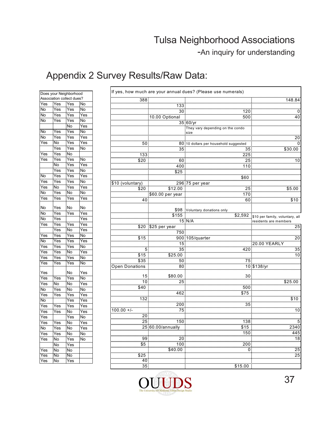-An inquiry for understanding

| Does your Neighborhood    |                   |                         |                         |  |
|---------------------------|-------------------|-------------------------|-------------------------|--|
| Association collect dues? |                   |                         |                         |  |
| Yes                       | Yes               | Yes                     | No                      |  |
| No                        | Yes               | Yes                     | No                      |  |
| No                        | Yes               | Yes                     | Yes                     |  |
| No                        | Yes               | Yes                     | No                      |  |
|                           |                   | No                      | Yes                     |  |
| No                        | —<br>Yes          | .<br>Yes                | No                      |  |
| No                        | Yes               | Yes                     | Yes                     |  |
| Yes                       | No                | Yes                     | Yes                     |  |
|                           | .<br>Yes          | Yes                     | No                      |  |
| $\bar{Y}$ es              | Yes               | No                      |                         |  |
| Yes                       | Yes               | Yes                     | No                      |  |
|                           | Ñο                | Yes                     | $\overline{\text{Yes}}$ |  |
|                           | $\overline{Y}$ es | $\overline{Y}$ es       | No                      |  |
| No                        | Yes               | Yes                     | Yes                     |  |
| Yes                       | Yes               | Yes                     | No                      |  |
| Yes                       | No                | $\overline{\text{Yes}}$ | Yes                     |  |
| No                        | Yes               | No                      | No                      |  |
| Yes                       | Yes               | Yes                     | Yes                     |  |
|                           |                   |                         |                         |  |
| No                        | Yes               | No                      | No                      |  |
| No                        | Yes               | Yes                     | Yes                     |  |
| No                        | Yes               |                         | Yes                     |  |
| Yes                       | Yes               | Yes                     | Yes                     |  |
|                           | .<br>Yes          | No                      | Yes                     |  |
| Yes                       | Yes               | .<br>Yes                | No                      |  |
| No                        | Yes               | Ÿes                     | Yes                     |  |
| Yes                       | .<br>Yes          | Yes                     | No                      |  |
| Yes                       | Yes               | No                      | Yes                     |  |
| Yes                       | Yes               | Yes                     | No                      |  |
| Yes                       | Yes               | Yes                     | .<br>No                 |  |
| Yes                       |                   | No                      | Yes                     |  |
| Yes                       | Yes               | Yes                     | No                      |  |
| Yes                       | No                | No                      | Yes                     |  |
| No                        | Yes               | No                      | .<br>No                 |  |
| $\bar{Y}$ es              | Yes               | Yes                     | Yes                     |  |
| No                        |                   | Yes                     | Yes                     |  |
| .<br>Yes                  | .<br>Yes          | .<br>Yes                | Yes                     |  |
| Yes                       | Yes               | No                      | Yes                     |  |
| Yes                       |                   | Yes                     | No                      |  |
| Yes                       | Yes               | No                      | Yes                     |  |
| No                        | Yes               | No                      | Yes                     |  |
| Yes                       | Yes               | No                      | No                      |  |
| Yes                       | No                | Yes                     | No                      |  |
|                           | No                | Yes                     |                         |  |
| $\overline{Yes}$          | No                | No                      |                         |  |
| Yes                       | No                | No                      |                         |  |
| Yes                       | <u>No</u>         | Yes                     |                         |  |
|                           |                   |                         |                         |  |

|     |     | Does your Neighborhood    |     |                  |                       | If yes, how much are your annual dues? (Please use numerals) |                                          |
|-----|-----|---------------------------|-----|------------------|-----------------------|--------------------------------------------------------------|------------------------------------------|
|     |     | Association collect dues? |     | 388:             |                       |                                                              | 148.84                                   |
| Yes | Yes | Yes                       | No  |                  |                       |                                                              |                                          |
| No  | Yes | Yes                       | No  |                  |                       | $120 -$                                                      |                                          |
| No  | Yes | Yes                       | Yes |                  | 10.00 Optional        |                                                              | 40                                       |
| No  | Yes | Yes                       | No  |                  |                       | 35.60/yr                                                     |                                          |
|     |     | No                        | Yes |                  |                       | They vary depending on the condo                             |                                          |
| No  | Yes | Yes                       | No  |                  |                       |                                                              |                                          |
| No  | Yes | Yes                       | Yes |                  |                       |                                                              | 20                                       |
| Yes | No  | Yes                       | Yes | 50 <sub>1</sub>  |                       | 80:10 dollars per household suggested                        | ……<br>0                                  |
|     | Yes | Yes                       | No  |                  | 35                    | 35 <sub>1</sub>                                              | \$30.00                                  |
| Yes | Yes | No                        |     | 133.             | .                     | $\frac{1}{225}$                                              |                                          |
| Yes | Yes | Yes                       | No  | \$20             | .<br>60               | $\frac{1}{25}$                                               | 10                                       |
|     | No  | Yes                       | Yes |                  | 400                   | <u>:110</u>                                                  |                                          |
|     | Yes | Yes                       | No  |                  | $\frac{1}{25}$        |                                                              |                                          |
| No  | Yes | Yes                       | Yes |                  |                       | \$60                                                         |                                          |
| Yes | Yes | Yes                       | No  | \$10 (voluntary) |                       | .<br>296.75 per year                                         |                                          |
| Yes | No  | Yes                       | Yes | \$20             | \$12.00               | 25                                                           | \$5.00                                   |
| No  | Yes | No                        | No  |                  | \$60.00 per year      | $\frac{28}{170}$<br>60                                       |                                          |
| Yes | Yes | Yes                       | Yes | 40               |                       |                                                              | \$10                                     |
|     |     |                           |     |                  |                       |                                                              |                                          |
| No  | Yes | No                        | No  |                  |                       | \$98 Voluntary donations only<br>\$155                       |                                          |
| No  | Yes | Yes                       | Yes |                  |                       |                                                              | \$2,592 \$10 per family, voluntary, all  |
| No  | Yes |                           | Yes |                  | 15 N/A                |                                                              | residents are members                    |
| Yes | Yes | Yes                       | Yes |                  | \$20 \$25 per year    |                                                              | 25                                       |
|     | Yes | No                        | Yes |                  | 750                   |                                                              |                                          |
| Yes | Yes | Yes                       | No  | \$15             |                       | 900 105/quarter                                              | $\overline{20}$                          |
| No  | Yes | Yes                       | Yes |                  | $15^{\circ}$          |                                                              | $20.00$ YEARLY                           |
| Yes | Yes | Yes                       | No  |                  | $\frac{35}{35}$       | 420                                                          | 35                                       |
| Yes | Yes | No                        | Yes | $$15$ :          | . 5.                  | <del></del> .                                                | $\overline{10}$                          |
| Yes | Yes | Yes                       | No  | $\frac{8}{3}35$  | \$25.00               |                                                              |                                          |
| Yes | Yes | Yes                       | No  |                  | 50<br>$\frac{55}{80}$ | 75.                                                          | 10 \$138/yr                              |
|     |     |                           |     | Open Donations   |                       |                                                              |                                          |
| Yes |     | No                        | Yes | 15.              |                       |                                                              |                                          |
| Yes | Yes | Yes                       | No  | 10:              | $\frac{$80.00}{25}$   | 30 <sub>1</sub>                                              | \$25.00                                  |
| Yes | No  | No                        | Yes | \$40             |                       | $500 -$                                                      |                                          |
| No  | Yes | No                        | No  |                  | 462                   | .                                                            |                                          |
| Yes | Yes | Yes                       | Yes | 132 <sub>1</sub> |                       | \$75                                                         |                                          |
| No  |     | Yes                       | Yes |                  |                       |                                                              | \$10                                     |
| Yes | Yes | Yes                       | Yes |                  | 200.                  | 35 <sub>1</sub>                                              |                                          |
| Yes | Yes | No                        | Yes | $100.00 +/-$     | 75.<br>               |                                                              | 10                                       |
| Yes |     | Yes                       | No  | 20:              |                       |                                                              |                                          |
| Yes | Yes | No                        | Yes | 25.              | 150 <sub>1</sub>      | $\begin{bmatrix} 138 \\ -1 \end{bmatrix}$                    | $\begin{array}{r} 5 \\ 2340 \end{array}$ |
| No  | Yes | No                        | Yes |                  | 25.60.00/annually     | \$15                                                         |                                          |
| Yes | Yes | No                        | No  |                  |                       | 150                                                          | 445                                      |
| Yes | No  | Yes                       | No  | 99               | 20<br>                |                                                              | $\overline{18}$<br>                      |
|     | No  | Yes                       |     | $\overline{$5}$  | 100                   | 200                                                          |                                          |
| Yes | No  | No                        |     |                  | \$40.00               | $\Omega$                                                     | 25                                       |
| Yes | No  | No                        |     | \$25             |                       |                                                              | $\overline{25}$                          |
| Yes | No  | Yes                       |     | 40               |                       |                                                              |                                          |
|     |     |                           |     | 35               |                       | \$15.00                                                      |                                          |

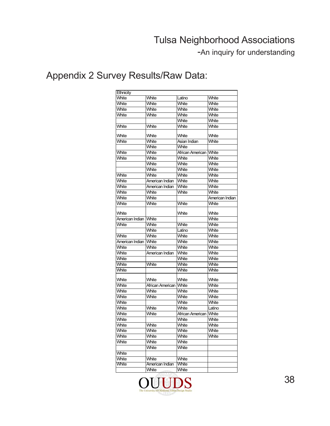-An inquiry for understanding

| Ethnicity       |                          |                        |                 |
|-----------------|--------------------------|------------------------|-----------------|
| White           | White                    | Latino                 | White           |
| White           | White                    | White                  | White           |
| White           | White                    | White                  | White           |
| White           | White                    | White                  | White           |
|                 |                          | White                  | White           |
| White           | White                    | White                  | White           |
|                 |                          |                        |                 |
| White           | White                    | White                  | White           |
| White           | White                    | Asian Indian           | White           |
|                 | White                    | White                  |                 |
| White           | White                    | African American White |                 |
| White           | White                    | White                  | White           |
|                 | White                    | White                  | White           |
|                 | White                    | White                  | White           |
| White           | White                    | White                  | White           |
| White           | American Indian          | White                  | White           |
| White           | American Indian          | White                  | White           |
| White           | White                    | White                  | White           |
| White           | White                    |                        | American Indian |
| White           | White                    | White                  | White           |
|                 |                          |                        |                 |
| White           |                          | White                  | White           |
| American Indian | White                    |                        | White           |
| White           | White                    | White                  | White           |
|                 | White                    | Latino                 | White           |
| White           | White                    | White                  | White           |
| American Indian | White                    | White                  | White           |
| White           | White                    | White                  | White           |
| White           | American Indian          | White                  | White           |
| White           |                          | White                  | White           |
| White           | White                    | White                  | White           |
| White           |                          | White                  | White           |
|                 |                          |                        |                 |
| White           | White                    | White                  | White           |
| White           | African American   White |                        | White           |
| White           | White                    | White                  | White           |
| White           | White                    | White                  | White           |
| White           |                          | White                  | White           |
| White           | White                    | White                  | Latino          |
| White           | White                    | African American       | <b>White</b>    |
| White           |                          | White                  | White           |
| White           | White                    | White                  | White           |
| White           | White                    | White                  | White           |
| White           | White                    | White                  | White           |
| White           | White                    | White                  |                 |
|                 | White                    | White                  |                 |
| White           |                          |                        |                 |
| White           | White                    | White                  |                 |
| White           | American Indian          | White                  |                 |
|                 | White                    | White                  |                 |
|                 |                          |                        |                 |

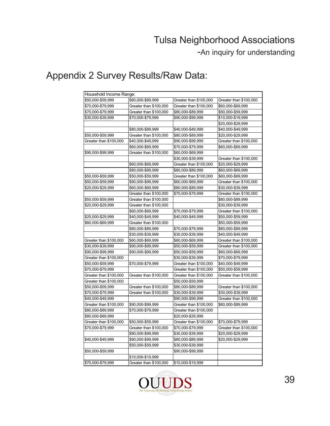-An inquiry for understanding

| Household Income Range: |                        |                        |                        |
|-------------------------|------------------------|------------------------|------------------------|
| \$50,000-\$59,999       | \$80,000-\$89,999      | Greater than \$100,000 | Greater than \$100,000 |
| \$70,000-\$79,999       | Greater than \$100,000 | Greater than \$100,000 | \$60,000-\$69,999      |
| \$70,000-\$79,999       | Greater than \$100,000 | \$80,000-\$89,999      | \$50,000-\$59,999      |
| \$30,000-\$39,999       | \$70,000-\$79,999      | \$90,000-\$99,999      | \$10,000-\$19,999      |
|                         |                        |                        | \$20,000-\$29,999      |
|                         | \$80,000-\$89,999      | \$40,000-\$49,999      | \$40,000-\$49,999      |
| \$50,000-\$59,999       | Greater than \$100,000 | \$80,000-\$89,999      | \$20,000-\$29,999      |
| Greater than \$100,000  | \$40,000-\$49,999      | \$90,000-\$99,999      | Greater than \$100,000 |
|                         | \$60,000-\$69,999      | \$70,000-\$79,999      | \$60,000-\$69,999      |
| \$90,000-\$99,999       | Greater than \$100,000 | \$60,000-\$69,999      |                        |
|                         |                        | \$30,000-\$39,999      | Greater than \$100,000 |
|                         | \$60,000-\$69,999      | Greater than \$100,000 | \$20,000-\$29,999      |
|                         | \$80,000-\$89,999      | \$80,000-\$89,999      | \$60,000-\$69,999      |
| \$50,000-\$59,999       | \$50,000-\$59,999      | Greater than \$100,000 | \$60,000-\$69,999      |
| \$50,000-\$59,999       | \$90,000-\$99,999      | \$60,000-\$69,999      | Greater than \$100,000 |
| \$20,000-\$29,999       | \$60,000-\$69,999      | \$80,000-\$89,999      | \$30,000-\$39,999      |
|                         | Greater than \$100,000 | \$70,000-\$79,999      | Greater than \$100,000 |
| \$50,000-\$59,999       | Greater than \$100,000 |                        | \$80,000-\$89,999      |
| \$20,000-\$29,999       | Greater than \$100,000 |                        | \$30,000-\$39,999      |
|                         | \$60,000-\$69,999      | \$70,000-\$79,999      | Greater than \$100,000 |
| \$20,000-\$29,999       | \$40,000-\$49,999      | \$40,000-\$49,999      | \$50,000-\$59,999      |
| \$60,000-\$69,999       | Greater than \$100,000 |                        | \$50,000-\$59,999      |
|                         | \$80,000-\$89,999      | \$70,000-\$79,999      | \$80,000-\$89,999      |
|                         | \$30,000-\$39,999      | \$30,000-\$39,999      | \$40,000-\$49,999      |
| Greater than \$100,000  | \$60,000-\$69,999      | \$60,000-\$69,999      | Greater than \$100,000 |
| \$30,000-\$39,999       | \$90,000-\$99,999      | \$50,000-\$59,999      | Greater than \$100,000 |
| \$90,000-\$99,999       | \$90,000-\$99,999      | \$50,000-\$59,999      | \$60,000-\$69,999      |
| Greater than \$100,000  |                        | \$30,000-\$39,999      | \$70,000-\$79,999      |
| \$50,000-\$59,999       | \$70,000-\$79,999      | Greater than \$100,000 | \$40,000-\$49,999      |
| \$70,000-\$79,999       |                        | Greater than \$100,000 | \$50,000-\$59,999      |
| Greater than \$100,000  | Greater than \$100,000 | Greater than \$100,000 | Greater than \$100,000 |
| Greater than \$100,000  |                        | \$50,000-\$59,999      |                        |
| \$50,000-\$59,999       | Greater than \$100,000 | \$80,000-\$89,999      | Greater than \$100,000 |
| \$70,000-\$79,999       | Greater than \$100,000 | \$30,000-\$39,999      | \$30,000-\$39,999      |
| \$40,000-\$49,999       |                        | \$90,000-\$99,999      | Greater than \$100,000 |
| Greater than \$100,000  | \$90,000-\$99,999      | Greater than \$100,000 | \$80,000-\$89,999      |
| \$80,000-\$89,999       | \$70,000-\$79,999      | Greater than \$100,000 |                        |
| \$80,000-\$89,999       |                        | \$20,000-\$29,999      |                        |
| Greater than \$100,000  | \$50,000-\$59,999      | Greater than \$100,000 | \$70,000-\$79,999      |
| \$70,000-\$79,999       | Greater than \$100,000 | \$70,000-\$79,999      | Greater than \$100,000 |
|                         | \$90,000-\$99,999      | \$30,000-\$39,999      | \$20,000-\$29,999      |
| \$40,000-\$49,999       | \$90,000-\$99,999      | \$80,000-\$89,999      | \$20,000-\$29,999      |
|                         | \$50,000-\$59,999      | \$30,000-\$39,999      |                        |
| \$50,000-\$59,999       |                        | \$90,000-\$99,999      |                        |
|                         | \$10,000-\$19,999      |                        |                        |
| \$70,000-\$79,999       | Greater than \$100,000 | \$10,000-\$19,999      |                        |

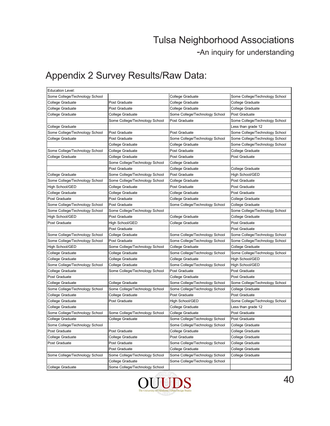-An inquiry for understanding

| <b>Education Level:</b>        |                                |                                |                                |
|--------------------------------|--------------------------------|--------------------------------|--------------------------------|
| Some College/Technology School |                                | College Graduate               | Some College/Technology School |
| College Graduate               | Post Graduate                  | College Graduate               | College Graduate               |
| College Graduate               | Post Graduate                  | College Graduate               | College Graduate               |
| College Graduate               | <b>College Graduate</b>        | Some College/Technology School | Post Graduate                  |
|                                | Some College/Technology School | Post Graduate                  | Some College/Technology School |
| College Graduate               |                                |                                | Less than grade 12             |
| Some College/Technology School | Post Graduate                  | Post Graduate                  | Some College/Technology School |
| College Graduate               | Post Graduate                  | Some College/Technology School | Some College/Technology School |
|                                | College Graduate               | College Graduate               | Some College/Technology School |
| Some College/Technology School | College Graduate               | Post Graduate                  | College Graduate               |
| College Graduate               | College Graduate               | Post Graduate                  | Post Graduate                  |
|                                | Some College/Technology School | College Graduate               |                                |
|                                | Post Graduate                  | College Graduate               | College Graduate               |
| College Graduate               | Some College/Technology School | Post Graduate                  | High School/GED                |
| Some College/Technology School | Some College/Technology School | College Graduate               | Post Graduate                  |
| High School/GED                | College Graduate               | Post Graduate                  | Post Graduate                  |
| College Graduate               | College Graduate               | College Graduate               | Post Graduate                  |
| Post Graduate                  | Post Graduate                  | College Graduate               | College Graduate               |
| Some College/Technology School | Post Graduate                  | Some College/Technology School | College Graduate               |
| Some College/Technology School | Some College/Technology School |                                | Some College/Technology School |
| High School/GED                | Post Graduate                  | College Graduate               | College Graduate               |
| Post Graduate                  | High School/GED                | College Graduate               | Post Graduate                  |
|                                | Post Graduate                  |                                | Post Graduate                  |
| Some College/Technology School | College Graduate               | Some College/Technology School | Some College/Technology School |
| Some College/Technology School | Post Graduate                  | Some College/Technology School | Some College/Technology School |
| High School/GED                | Some College/Technology School | College Graduate               | College Graduate               |
| College Graduate               | College Graduate               | Some College/Technology School | Some College/Technology School |
| College Graduate               | College Graduate               | College Graduate               | High School/GED                |
| Some College/Technology School | College Graduate               | Some College/Technology School | High School/GED                |
| College Graduate               | Some College/Technology School | Post Graduate                  | Post Graduate                  |
| Post Graduate                  |                                | College Graduate               | Post Graduate                  |
| College Graduate               | College Graduate               | Some College/Technology School | Some College/Technology School |
| Some College/Technology School | Some College/Technology School | Some College/Technology School | College Graduate               |
| College Graduate               | College Graduate               | Post Graduate                  | Post Graduate                  |
| College Graduate               | Post Graduate                  | High School/GED                | Some College/Technology School |
| College Graduate               |                                | College Graduate               | Less than grade 12             |
| Some College/Technology School | Some College/Technology School | College Graduate               | Post Graduate                  |
| College Graduate               | College Graduate               | Some College/Technology School | Post Graduate                  |
| Some College/Technology School |                                | Some College/Technology School | College Graduate               |
| Post Graduate                  | Post Graduate                  | College Graduate               | College Graduate               |
| College Graduate               | College Graduate               | Post Graduate                  | College Graduate               |
| Post Graduate                  | Post Graduate                  | Some College/Technology School | College Graduate               |
|                                | Post Graduate                  | College Graduate               | College Graduate               |
| Some College/Technology School | Some College/Technology School | Some College/Technology School | College Graduate               |
|                                | College Graduate               | Some College/Technology School |                                |
| College Graduate               | Some College/Technology School |                                |                                |

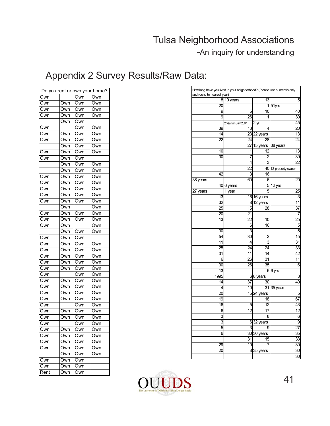-An inquiry for understanding

| Do you rent or own your home? |     |     |     |
|-------------------------------|-----|-----|-----|
| Own                           |     | Own | Own |
| Own                           | Own | Own | Own |
| Own                           | Own | Own | Own |
| Own                           | Own | Own | Own |
|                               | Own | Own |     |
| Own                           |     | Own | Own |
| Own                           | Own | Own | Own |
| Own                           | Own | Own | Own |
|                               | Own | Own | Own |
| Own                           | Own | Own | Own |
| Own                           | Own | Own |     |
|                               | Own | Own | Own |
|                               | Own | Own | Own |
| Own                           | Own | Own | Own |
| Own                           | Own | Own | Own |
| Own                           | Own | Own | Own |
| Own                           | Own | Own | Own |
| Own                           | Own | Own | Own |
|                               | Own |     | Own |
| Own                           | Own | Own | Own |
| Own                           | Own | Own | Own |
| Own                           | Own |     | Own |
|                               | Own | Own | Own |
| Own                           | Own | Own |     |
| Own                           | Own | Own | Own |
| Own                           | Own | Own | Own |
| Own                           | Own | Own | Own |
| Own                           | Own | Own | Own |
| Own                           | Own | Own | Own |
| Own                           |     | Own | Own |
| Own                           | Own | Own | Own |
| Own                           | Own | Own | Own |
| Own                           | Own | Own | Own |
| Own                           | Own | Own | Own |
| Own                           |     | Own | Own |
| Own                           | Own | Own | Own |
| Own                           | Own | Own | Own |
| Own                           |     | Own | Own |
| )wn                           | Own | Own | Own |
| Own                           | Own | Own | Own |
| Own                           | Own | Own | Own |
| Own                           | Own | Own | Own |
|                               | Own | Own | Own |
| Own                           | Own | Own |     |
| Own                           | Own | Own |     |
| Rent                          | Own | Own |     |

|          |          | 810 years            | 13                     | 5                    |
|----------|----------|----------------------|------------------------|----------------------|
|          | 20       |                      |                        | $1 51$ yrs           |
|          | 9        | 5                    | 10                     | 40                   |
|          | 9        | 26                   | 1                      | 30                   |
|          |          | 2 years in July 2007 | $2 \underline{yr}$     | 45                   |
|          | 39       | 13                   | 4                      | 20                   |
|          | 14       |                      | $23$ 22 years          | 13                   |
|          | 22       | 24                   | 28                     | 24                   |
|          |          | 27                   | 15 years               | 38 years             |
|          | 10       | 11                   | 12                     | 13                   |
|          | 30       | 7                    | 2                      | 39                   |
|          |          | 4                    | 3                      | 22                   |
|          |          | 22                   |                        | 40 12-property owner |
|          | 42       | 3                    | 16                     |                      |
| 38 years |          | 60                   | 6                      | 20                   |
|          |          | 40 6 years           | 5<br>5                 | 12 yrs               |
| 27 years | 13       | 1 year               |                        | $\overline{2}5$<br>3 |
|          | 32       | 16<br>8              | 16 years<br>12 years   | 11                   |
|          | 25       | 15                   | 28                     | 37                   |
|          | 20       | 21                   |                        | 7                    |
|          | 13       | 22                   | 10                     | $\overline{25}$      |
|          |          | 6                    | 16                     | 5                    |
|          | 30       | 3                    |                        | 5                    |
|          | 54       | 30                   | 2                      | 15                   |
|          | 11       | 4                    | $\overline{3}$         | 31                   |
|          | 25       | 24                   | 24                     | 33                   |
|          | 31       | 11                   | 14                     | 42                   |
|          | 6        | 26                   | 31                     | 11                   |
|          | 30       | 26                   | 35                     | 6                    |
|          | 13       |                      |                        | $6 6$ yrs            |
|          | 1995     |                      | $6 8$ years            | 3                    |
|          | 14       | 37                   | 30                     | 40                   |
|          | 4        | 10                   |                        | $31$ 35 years        |
|          | 20       |                      | $15$  24 years         | 5                    |
|          | 19       |                      | 18                     | 67                   |
|          | 16       | 5                    | 12                     | 43                   |
|          | 6        | 12                   | 17                     | 12                   |
|          | 3        |                      | 8                      | 6                    |
|          | 3        |                      | $6 32$ years           | 9                    |
|          | 5        | 3                    | 9                      | 27                   |
|          | 6        |                      | $30 30$ years          | 35                   |
|          |          | 31<br>10             | $\overline{15}$<br>7   | $\overline{33}$      |
|          | 29<br>20 |                      |                        | 30<br>30             |
|          |          |                      | $8\overline{3}5$ years | 30                   |

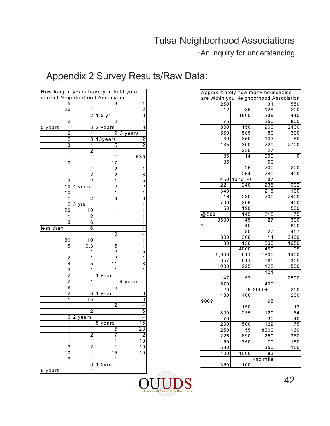-An inquiry for understanding

| How long in years have you held your |                         |                         |                                  |                                  |
|--------------------------------------|-------------------------|-------------------------|----------------------------------|----------------------------------|
|                                      |                         |                         | current Neighborhood Association |                                  |
|                                      | 5                       |                         | 3                                | 1                                |
|                                      | 20                      | 1                       | 1                                | $\overline{c}$                   |
|                                      |                         | $\overline{2}$          | 1.5<br>yr                        | 3                                |
|                                      | 2                       |                         | $\overline{2}$                   | $\overline{1}$                   |
| 5<br>years                           |                         | 3                       | 2<br>years                       | 3                                |
|                                      | 6                       | 1                       | $\overline{12}$                  | 3<br>years                       |
|                                      | $\overline{c}$<br>3     | 3<br>1                  | 13years<br>5                     | $\overline{c}$<br>$\overline{2}$ |
|                                      |                         |                         |                                  |                                  |
|                                      | 1                       | $\overline{c}$<br>1     | 1                                | 635                              |
|                                      | $\overline{10}$         |                         | 17                               |                                  |
|                                      |                         | 1                       | $\overline{c}$                   | 1                                |
|                                      |                         | $\overline{2}$          | $\overline{c}$                   | 3                                |
|                                      | 3                       | 2                       | 1                                | 5                                |
|                                      | 10                      | 4<br>years              | 2                                | $\overline{c}$                   |
|                                      | 10                      |                         | 1                                | 1                                |
|                                      | 1                       | 2                       | 3                                | 3                                |
|                                      | $\overline{2}$          | 3<br>yrs                |                                  | 1                                |
|                                      | 20                      | 10                      |                                  | 1                                |
|                                      | 1                       | 2                       | 1                                | 1                                |
|                                      | 3                       | 6                       |                                  | 1                                |
| less than                            | 1                       | 6                       |                                  | 1                                |
|                                      |                         | 1                       | 0                                | 4                                |
|                                      | 30                      | 10                      | 1                                | 1                                |
|                                      | 5                       | 0.3                     | 5                                | $\overline{1}$                   |
|                                      |                         | 1                       | 2                                | 5                                |
|                                      | 2                       | 1                       | 2                                | 1                                |
|                                      | 4                       | 5                       | 1<br>1                           | 3                                |
|                                      | 3                       | 1                       | 1                                | 1                                |
|                                      | $\overline{c}$          |                         | 1<br>year                        |                                  |
|                                      | $\overline{2}$          | $\overline{\mathbf{1}}$ |                                  | 4 years                          |
|                                      | 6                       |                         | 5                                |                                  |
|                                      | $\overline{\mathbf{c}}$ | 3                       | 1<br>year                        | 6                                |
|                                      | 1                       | 15                      |                                  | 8                                |
|                                      | 1                       |                         | 2                                | 4                                |
|                                      |                         | 2                       |                                  | 6                                |
|                                      | 6                       | 2<br>years              | 1                                | 4                                |
|                                      | 1                       |                         | 5<br>years                       | 15                               |
|                                      | 1                       | 1                       | 5                                | 23                               |
|                                      | 1                       | $\overline{\mathbf{c}}$ | 7                                | $\overline{\mathbf{c}}$          |
|                                      | 1                       | $\overline{\mathbf{1}}$ | 1                                | 10                               |
|                                      | 3                       | $\overline{2}$          | 1                                | 10                               |
|                                      | 10                      |                         | 15                               | 10                               |
|                                      | 3                       | 1                       | 1                                |                                  |
|                                      |                         | 3                       | $1.5$ yrs                        |                                  |
| 6 years                              |                         | 1                       |                                  |                                  |

| Approximately how many households<br>are within you Neighborhood Association |                  |                  |                  |  |
|------------------------------------------------------------------------------|------------------|------------------|------------------|--|
|                                                                              |                  |                  |                  |  |
| 250                                                                          |                  | $\overline{31}$  | 550              |  |
| $\overline{12}$                                                              | 86               | 128              | 200              |  |
|                                                                              | 1800             | 238              | 440              |  |
| $\overline{75}$                                                              |                  | 250              | 800              |  |
| 800                                                                          | 150              | 900              | 2400             |  |
| 550                                                                          | 585              | 80               | 300              |  |
| $\overline{30}$                                                              | 350              | 103              | 80               |  |
| 135                                                                          | 300              | $\overline{220}$ | 2700             |  |
|                                                                              | 235              | $\overline{27}$  |                  |  |
| 85                                                                           | 14               | 1000             | 6                |  |
| $\overline{35}$                                                              |                  | 50               |                  |  |
|                                                                              | 25               | 200              | $\overline{200}$ |  |
|                                                                              | 264              | 240              | 400              |  |
| 450                                                                          | to 50<br>40      | 87               |                  |  |
| $\overline{221}$                                                             | $\overline{240}$ | 235              | 902              |  |
| 340                                                                          |                  | $\overline{215}$ | 100              |  |
| 16                                                                           | 280              | 200              | 2400             |  |
| 700                                                                          | 209              |                  | 400              |  |
| 50                                                                           | 190              |                  | 500              |  |
| @500                                                                         | 145              | 215              | $\overline{75}$  |  |
| 3500                                                                         | 45               | 27               | 390              |  |
| ?                                                                            | 40               |                  | 800              |  |
|                                                                              | $\overline{80}$  | $\overline{27}$  | 457              |  |
| 300                                                                          | 360              | 14               | 2400             |  |
| 30                                                                           | 150              | 500              | 1650             |  |
|                                                                              | 4000             | 450              | 95               |  |
| 5,000                                                                        | 611              | 1800             | 1400             |  |
| 357                                                                          | 611              | $\overline{565}$ | 305              |  |
| 1000                                                                         | 225              | 128              | 500              |  |
|                                                                              |                  | 121              |                  |  |
| 147                                                                          | 52               |                  | 2500             |  |
| 570                                                                          |                  | 400              |                  |  |
| 20                                                                           | 79               | $2000+$          | 250              |  |
| 180                                                                          | 486              |                  | 200              |  |
| 900?                                                                         |                  | 95               |                  |  |
|                                                                              | 150              |                  | 12               |  |
| 800                                                                          | 235              | $\overline{129}$ | 64               |  |
| 70                                                                           |                  | 30               | 40               |  |
| 200                                                                          | $\overline{500}$ | 129              | $\overline{75}$  |  |
| 250                                                                          | $\overline{55}$  | 8600             | 160              |  |
| 226                                                                          | 690              | $\overline{250}$ | 360              |  |
| 50                                                                           | $\overline{350}$ | 70               | 150              |  |
| 530                                                                          |                  | 350              | 150              |  |
| 100                                                                          | 1000             | 83               |                  |  |
|                                                                              |                  | 4sq<br>mile      |                  |  |
| 360                                                                          | 100              |                  |                  |  |

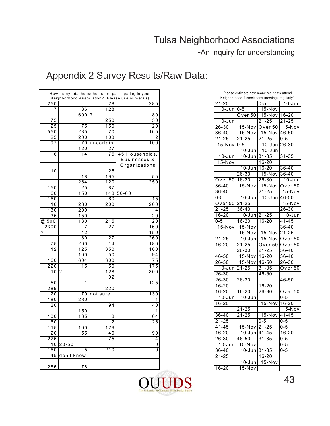-An inquiry for understanding

|                  |                  |                  | How many total households are participating in your<br>Neighborhood Association? (Please use numerals) |
|------------------|------------------|------------------|--------------------------------------------------------------------------------------------------------|
| 250              |                  | 28               | 285                                                                                                    |
| 7                | 86               | 128              |                                                                                                        |
|                  | 600              | ?                | 80                                                                                                     |
| 75               |                  | 250              | 50                                                                                                     |
| 25               | 75               | 150              | 20                                                                                                     |
| 550              | 285              | 70               | 165                                                                                                    |
| 25               | 200              | 103              | 2                                                                                                      |
| 97               | 70               | uncertain        | 100                                                                                                    |
|                  | 120              | 27               |                                                                                                        |
| 6                | 14               | 75               | 45 Households,                                                                                         |
|                  |                  |                  | Businesses &                                                                                           |
|                  |                  |                  | Organizations                                                                                          |
| 10               |                  | 25               |                                                                                                        |
|                  | 18               | 195              | 55                                                                                                     |
|                  | $\frac{26}{4}$   | $\overline{120}$ | 250                                                                                                    |
| 150              | 25               | 87               |                                                                                                        |
| 60               | 150              | 148              | $50 - 60$                                                                                              |
|                  |                  |                  |                                                                                                        |
| 160              |                  | 60               | 15<br>200                                                                                              |
| 16               | 280              | $\overline{2}00$ |                                                                                                        |
| 130              | 209              |                  | 4                                                                                                      |
| 35               | $\overline{150}$ |                  | 20                                                                                                     |
| @ 500            | 130              | 215              | 20                                                                                                     |
| 2300             | 7                | 27               | 160                                                                                                    |
| ?                | 42               |                  | 150                                                                                                    |
|                  | $\overline{8}0$  | 27               | 260                                                                                                    |
| 75               | 200              | 14               | 180                                                                                                    |
| 12               | 125              | 350              | 100                                                                                                    |
|                  | 100              | 50               | 94                                                                                                     |
| 160              | 604              | 300              | 75                                                                                                     |
| 220              | 15               | 50               | 175                                                                                                    |
| 10               | ?                | 128              | 300                                                                                                    |
|                  |                  | 92               |                                                                                                        |
| 50               | 1                |                  | 125                                                                                                    |
| 289              |                  | 220              |                                                                                                        |
| 20               | 79               | not sure         | 130                                                                                                    |
| 180              | 280              |                  | 1                                                                                                      |
| 20               |                  | 94               | 40                                                                                                     |
|                  | 150              |                  | 1                                                                                                      |
| 100              | 135              | 8                | 64                                                                                                     |
| 60               |                  | 2                | 26                                                                                                     |
| 115              | 100              | 129              |                                                                                                        |
| 20               | 55               | 40               | 90                                                                                                     |
| 226              |                  | 75               | 4                                                                                                      |
| 10               | $20 - 50$        |                  | 0                                                                                                      |
| $\overline{160}$ | 5                | $\frac{1}{210}$  | 0                                                                                                      |
| 45               | don't know       |                  |                                                                                                        |
|                  |                  |                  |                                                                                                        |
| 285              | 78               |                  |                                                                                                        |

| Please estimate how many residents attend |                    |                                               |            |
|-------------------------------------------|--------------------|-----------------------------------------------|------------|
|                                           |                    | Neighborhood Associations meetings regularly? |            |
| $21 - 25$                                 |                    | $0 - 5$                                       | $10 - Jun$ |
| $10 - Jun$                                | $0 - 5$            | 15-Nov                                        |            |
|                                           | Over 50            | $15-Nov$                                      | 16-20      |
| $10 - Jun$                                |                    | $21 - 25$                                     | $21 - 25$  |
| 26-30                                     | 15-Nov             | Over 50                                       | $15-Nov$   |
| $36 - 40$                                 | $15 - Nov$         | $15-Nov$                                      | $46 - 50$  |
| $21 - 25$                                 | $21 - 25$          | $21 - 25$                                     | $0 - 5$    |
| 15-Nov                                    | $0 - 5$            | 10-Jun                                        | 26-30      |
|                                           | $10 - Jun$         | 10-Jun                                        |            |
| $10 - Jun$                                | $10 - Jun$         | $31 - 35$                                     | $31 - 35$  |
| 15-Nov                                    |                    | $16 - 20$                                     |            |
|                                           | $10 - Jun$         | $16 - 20$                                     | 36-40      |
|                                           | $26 - 30$          | $15-Nov$                                      | $36 - 40$  |
| Over 50                                   | $16 - 20$          | 26-30                                         | 10-Jun     |
| 36-40                                     | 15-Nov             | 15-Nov                                        | Over 50    |
| 36-40                                     |                    | $21 - 25$                                     | 15-Nov     |
| $0 - 5$                                   | $10 - Jun$         | $10 - Jun$                                    | 46-50      |
| Over $50$                                 | $2\overline{1-25}$ |                                               | $15-Nov$   |
| $21 - 25$                                 | 36-40              |                                               | $26 - 30$  |
| $16 - 20$                                 |                    |                                               |            |
|                                           | $10 - Jun$         | $21 - 25$                                     | 10-Jun     |
| $0 - 5$                                   | 16-20              | 16-20                                         | $41 - 45$  |
| 15-Nov                                    | 15-Nov             |                                               | $36 - 40$  |
|                                           | 15-Nov             | $15-Nov$                                      | $21 - 25$  |
| $21 - 25$                                 | $10 - Jun$         | 15-Nov                                        | Over $50$  |
| $16 - 20$                                 | $2\overline{1-25}$ | Over $50$                                     | Over $50$  |
|                                           | 26-30              | $21 - 25$                                     | $36 - 40$  |
| 46-50                                     | 15-Nov             | 16-20                                         | 36-40      |
| $26 - 30$                                 | 15-Nov             | $46 - 50$                                     | 26-30      |
| $10 - Jun$                                | $21 - 25$          | $31 - 35$                                     | Over 50    |
| $26 - 30$                                 |                    | $46 - 50$                                     |            |
| $26 - 30$                                 | 26-30              |                                               | 46-50      |
| $16 - 20$                                 |                    | $16 - 20$                                     |            |
| $16 - 20$                                 | 16-20              | 26-30                                         | Over 50    |
| $10 - Jun$                                | $10 - Jun$         |                                               | $0 - 5$    |
| 16-20                                     |                    | $15-Nov$                                      | $16 - 20$  |
|                                           | 21-25              |                                               | 15-Nov     |
| 36-40                                     | $21 - 25$          | 15-Nov                                        | $41 - 45$  |
| $21 - 25$                                 |                    | $0 - 5$                                       | $0 - 5$    |
| $41 - 45$                                 | 15-Nov             | $21 - 25$                                     | $0 - 5$    |
| 16-20                                     | 10-Jun             | 41-45                                         | 16-20      |
| 26-30                                     | 46-50              | $31 - 35$                                     | $0 - 5$    |
| $10 - Jun$                                | 15-Nov             |                                               | $0 - 5$    |
| 36-40                                     | 10-Jun             | 31-35                                         | 0-5        |
| $21 - 25$                                 |                    | $16 - 20$                                     |            |
|                                           | $10 - Jun$         | $15-Nov$                                      |            |
| $16 - 20$                                 | 15-Nov             |                                               |            |
|                                           |                    |                                               |            |

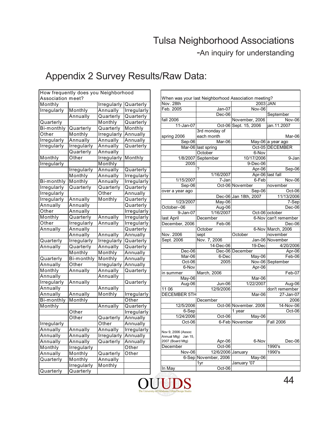-An inquiry for understanding

|                    | How frequently does you Neighborhood |                    |                    |
|--------------------|--------------------------------------|--------------------|--------------------|
| Association meet?  |                                      |                    |                    |
| Monthly            |                                      | Irregularly        | Quarterly          |
| Irregularly        | Monthly                              | Annually           | Irregularly        |
|                    | Annually                             | Quarterly          | Quarterly          |
| Quarterly          |                                      | Monthly            | Quarterly          |
| Bi-monthly         | Quarterly                            | Quarterly          | Monthly            |
| Other              | Monthly                              | <b>Irregularly</b> | Annually           |
| Irregularly        | Annually                             | Annually           | Annually           |
| Irregularly        | <b>Irregularly</b>                   | Annually           | Quarterly          |
|                    | Quarterly                            | Annually           |                    |
| Monthly            | Other                                | Irregularly        | Monthly            |
| <b>Irregularly</b> |                                      | Monthly            |                    |
|                    | Irregularly                          | Annually           | Quarterly          |
|                    | Monthly                              | Annually           | Irregularly        |
| Bi-monthly         | Monthly                              | Annually           | <b>Irregularly</b> |
| Irregularly        | Quarterly                            | Quarterly          | Quarterly          |
| Irregularly        |                                      | Other              | Annually           |
| <b>Irregularly</b> | Annually                             | Monthly            | Quarterly          |
| Annually           | Annually                             |                    | Quarterly          |
| Other              | Annually                             |                    | <b>Irregularly</b> |
| Monthly            | Quarterly                            | Annually           | <b>Irregularly</b> |
| Other              | Irregularly                          | Annually           | Irregularly        |
| Annually           | Annually                             |                    | Quarterly          |
|                    | Annually                             | Annually           | Annually           |
| Quarterly          | <b>Irregularly</b>                   | <b>Irregularly</b> | Quarterly          |
| Annually           | Quarterly                            | Annually           | Quarterly          |
|                    | Monthly                              | Monthly            | Annually           |
| Quarterly          | Bi-monthly                           | Monthly            | Annually           |
| Annually           | Other                                | Irregularly        | Annually           |
| Monthly            | Annually                             | Annually           | Quarterly          |
| Annually           |                                      | Annually           |                    |
| Irregularly        | Annually                             |                    | Quarterly          |
| Annually           |                                      | Annually           |                    |
| Annually           | Annually                             | Monthly            | <b>Irregularly</b> |
| Bi-monthly         | Monthly                              |                    | Other              |
| Monthly            |                                      | Annually           | Quarterly          |
|                    | Other                                |                    | Irregularly        |
|                    | Other                                | Quarterly          | Annually           |
| Irregularly        |                                      | Other              | Annually           |
| Annuallv           | Annuallv                             | Annually           | Irregularly        |
| Annually           | Annually                             | Irregularly        | Annually           |
| Annually           | Annually                             | Quarterly          | Annually           |
| Monthly            | Irregularly                          |                    | Other              |
| Annually           | Monthly                              | Quarterly          | Other              |
| Quarterly          | Monthly                              | Annually           |                    |
|                    | Irregularly                          | Monthly            |                    |
| Quarterly          | Quarterly                            |                    |                    |
|                    |                                      |                    |                    |

| When was your last Neighborhood Association meeting?<br>Nov. 28th<br>2003 JAN<br>Feb. 2005<br>Jan-07<br>Nov-06<br>Dec-06<br>September<br>fall 2006<br>November, 2006<br>Nov-06<br>11-Jan-07<br>Oct-06 Sept. 15, 2006<br>jan.11.2007<br>3rd monday of<br>each month<br>spring 2006<br>Mar-06<br>Sep-06<br>Mar-06<br>May-06 a year ago<br>Oct-05 DECEMBER<br>Mar-06 last spring<br>6-Nov<br>October<br>10/17/2006<br>1/8/2007<br>September<br>9-Jan<br>9-Dec-06<br>2005<br>?<br>Apr-06<br>Sep-06<br>1/16/2007<br>Apr-06 last fall<br>6-Feb<br>1/15/2007<br>7-Jan<br><b>Nov-06</b><br>Sep-06<br>Oct-06 November<br>november<br>Sep-06<br>Oct-06<br>over a year ago<br>Dec-06 Jan 18th, 2007<br>11/13/2006<br>1/23/2007<br>May-06<br>7-Sep<br>$\overline{Aug-06}$<br>October--06<br>Dec-06<br>1/16/2007<br>9-Jan-07<br>Oct-06 october<br>last April<br>December<br>6-Nov can't remember<br>December, 2006<br>Feb-06<br>Dec-06<br>October<br>6-Nov March, 2006<br>Nov. 2006<br>October<br>november<br>sept<br>Sept. 2006<br>Nov. 7, 2006<br>Jan-06 November<br>14-Dec-06<br>19-Dec<br>4/20/2006<br>Dec-06<br>Dec-06 December<br>Apr-06<br>Mar-06<br>6-Dec<br>May-06<br>Feb-06<br>2005<br>Nov-06 September<br>Oct-06<br>6-Nov<br>Apr-06<br>March, 2006<br>Feb-07<br>in summer<br>$May-06$<br>Mar-06<br>1/22/2007<br>Aug-06<br>Jun-06<br>Aug-06<br>12/9/2006<br>11 06<br>don't remember<br><b>DECEMBER 5TH</b><br>27-Jan-07<br>Mar-06<br>2006<br>December<br>12/5/2006<br>Oct-06 November. 2006<br>14-Nov-06<br>6-Sep<br>Oct-06<br>1 year<br>1/24/2006<br>Oct-06<br>May-06<br>Oct-06<br>6-Feb November<br><b>Fall 2006</b><br>Nov 9, 2006 (Assoc<br>Annual Mtg) Jan 15, |        |        |  |
|------------------------------------------------------------------------------------------------------------------------------------------------------------------------------------------------------------------------------------------------------------------------------------------------------------------------------------------------------------------------------------------------------------------------------------------------------------------------------------------------------------------------------------------------------------------------------------------------------------------------------------------------------------------------------------------------------------------------------------------------------------------------------------------------------------------------------------------------------------------------------------------------------------------------------------------------------------------------------------------------------------------------------------------------------------------------------------------------------------------------------------------------------------------------------------------------------------------------------------------------------------------------------------------------------------------------------------------------------------------------------------------------------------------------------------------------------------------------------------------------------------------------------------------------------------------------------------------------------------------------------------------------------------------|--------|--------|--|
|                                                                                                                                                                                                                                                                                                                                                                                                                                                                                                                                                                                                                                                                                                                                                                                                                                                                                                                                                                                                                                                                                                                                                                                                                                                                                                                                                                                                                                                                                                                                                                                                                                                                  |        |        |  |
|                                                                                                                                                                                                                                                                                                                                                                                                                                                                                                                                                                                                                                                                                                                                                                                                                                                                                                                                                                                                                                                                                                                                                                                                                                                                                                                                                                                                                                                                                                                                                                                                                                                                  |        |        |  |
|                                                                                                                                                                                                                                                                                                                                                                                                                                                                                                                                                                                                                                                                                                                                                                                                                                                                                                                                                                                                                                                                                                                                                                                                                                                                                                                                                                                                                                                                                                                                                                                                                                                                  |        |        |  |
|                                                                                                                                                                                                                                                                                                                                                                                                                                                                                                                                                                                                                                                                                                                                                                                                                                                                                                                                                                                                                                                                                                                                                                                                                                                                                                                                                                                                                                                                                                                                                                                                                                                                  |        |        |  |
|                                                                                                                                                                                                                                                                                                                                                                                                                                                                                                                                                                                                                                                                                                                                                                                                                                                                                                                                                                                                                                                                                                                                                                                                                                                                                                                                                                                                                                                                                                                                                                                                                                                                  |        |        |  |
|                                                                                                                                                                                                                                                                                                                                                                                                                                                                                                                                                                                                                                                                                                                                                                                                                                                                                                                                                                                                                                                                                                                                                                                                                                                                                                                                                                                                                                                                                                                                                                                                                                                                  |        |        |  |
|                                                                                                                                                                                                                                                                                                                                                                                                                                                                                                                                                                                                                                                                                                                                                                                                                                                                                                                                                                                                                                                                                                                                                                                                                                                                                                                                                                                                                                                                                                                                                                                                                                                                  |        |        |  |
|                                                                                                                                                                                                                                                                                                                                                                                                                                                                                                                                                                                                                                                                                                                                                                                                                                                                                                                                                                                                                                                                                                                                                                                                                                                                                                                                                                                                                                                                                                                                                                                                                                                                  |        |        |  |
|                                                                                                                                                                                                                                                                                                                                                                                                                                                                                                                                                                                                                                                                                                                                                                                                                                                                                                                                                                                                                                                                                                                                                                                                                                                                                                                                                                                                                                                                                                                                                                                                                                                                  |        |        |  |
|                                                                                                                                                                                                                                                                                                                                                                                                                                                                                                                                                                                                                                                                                                                                                                                                                                                                                                                                                                                                                                                                                                                                                                                                                                                                                                                                                                                                                                                                                                                                                                                                                                                                  |        |        |  |
|                                                                                                                                                                                                                                                                                                                                                                                                                                                                                                                                                                                                                                                                                                                                                                                                                                                                                                                                                                                                                                                                                                                                                                                                                                                                                                                                                                                                                                                                                                                                                                                                                                                                  |        |        |  |
|                                                                                                                                                                                                                                                                                                                                                                                                                                                                                                                                                                                                                                                                                                                                                                                                                                                                                                                                                                                                                                                                                                                                                                                                                                                                                                                                                                                                                                                                                                                                                                                                                                                                  |        |        |  |
|                                                                                                                                                                                                                                                                                                                                                                                                                                                                                                                                                                                                                                                                                                                                                                                                                                                                                                                                                                                                                                                                                                                                                                                                                                                                                                                                                                                                                                                                                                                                                                                                                                                                  |        |        |  |
|                                                                                                                                                                                                                                                                                                                                                                                                                                                                                                                                                                                                                                                                                                                                                                                                                                                                                                                                                                                                                                                                                                                                                                                                                                                                                                                                                                                                                                                                                                                                                                                                                                                                  |        |        |  |
|                                                                                                                                                                                                                                                                                                                                                                                                                                                                                                                                                                                                                                                                                                                                                                                                                                                                                                                                                                                                                                                                                                                                                                                                                                                                                                                                                                                                                                                                                                                                                                                                                                                                  |        |        |  |
|                                                                                                                                                                                                                                                                                                                                                                                                                                                                                                                                                                                                                                                                                                                                                                                                                                                                                                                                                                                                                                                                                                                                                                                                                                                                                                                                                                                                                                                                                                                                                                                                                                                                  |        |        |  |
|                                                                                                                                                                                                                                                                                                                                                                                                                                                                                                                                                                                                                                                                                                                                                                                                                                                                                                                                                                                                                                                                                                                                                                                                                                                                                                                                                                                                                                                                                                                                                                                                                                                                  |        |        |  |
|                                                                                                                                                                                                                                                                                                                                                                                                                                                                                                                                                                                                                                                                                                                                                                                                                                                                                                                                                                                                                                                                                                                                                                                                                                                                                                                                                                                                                                                                                                                                                                                                                                                                  |        |        |  |
|                                                                                                                                                                                                                                                                                                                                                                                                                                                                                                                                                                                                                                                                                                                                                                                                                                                                                                                                                                                                                                                                                                                                                                                                                                                                                                                                                                                                                                                                                                                                                                                                                                                                  |        |        |  |
|                                                                                                                                                                                                                                                                                                                                                                                                                                                                                                                                                                                                                                                                                                                                                                                                                                                                                                                                                                                                                                                                                                                                                                                                                                                                                                                                                                                                                                                                                                                                                                                                                                                                  |        |        |  |
|                                                                                                                                                                                                                                                                                                                                                                                                                                                                                                                                                                                                                                                                                                                                                                                                                                                                                                                                                                                                                                                                                                                                                                                                                                                                                                                                                                                                                                                                                                                                                                                                                                                                  |        |        |  |
|                                                                                                                                                                                                                                                                                                                                                                                                                                                                                                                                                                                                                                                                                                                                                                                                                                                                                                                                                                                                                                                                                                                                                                                                                                                                                                                                                                                                                                                                                                                                                                                                                                                                  |        |        |  |
|                                                                                                                                                                                                                                                                                                                                                                                                                                                                                                                                                                                                                                                                                                                                                                                                                                                                                                                                                                                                                                                                                                                                                                                                                                                                                                                                                                                                                                                                                                                                                                                                                                                                  |        |        |  |
|                                                                                                                                                                                                                                                                                                                                                                                                                                                                                                                                                                                                                                                                                                                                                                                                                                                                                                                                                                                                                                                                                                                                                                                                                                                                                                                                                                                                                                                                                                                                                                                                                                                                  |        |        |  |
|                                                                                                                                                                                                                                                                                                                                                                                                                                                                                                                                                                                                                                                                                                                                                                                                                                                                                                                                                                                                                                                                                                                                                                                                                                                                                                                                                                                                                                                                                                                                                                                                                                                                  |        |        |  |
|                                                                                                                                                                                                                                                                                                                                                                                                                                                                                                                                                                                                                                                                                                                                                                                                                                                                                                                                                                                                                                                                                                                                                                                                                                                                                                                                                                                                                                                                                                                                                                                                                                                                  |        |        |  |
|                                                                                                                                                                                                                                                                                                                                                                                                                                                                                                                                                                                                                                                                                                                                                                                                                                                                                                                                                                                                                                                                                                                                                                                                                                                                                                                                                                                                                                                                                                                                                                                                                                                                  |        |        |  |
|                                                                                                                                                                                                                                                                                                                                                                                                                                                                                                                                                                                                                                                                                                                                                                                                                                                                                                                                                                                                                                                                                                                                                                                                                                                                                                                                                                                                                                                                                                                                                                                                                                                                  |        |        |  |
|                                                                                                                                                                                                                                                                                                                                                                                                                                                                                                                                                                                                                                                                                                                                                                                                                                                                                                                                                                                                                                                                                                                                                                                                                                                                                                                                                                                                                                                                                                                                                                                                                                                                  |        |        |  |
|                                                                                                                                                                                                                                                                                                                                                                                                                                                                                                                                                                                                                                                                                                                                                                                                                                                                                                                                                                                                                                                                                                                                                                                                                                                                                                                                                                                                                                                                                                                                                                                                                                                                  |        |        |  |
|                                                                                                                                                                                                                                                                                                                                                                                                                                                                                                                                                                                                                                                                                                                                                                                                                                                                                                                                                                                                                                                                                                                                                                                                                                                                                                                                                                                                                                                                                                                                                                                                                                                                  |        |        |  |
|                                                                                                                                                                                                                                                                                                                                                                                                                                                                                                                                                                                                                                                                                                                                                                                                                                                                                                                                                                                                                                                                                                                                                                                                                                                                                                                                                                                                                                                                                                                                                                                                                                                                  |        |        |  |
|                                                                                                                                                                                                                                                                                                                                                                                                                                                                                                                                                                                                                                                                                                                                                                                                                                                                                                                                                                                                                                                                                                                                                                                                                                                                                                                                                                                                                                                                                                                                                                                                                                                                  |        |        |  |
|                                                                                                                                                                                                                                                                                                                                                                                                                                                                                                                                                                                                                                                                                                                                                                                                                                                                                                                                                                                                                                                                                                                                                                                                                                                                                                                                                                                                                                                                                                                                                                                                                                                                  |        |        |  |
|                                                                                                                                                                                                                                                                                                                                                                                                                                                                                                                                                                                                                                                                                                                                                                                                                                                                                                                                                                                                                                                                                                                                                                                                                                                                                                                                                                                                                                                                                                                                                                                                                                                                  |        |        |  |
|                                                                                                                                                                                                                                                                                                                                                                                                                                                                                                                                                                                                                                                                                                                                                                                                                                                                                                                                                                                                                                                                                                                                                                                                                                                                                                                                                                                                                                                                                                                                                                                                                                                                  |        |        |  |
|                                                                                                                                                                                                                                                                                                                                                                                                                                                                                                                                                                                                                                                                                                                                                                                                                                                                                                                                                                                                                                                                                                                                                                                                                                                                                                                                                                                                                                                                                                                                                                                                                                                                  |        |        |  |
|                                                                                                                                                                                                                                                                                                                                                                                                                                                                                                                                                                                                                                                                                                                                                                                                                                                                                                                                                                                                                                                                                                                                                                                                                                                                                                                                                                                                                                                                                                                                                                                                                                                                  |        |        |  |
|                                                                                                                                                                                                                                                                                                                                                                                                                                                                                                                                                                                                                                                                                                                                                                                                                                                                                                                                                                                                                                                                                                                                                                                                                                                                                                                                                                                                                                                                                                                                                                                                                                                                  |        |        |  |
|                                                                                                                                                                                                                                                                                                                                                                                                                                                                                                                                                                                                                                                                                                                                                                                                                                                                                                                                                                                                                                                                                                                                                                                                                                                                                                                                                                                                                                                                                                                                                                                                                                                                  |        |        |  |
|                                                                                                                                                                                                                                                                                                                                                                                                                                                                                                                                                                                                                                                                                                                                                                                                                                                                                                                                                                                                                                                                                                                                                                                                                                                                                                                                                                                                                                                                                                                                                                                                                                                                  |        |        |  |
|                                                                                                                                                                                                                                                                                                                                                                                                                                                                                                                                                                                                                                                                                                                                                                                                                                                                                                                                                                                                                                                                                                                                                                                                                                                                                                                                                                                                                                                                                                                                                                                                                                                                  |        |        |  |
|                                                                                                                                                                                                                                                                                                                                                                                                                                                                                                                                                                                                                                                                                                                                                                                                                                                                                                                                                                                                                                                                                                                                                                                                                                                                                                                                                                                                                                                                                                                                                                                                                                                                  |        |        |  |
| 2007 (Board Mtg)<br>Apr-06<br>6-Nov<br>Dec-06                                                                                                                                                                                                                                                                                                                                                                                                                                                                                                                                                                                                                                                                                                                                                                                                                                                                                                                                                                                                                                                                                                                                                                                                                                                                                                                                                                                                                                                                                                                                                                                                                    |        |        |  |
| $Oct-06$<br>1990's<br>December                                                                                                                                                                                                                                                                                                                                                                                                                                                                                                                                                                                                                                                                                                                                                                                                                                                                                                                                                                                                                                                                                                                                                                                                                                                                                                                                                                                                                                                                                                                                                                                                                                   |        |        |  |
| 12/6/2006 January<br>1990's<br><b>Nov-06</b>                                                                                                                                                                                                                                                                                                                                                                                                                                                                                                                                                                                                                                                                                                                                                                                                                                                                                                                                                                                                                                                                                                                                                                                                                                                                                                                                                                                                                                                                                                                                                                                                                     |        |        |  |
| 6-Sep November, 2006<br>May-06                                                                                                                                                                                                                                                                                                                                                                                                                                                                                                                                                                                                                                                                                                                                                                                                                                                                                                                                                                                                                                                                                                                                                                                                                                                                                                                                                                                                                                                                                                                                                                                                                                   |        |        |  |
|                                                                                                                                                                                                                                                                                                                                                                                                                                                                                                                                                                                                                                                                                                                                                                                                                                                                                                                                                                                                                                                                                                                                                                                                                                                                                                                                                                                                                                                                                                                                                                                                                                                                  |        |        |  |
|                                                                                                                                                                                                                                                                                                                                                                                                                                                                                                                                                                                                                                                                                                                                                                                                                                                                                                                                                                                                                                                                                                                                                                                                                                                                                                                                                                                                                                                                                                                                                                                                                                                                  | In May | Oct-06 |  |
|                                                                                                                                                                                                                                                                                                                                                                                                                                                                                                                                                                                                                                                                                                                                                                                                                                                                                                                                                                                                                                                                                                                                                                                                                                                                                                                                                                                                                                                                                                                                                                                                                                                                  |        |        |  |
| 1yr<br>January '07                                                                                                                                                                                                                                                                                                                                                                                                                                                                                                                                                                                                                                                                                                                                                                                                                                                                                                                                                                                                                                                                                                                                                                                                                                                                                                                                                                                                                                                                                                                                                                                                                                               |        |        |  |

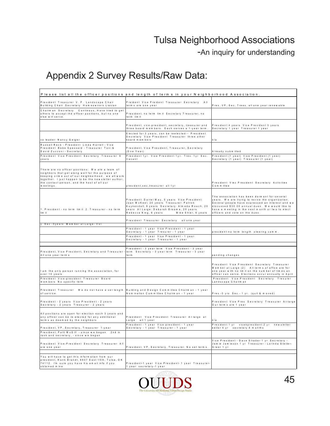-An inquiry for understanding

|                                                                                                                                                                                                                                                                                 | Please list all the officer positions and length of terms in your Neighborhood Association.                                                                                                                                               |                                                                                                                                                                                                                                                                                                |
|---------------------------------------------------------------------------------------------------------------------------------------------------------------------------------------------------------------------------------------------------------------------------------|-------------------------------------------------------------------------------------------------------------------------------------------------------------------------------------------------------------------------------------------|------------------------------------------------------------------------------------------------------------------------------------------------------------------------------------------------------------------------------------------------------------------------------------------------|
| President Treasurer V.P. Landscape Chair<br>Building Chair Secretary Homeowners Liasion                                                                                                                                                                                         | Preident Vice Preident Treasurer Secretary All<br>term s are one year                                                                                                                                                                     | Pres, VP, Sec, Treas, all one year renewable                                                                                                                                                                                                                                                   |
| Chairman Secretary Continous, Have tried to get<br>others to accept the officer positions, but no one<br>else will serve.                                                                                                                                                       | President, no term limit Secretary Treasurer, no<br>term lim it                                                                                                                                                                           |                                                                                                                                                                                                                                                                                                |
|                                                                                                                                                                                                                                                                                 | President, vice-president, secretary, treasurer and<br>three board members. Each serves a 1-year term.                                                                                                                                    | President 4 years Vice President 3 years<br>Secretary 1 year Treasurer 1 year                                                                                                                                                                                                                  |
| co leader: Nancy Geiger                                                                                                                                                                                                                                                         | Elected for 3 years, can be reelected -- President<br>Secretary Vice President Treasurer three other<br>board members                                                                                                                     | n/a                                                                                                                                                                                                                                                                                            |
| Russell Reck - President Linda Harrell - Vice<br>President Bebe Spessard - Treasurer Toni &<br>David Zucconi - Secretary                                                                                                                                                        | President, Vice President, Treasurer, Secretary<br>(One Year)                                                                                                                                                                             | A Iready submitted                                                                                                                                                                                                                                                                             |
| President Vice President Secretary Treasurer 6<br>years                                                                                                                                                                                                                         | President 1 yr. Vice President 1 yr. Tres. 1 yr Sec.<br>Vacant                                                                                                                                                                            | President (1 year) Vice President (1 year)<br>Secretary (1 year) Treasurer (1 year)                                                                                                                                                                                                            |
| There are no officer positions. We are a team of<br>neighbors that get along well for the purpose of<br>keeping crime out of our neighborhood. we all work<br>together. I just happen to be the new sletter author,<br>the contact person, and the host of all our<br>meetings. | president.sec.treasurer all 1 vr                                                                                                                                                                                                          | President Viec President Secretary Activities<br>Committee                                                                                                                                                                                                                                     |
| 1. President - no term lim it 2. Treasurer - no term<br>lim it                                                                                                                                                                                                                  | President: Darrel May, 5 years Vice President:<br>Joan McKeel, 20 years Treasurer: Patrick<br>Kuykendall, 8 years Secretary: Almeda Roach, 20<br>years At Large: Deborah Broome, 20 years<br>Rebecca King, 6 years<br>Mike Shier, 6 years | The association has been dorm ant for several<br>years. We are trying to revive the organization.<br>Several people have expressed an interest and we<br>discussed \$30.00 annual dues. We would like to<br>have a meeting in the next month or two to elect<br>officers and vote on the dues. |
|                                                                                                                                                                                                                                                                                 | President Treasurer Secretary allone year                                                                                                                                                                                                 |                                                                                                                                                                                                                                                                                                |
| y Sec.-3years Memberat Large - Vol.                                                                                                                                                                                                                                             | President - 1 year Vice President - 1 year                                                                                                                                                                                                |                                                                                                                                                                                                                                                                                                |
|                                                                                                                                                                                                                                                                                 | Secretary - 1 year Tresurer - 1 year                                                                                                                                                                                                      | president-no term length steering comm.                                                                                                                                                                                                                                                        |
|                                                                                                                                                                                                                                                                                 | President - 1 year Vice President - 1 year<br>Secretary - 1 year Treasurer - 1 year                                                                                                                                                       |                                                                                                                                                                                                                                                                                                |
|                                                                                                                                                                                                                                                                                 |                                                                                                                                                                                                                                           |                                                                                                                                                                                                                                                                                                |
| President, Vice President, Secretary and Treasurer<br>All one year terms                                                                                                                                                                                                        | President - 3 year term Vice President - 3 year<br>term Secretary - 3 year term Treasurer - 3 year<br>term                                                                                                                                | pending changes                                                                                                                                                                                                                                                                                |
| I am the only person running the association, for<br>over 10 years                                                                                                                                                                                                              |                                                                                                                                                                                                                                           | President Vice President Secretary Treasurer<br>Member at Large (2) All terms of office are for<br>one year with no limit on the number of times an<br>officer can serve. Elections occur annually in April                                                                                    |
| President Vice-president Treasurer Board<br>members No specific term                                                                                                                                                                                                            |                                                                                                                                                                                                                                           | President Vice President Secretary Tresurer<br>Landscape Chairman                                                                                                                                                                                                                              |
| President Treasurer We do not have a set length<br>of service.                                                                                                                                                                                                                  | Building and Design Committee Chairman - 1 year<br>Nomination Committee Chairman - 1 year                                                                                                                                                 | Pres.-3 yrs Sec.- 1 yr. (quit & moved)                                                                                                                                                                                                                                                         |
| President - 2 years Vice President - 2 years<br>Secretary - 2 years Treasurer - 2 years                                                                                                                                                                                         |                                                                                                                                                                                                                                           | President Vice Pres Secretary Treasurer At-large<br>Our term s are 1 year                                                                                                                                                                                                                      |
| All positions are open for election each 3 years and<br>any officer can be re-elected for any additional<br>term s as deem ed by the neighbors                                                                                                                                  | President Vice President Treasurer Atlarge at<br>Large all 1 year                                                                                                                                                                         | n / a                                                                                                                                                                                                                                                                                          |
| President, VP, Secretary, Treasurer 1-year                                                                                                                                                                                                                                      | President - 1 year Vice president - 1 year<br>Secretary - 1 year Treasurer - 1 year                                                                                                                                                       | President 1 yr vicekpresident 2 yr<br>new sletter<br>editor 4 yr secretary 6 m on th s                                                                                                                                                                                                         |
| President: Patti McGill - since we began 2nd in<br>rank and secretary, - since we began                                                                                                                                                                                         |                                                                                                                                                                                                                                           |                                                                                                                                                                                                                                                                                                |
| President Vice-President Secretary Treasurer All<br>are one year                                                                                                                                                                                                                | President, VP, Secretary, Treasurer. No set terms.                                                                                                                                                                                        | Vice President - Dave Strader 1 yr Secretary -<br>Jam je Jam jeson 1 vr Treasurer - Lorinda Stetler-<br><b>Greer 1 vr</b>                                                                                                                                                                      |
| You will have to get this information from our                                                                                                                                                                                                                                  |                                                                                                                                                                                                                                           |                                                                                                                                                                                                                                                                                                |
| president, Hank Brandt, 8937 East 15th, Tulsa, OK<br>74112. I'm sure you have his email info if you<br>obtained mine                                                                                                                                                            | President-1 year Vice President- 1 year Treasurer-<br>1 year secretary-1 year                                                                                                                                                             |                                                                                                                                                                                                                                                                                                |

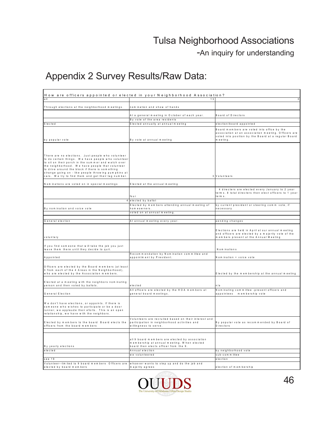-An inquiry for understanding

|                                                                                                                                                                                                                                                                                                                                                                                   | How are officers appointed or elected in your Neighborhood Association?                                                               |                                                                                                                                                                      |
|-----------------------------------------------------------------------------------------------------------------------------------------------------------------------------------------------------------------------------------------------------------------------------------------------------------------------------------------------------------------------------------|---------------------------------------------------------------------------------------------------------------------------------------|----------------------------------------------------------------------------------------------------------------------------------------------------------------------|
| a II                                                                                                                                                                                                                                                                                                                                                                              |                                                                                                                                       | $\mathbf{0}$                                                                                                                                                         |
| Through elections at the neighborhood meetings.                                                                                                                                                                                                                                                                                                                                   | nomination and show of hands                                                                                                          |                                                                                                                                                                      |
|                                                                                                                                                                                                                                                                                                                                                                                   | At a general meeting in O ctober of each year.                                                                                        | Board of Directors                                                                                                                                                   |
|                                                                                                                                                                                                                                                                                                                                                                                   | By vote of the area residents                                                                                                         |                                                                                                                                                                      |
| Elected                                                                                                                                                                                                                                                                                                                                                                           | Elected annually at annual meeting                                                                                                    | election/board appointed                                                                                                                                             |
| by popular vote                                                                                                                                                                                                                                                                                                                                                                   | By vote at annual meeting                                                                                                             | Board members are voted into office by the<br>association at an association meeting. Officers are<br>voted into position by the Board at a regular Board<br>meeting. |
|                                                                                                                                                                                                                                                                                                                                                                                   |                                                                                                                                       |                                                                                                                                                                      |
| There are no elections. Just people who volunteer<br>to do certain things. We have people who volunteer<br>to sit on their porch in the summer and watch over<br>the neighborhood. We have people that volunteer<br>to drive around the block if there is something<br>strange going on - like people throwing pumpkins at<br>cars. We try to find them and get their tag number. |                                                                                                                                       | 3 Volunteers                                                                                                                                                         |
| Nominations are voted on in special meetings                                                                                                                                                                                                                                                                                                                                      | Elected at the annual meeting                                                                                                         |                                                                                                                                                                      |
|                                                                                                                                                                                                                                                                                                                                                                                   | four                                                                                                                                  | 4 directers are elected every January to 2 year<br>term s. 8 total directers then elect officers to 1 year<br>term s.                                                |
|                                                                                                                                                                                                                                                                                                                                                                                   | 4 elected by ballot                                                                                                                   |                                                                                                                                                                      |
| By nomination and voice vote                                                                                                                                                                                                                                                                                                                                                      | Elected by members attending annual meeting of<br>homeowners.                                                                         | by current president or steering comm vote, if<br>necessary                                                                                                          |
|                                                                                                                                                                                                                                                                                                                                                                                   | voted on at annual meeting.                                                                                                           |                                                                                                                                                                      |
|                                                                                                                                                                                                                                                                                                                                                                                   |                                                                                                                                       |                                                                                                                                                                      |
| General election                                                                                                                                                                                                                                                                                                                                                                  | At annual meeting every year.                                                                                                         | pending changes                                                                                                                                                      |
| voluntary                                                                                                                                                                                                                                                                                                                                                                         |                                                                                                                                       | Elections are held in April at our annual meeting<br>and officers are elected by a majority vote of the<br>members present at the Annual Meeting                     |
| If you find someone that will take the job you just<br>leave them there until they decide to quit.                                                                                                                                                                                                                                                                                |                                                                                                                                       | Nominations                                                                                                                                                          |
| Appointed                                                                                                                                                                                                                                                                                                                                                                         | Recommendation by Nomination committee and<br>appointment by President.                                                               | Nomination + voice vote                                                                                                                                              |
| Officers are elected by the Board members (at least<br>3 from each of the 4 Areas in the Neighborhood),<br>who are elected by the Association members.                                                                                                                                                                                                                            |                                                                                                                                       | Elected by the membership at the annual meeting                                                                                                                      |
|                                                                                                                                                                                                                                                                                                                                                                                   |                                                                                                                                       |                                                                                                                                                                      |
| Elected at a meeting with the neighbors nominating<br>person and then voted by ballots.                                                                                                                                                                                                                                                                                           | e le c te d                                                                                                                           | n/a                                                                                                                                                                  |
| General Election                                                                                                                                                                                                                                                                                                                                                                  | All officers are elected by the HOA members at<br>general board meetings.                                                             | Nominating committee -present officers and<br>appointees membership vote                                                                                             |
| We don't have elections, or appoints. If there is<br>someone who wishes to participate or be a door<br>runner, we applaude their eforts. This is an open<br>relationship, we have with the neighbors.                                                                                                                                                                             |                                                                                                                                       |                                                                                                                                                                      |
| Elected by members to the board Board elects the<br>officers from the board members                                                                                                                                                                                                                                                                                               | Volunteers are recruited based on their interest and<br>participation in neighborhood activities and<br>willingness to serve.         | By popular vote as recommended by Board of<br>D ire c to rs                                                                                                          |
|                                                                                                                                                                                                                                                                                                                                                                                   |                                                                                                                                       |                                                                                                                                                                      |
| By yearly elections                                                                                                                                                                                                                                                                                                                                                               | all 9 board members are elected by association<br>membership at annual meeting. When elected<br>board then elects officer from the 9. |                                                                                                                                                                      |
| elected                                                                                                                                                                                                                                                                                                                                                                           | Annualelection                                                                                                                        | by neighborhood vote                                                                                                                                                 |
|                                                                                                                                                                                                                                                                                                                                                                                   | we volunteered                                                                                                                        | sub-committee                                                                                                                                                        |
| see 19                                                                                                                                                                                                                                                                                                                                                                            |                                                                                                                                       | election                                                                                                                                                             |
| Volunteer--limited to 9 board members Officers are<br>elected by board members                                                                                                                                                                                                                                                                                                    | whoever wants to step up and do the job and<br>m ajority agrees                                                                       | election of membership                                                                                                                                               |

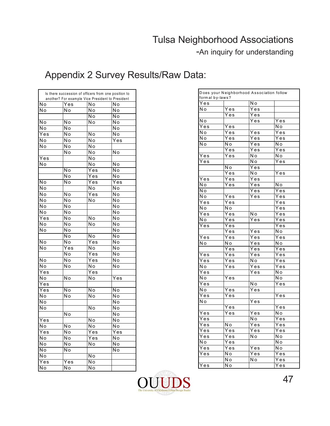-An inquiry for understanding

|                          | Is there succession of officers from one position to<br>another? For example Vice President to President |                             |                           |
|--------------------------|----------------------------------------------------------------------------------------------------------|-----------------------------|---------------------------|
| Νo                       | Yes                                                                                                      | No                          | No                        |
| Ñо                       | No                                                                                                       | $\overline{No}$             | No                        |
|                          |                                                                                                          | No                          | No                        |
| $\overline{\mathsf{No}}$ | $\overline{\mathsf{No}}$                                                                                 | No                          | No                        |
| Ñο                       | No                                                                                                       |                             | Ñο                        |
| Yes                      | No                                                                                                       | No                          | N <sub>o</sub>            |
| No                       | No                                                                                                       | No                          | Yes                       |
| No                       | No                                                                                                       | Νo                          |                           |
|                          | Νo                                                                                                       | No                          | .<br>No                   |
| $\overline{Y}$ es        |                                                                                                          | No                          |                           |
| No                       |                                                                                                          | No                          | Νo                        |
|                          | Ñо                                                                                                       | $\overline{\text{Yes}}$     | Ñо                        |
|                          | $\overline{\text{No}}$                                                                                   | $\overline{Y}$ es           | $\overline{\text{No}}$    |
| $\overline{\text{No}}$   | No                                                                                                       | $\overline{Y}$ es           | Yes                       |
| Νo                       |                                                                                                          | No                          | Νo                        |
| No                       | No                                                                                                       | $\overline{Y}$ es           | No                        |
| No                       | No                                                                                                       | No                          | Νo                        |
| Νo                       | .<br>Nо                                                                                                  |                             | $\overline{\sf N}$ o      |
| $\overline{\mathsf{No}}$ | Νo                                                                                                       |                             | Νo                        |
| Yes                      | Νo                                                                                                       | $\overline{\text{No}}$      | $\overline{\mathsf{No}}$  |
| Νo                       | No                                                                                                       | No                          | No                        |
| No                       | No                                                                                                       |                             | No                        |
|                          | No                                                                                                       | $\overline{\overline{N}}$ o | Ñο                        |
| $\overline{\mathsf{No}}$ | No                                                                                                       | Yes                         | No                        |
| No                       | Yes                                                                                                      | No                          | No                        |
|                          | Νo                                                                                                       | $\overline{Y}$ es           | N <sub>o</sub>            |
| No                       | $\overline{\sf N}$ o                                                                                     | $\overline{Y}$ es           | $\overline{\mathsf{N}}$ o |
| Ñо                       | No                                                                                                       | Ñο                          | Ñο                        |
| $\overline{Y}$ es        |                                                                                                          | Yes                         |                           |
| No                       | Νo                                                                                                       | No                          | Yes                       |
| Yes                      |                                                                                                          |                             |                           |
| Yes                      | Ñо                                                                                                       | No                          | No                        |
| No                       | Ñ٥                                                                                                       | Ñο                          | $\overline{\mathsf{No}}$  |
| No                       |                                                                                                          |                             | No                        |
| No                       |                                                                                                          | No                          | Νo                        |
|                          | Νo                                                                                                       |                             | No                        |
| $\overline{Y}$ es        |                                                                                                          | Ñο                          | Νo                        |
| .<br>No                  | $\overline{\sf N}$ o                                                                                     | Νo                          | No                        |
| Yes                      | Ñο                                                                                                       | $\overline{Yes}$            | $\overline{Yes}$          |
| No                       | No                                                                                                       | Yes                         | No                        |
| No                       | Νo                                                                                                       | Νo                          | Νo                        |
| No                       | No                                                                                                       |                             | No                        |
| No                       |                                                                                                          | No                          |                           |
| Yes                      | $\overline{Y}$ es                                                                                        | .<br>No                     |                           |
| <b>N</b> o               | No                                                                                                       | Ñο                          |                           |

| formal by-laws?             |                           | Does your Neighborhood Association follow |                      |
|-----------------------------|---------------------------|-------------------------------------------|----------------------|
| Yes                         |                           | N o                                       |                      |
| N o                         | $\bar{Y}$ es              | Yes                                       |                      |
|                             | Yes                       | Yes                                       |                      |
| $\overline{\overline{N}}$ o |                           | Yes                                       | $\overline{Y}$ es    |
| $\overline{Y}$ es           | $\overline{Y}$ es         |                                           | Νo                   |
| N o                         | $\overline{Y}$ es         | Yes                                       | Yes                  |
| N o                         | $\overline{Y}$ es         | Yes                                       | Yes                  |
| .<br>N o                    | N o                       | Yes                                       | No                   |
|                             | Yes                       | $\overline{Y}$ es                         | $\bar{Y}$ es         |
| $\overline{Y}$ es           | Yes                       | N o                                       | Νo                   |
| $\overline{Y}$ es           |                           | Νo                                        | Yes                  |
|                             | Ñο                        | $\overline{Y}$ es                         |                      |
|                             | $\overline{Y}$ es         | N o                                       | Yes                  |
| Yes                         | Yes                       | Yes                                       |                      |
| Νo                          | Yes                       | Yes                                       | N <sub>o</sub>       |
| N o                         |                           | Yes                                       | Yes                  |
| .<br>N o                    | $\bar{Y}$ es              | Yes                                       | Yes                  |
| $\overline{Y}$ es           | Yes                       |                                           | $\overline{Y}$ es    |
| N o                         | Νo                        |                                           | Yes                  |
| $\overline{Y}$ es           | $\overline{Y}$ es         | Ñо                                        | $\overline{Y}$ es    |
|                             |                           |                                           |                      |
| N o                         | Yes                       | Yes                                       | $\overline{Y}$ es    |
| Yes                         | $\overline{Y}$ es         |                                           | $\overline{Y}$ es    |
|                             | Yes                       | Yes                                       | N o                  |
| $\overline{Y}$ es           | Yes                       | $\overline{Y}$ es                         | $\overline{Y}$ es    |
| .<br>Nо                     | $\bar{N}$ o               | $\overline{Y}$ es                         | N o                  |
| $\overline{Yes}$            | Yes                       | $\overline{Y}$ es                         | $\overline{Y}$ es    |
|                             | Yes                       | Yes                                       | $\overline{Y}$ es    |
| Yes                         | $\overline{Y}$ es         | N o                                       | $\overline{Y}$ es    |
| Νo                          | $\overline{Y}$ es         | $\overline{Y}$ es                         | $\overline{Y}$ es    |
| $\overline{Y}$ es           |                           | Yes                                       | Νo                   |
| No                          | Yes                       |                                           | No                   |
| Yes                         |                           | N <sub>o</sub>                            | $\overline{Y}$ es    |
| N o                         | .<br>Yes                  | Yes                                       |                      |
| $\bar{Y}$ es                | Yes                       |                                           | Yes                  |
| N o                         |                           | Yes                                       |                      |
|                             | Yes                       |                                           | $\overline{Y}$ es    |
| $\overline{Y}$ es           | Yes                       | $\overline{Y}$ es                         | N o                  |
| $\overline{Y}$ es           |                           | N o                                       | $\overline{Y}$ es    |
| $\overline{Yes}$            | N <sub>o</sub>            | Yes                                       | Yes                  |
| Yes                         | $\overline{Y}$ es         | $\overline{Y}$ es                         | $\overline{Y}$ es    |
| $\overline{Y}$ es           | $\bar{Y}$ es              | N o                                       | No                   |
| N o                         | $\overline{Y}$ es         |                                           | N o                  |
| $\overline{Y}$ es           | $\overline{Y}$ es         | Yes                                       | $\overline{\sf N}$ o |
| Yes                         | N o                       | $\overline{Y}$ es                         | Yes                  |
|                             | N o                       | —<br>Nо                                   | $\overline{Y}$ es    |
| $Y_{es}$                    | $\overline{\mathsf{N}}$ o |                                           | $\overline{Y}$ es    |

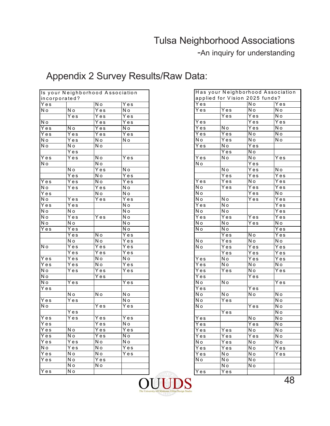-An inquiry for understanding

|                   |                   | Is your Neighborhood Association |                           |
|-------------------|-------------------|----------------------------------|---------------------------|
| incorporated?     |                   |                                  |                           |
| Yes               |                   | —<br>N о                         | Yes                       |
| N o               | N o               | Yes                              | N o                       |
|                   | Yes               | Yes                              | Yes                       |
| N o               |                   | Yes                              | Yes                       |
| $\overline{Y}$ es | N o               | Yes                              | N o                       |
| Yes               | Yes               | Yes                              | $\overline{Y}$ es         |
| N o               | Yes               | N o                              | N o                       |
| N o               | N o               | .<br>N о                         |                           |
|                   | Yes               |                                  |                           |
| Yes               | Yes               | $\overline{\mathsf{N}}$ o        | Yes                       |
| N o               |                   | Ñо                               |                           |
|                   | N <sub>o</sub>    | Yes                              | N o                       |
|                   | $\overline{Y}$ es | Ñо                               | $\bar{Y}$ es              |
| Yes               | Yes               | .<br>N o                         | Yes                       |
| N o               | Yes               | $\overline{Y}$ es                | N o                       |
| Yes               |                   | Ñо                               | $\overline{\mathsf{N}}$ o |
| N o               | Yes               | $\overline{Y}$ es                | $\overline{Y}$ es         |
| Yes               | $\bar{Y}$ es      |                                  | N o                       |
| N o               | N o               |                                  | $\overline{\mathsf{N}}$ o |
| N o               | Yes               | Yes                              | N o                       |
|                   | N <sub>o</sub>    |                                  | N o                       |
| N o<br>Yes        | Yes               |                                  | $\overline{N}$ o          |
|                   |                   | N <sub>o</sub>                   |                           |
|                   | Yes               |                                  | Yes                       |
|                   | N o               | N o                              | $\overline{Y}$ es         |
| N o               | $\bar{Y}$ es      | $\bar{Y}$ es                     | $\overline{Y}$ es         |
|                   | Yes               | Yes                              | Yes                       |
| $\overline{Y}$ es | Yes               | N o                              | $\overline{\mathsf{N}}$ o |
| Yes               | Yes               | Ñо                               | Yes                       |
| N o               | Yes               | $\overline{Y}$ es                | $\overline{Y}$ es         |
| N o               |                   | $\bar{Y}$ es                     |                           |
| N o               | Yes               |                                  | Yes                       |
| Yes               |                   |                                  |                           |
|                   | N o               | N o                              | N o                       |
| Yes               | Yes               |                                  | N o                       |
| N o               |                   | $\bar{Y}$ es                     | Yes                       |
|                   | Yes               |                                  |                           |
| $\bar{Y}$ es      | Yes               | Yes                              | Yes                       |
| Yes               |                   | Yes                              | N o                       |
| Yes               | N o               | Yes                              | Yes                       |
| Yes               | N o               | Yes                              | N o                       |
| Yes               | Yes               | N o                              | .<br>N o                  |
| N o               | Yes               | N o                              | $\overline{Y}$ es         |
| Yes               | N o               | N o                              | Yes                       |
| Yes               | N o               | Yes                              |                           |
|                   | N o               | N o                              |                           |
| Yes               | N o               |                                  |                           |
|                   |                   |                                  |                           |

|                   |              |                                | Has your Neighborhood Association |
|-------------------|--------------|--------------------------------|-----------------------------------|
|                   |              | applied for Vision 2025 funds? |                                   |
| Yes               |              | N o                            | Yes                               |
| Yes               | Yes          | N o                            | N o                               |
|                   | Yes          | Yes                            | N o                               |
| Yes               |              | $\overline{Y}$ es              | Yes                               |
| Yes               | N o          | Yes                            | .<br>N o                          |
| $\bar{Y}$ es      | Yes          | N o                            | N o                               |
| N o               | Yes          | Νo                             | N o                               |
| Yes               | N o          | Yes                            |                                   |
|                   | Yes          | N o                            |                                   |
| Yes               | N o          | N o                            | $\overline{Y}$ es                 |
| N o               |              | Yes                            |                                   |
|                   | N o          | $\bar{Y}$ es                   | Ñо                                |
|                   | Yes          | Yes                            | Yes                               |
| $\overline{Y}$ es | Yes          | N o                            | Yes                               |
| N o               | Yes          | Yes                            | Yes                               |
| N o               |              | Yes                            | N o                               |
| Ñо                | N o          | $\overline{Y}$ es              | $\overline{Y}$ es                 |
| $\overline{Y}$ es | N o          |                                | $\overline{Y}$ es                 |
| N o               | N o          |                                | Yes                               |
| Yes               | Yes          | Yes                            | Yes                               |
| N o               | N o          | $\overline{Y}$ es              | N o                               |
| No                | N o          |                                | Yes                               |
|                   | Yes          | Νo                             | $\overline{Y}$ es                 |
| N o               | Yes          | N o                            | N o                               |
| Νo                | Yes          | $\bar{Y}$ es                   | Yes                               |
|                   | Yes          | Yes                            | Yes                               |
| Yes               | N o          | Yes                            | Yes                               |
| Yes               | N o          | N o                            | N o                               |
| Yes               | $\bar{Y}$ es | N o                            | Yes                               |
| Yes               |              | Yes                            |                                   |
| N o               | N o          |                                | Yes                               |
| Yes               |              |                                |                                   |
| N o               | N o          | Yes<br>N o                     | N o                               |
|                   |              |                                |                                   |
| N o               | Yes          |                                | N o                               |
| N o               |              | Yes                            | N o                               |
|                   | Yes          |                                | N o                               |
| Yes               |              | N o                            | $\overline{\mathsf{N}}$ o         |
| Yes               |              | Yes                            | N o                               |
| Yes               | Yes          | N o                            | N o                               |
| Yes               | Yes          | Yes                            | N o                               |
| N o               | Yes          | Νo                             | N o                               |
| Yes               | Yes          | Ñо                             | Yes                               |
| Yes               | N o          | N <sub>o</sub>                 | Yes                               |
| N o               | N o          | N o                            |                                   |
|                   | N o          | N o                            |                                   |
| Yes               | Yes          |                                |                                   |

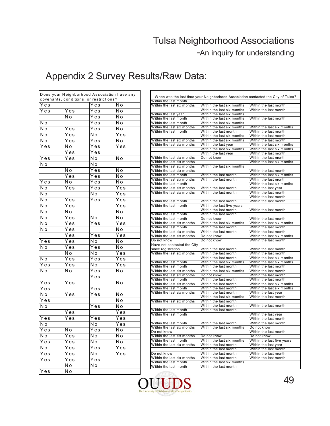#### -An inquiry for understanding

|                   |                                         |                   | Does your Neighborhood Association have any | When was the last                                |
|-------------------|-----------------------------------------|-------------------|---------------------------------------------|--------------------------------------------------|
|                   | covenants, conditions, or restrictions? |                   |                                             | Within the last month                            |
| Yes               |                                         | Yes               | Νo                                          | Within the last six mo                           |
| Yes               | Yes                                     | Yes               | N <sub>o</sub>                              | Within the last year                             |
|                   | N o                                     | Yes               | Ñо                                          | Within the last month                            |
| No                |                                         | Yes               | N o                                         | Within the last month                            |
| N <sub>o</sub>    | Yes                                     | Yes               | N <sub>o</sub>                              | Within the last six mo<br>Within the last month  |
| N o               | Yes                                     | N o               | Yes                                         |                                                  |
| N o               | Yes                                     | Yes               | N o                                         | Within the last six mo                           |
| Yes               | N٥                                      | Yes               | Yes                                         | Within the last six mo                           |
|                   | Yes                                     | Yes               |                                             |                                                  |
| Yes               | Yes                                     | No                | N <sub>o</sub>                              | Within the last six mo                           |
| Νo                |                                         | Νo                |                                             | Within the last six mo                           |
|                   | N <sub>o</sub>                          | Yes               | N o                                         | Within the last six mo<br>Within the last six mo |
|                   | Yes                                     | Yes               | N o                                         | Within the last month                            |
| Yes               | N٥                                      | Yes               | N <sub>o</sub>                              | Within the last six mo                           |
| Νo                | $\overline{Y}$ es                       | Yes               | $\overline{Yes}$                            | Within the last month                            |
|                   |                                         |                   |                                             | Within the last six mo<br>Within the last six mo |
| N o               |                                         | Νo                | Yes                                         |                                                  |
| N o               | $\overline{Y}$ es                       | Yes               | Yes                                         | Within the last month                            |
| Νo                | Yes                                     |                   | Yes                                         | Within the last month                            |
| No                | N o                                     |                   | N o                                         | Within the last month                            |
| N o               | Yes                                     | Νo                | Νo                                          | Within the last month                            |
| Νo                | Yes                                     | $\overline{Y}$ es | $\overline{Y}$ es                           | Within the last six mo                           |
| N o               | Yes                                     |                   | N <sub>o</sub>                              | Within the last month<br>Within the last six mo  |
|                   | Yes                                     | Yes               | $\overline{Yes}$                            | Within the last six mo                           |
| Yes               | Yes                                     | Νo                | Νo                                          | Do not know                                      |
| Νo                | Yes                                     | Yes               | Νo                                          | Have not contacted tl                            |
|                   | Nο                                      | N <sub>o</sub>    | $\overline{Y}$ es                           | since registration<br>Within the last six mo     |
| N o               | Yes                                     | Yes               | Yes                                         |                                                  |
| Yes               | Yes                                     | N o               | Yes                                         | Within the last month                            |
| N o               | N o                                     | Yes               | N <sub>o</sub>                              | Within the last month<br>Within the last six mo  |
|                   |                                         | Yes               |                                             | Within the last six mo                           |
|                   |                                         |                   | N <sub>o</sub>                              | Within the last month                            |
| Yes               | Yes                                     |                   |                                             | Within the last six mo                           |
| $\overline{Y}$ es |                                         | Yes               |                                             | Within the last month<br>Within the last six mo  |
| N o               | Yes                                     | Yes               | Νo                                          |                                                  |
| Yes               |                                         |                   | N <sub>o</sub>                              | Within the last six mo                           |
| Νo                |                                         | Yes               | N o                                         | Within the last month                            |
|                   | Yes                                     |                   | Yes                                         | Within the last month                            |
| Yes               | Yes                                     | Yes               | Yes                                         |                                                  |
| N o               |                                         | N o               | Yes                                         | Within the last month                            |
| $\bar{Y}$ es      | .<br>N о                                | Yes               | Ñо                                          | Within the last six mo<br>Do not know            |
| N o               | $\overline{Y}$ es                       | N o               | N o                                         | Within the last six mo                           |
| Yes               | Yes                                     | N <sub>o</sub>    | N <sub>o</sub>                              | Within the last month                            |
| N o               | Yes                                     | $\overline{Yes}$  | Yes                                         | Within the last six mo                           |
| Yes               | Yes                                     | No                | Yes                                         | Do not know                                      |
| Yes               | Yes                                     | Yes               |                                             | Within the last six mo                           |
|                   | Ñо                                      | N <sub>o</sub>    |                                             | Within the last month                            |
| $\overline{Y}$ es | N <sub>o</sub>                          |                   |                                             | Within the last month                            |
|                   |                                         |                   |                                             |                                                  |

|                                                     |                                                          | When was the last time your Neighborhood Association contacted the City of Tulsa? |
|-----------------------------------------------------|----------------------------------------------------------|-----------------------------------------------------------------------------------|
| Within the last month                               |                                                          |                                                                                   |
| Within the last six months                          | Within the last six months                               | Within the last month                                                             |
|                                                     | Within the last six months                               | Within the last month                                                             |
| Within the last year<br>Within the last month       | Within the last six months                               |                                                                                   |
| Within the last month                               | Within the last six months<br>Within the last six months | Within the last month                                                             |
| Within the last six months                          | Within the last six months                               | Within the last six months                                                        |
| Within the last month                               | Within the last month                                    | Within the last month                                                             |
|                                                     | Within the last six months                               | Within the last month                                                             |
| Within the last six months                          | Within the last six months                               | Within the last month                                                             |
| Within the last six months                          | Within the last year                                     | Within the last six months                                                        |
|                                                     | Within the last six months                               | Within the last six months                                                        |
|                                                     | Within the last year                                     | Within the last month                                                             |
| Within the last six months                          | Do not know                                              | Within the last month                                                             |
| Within the last six months                          |                                                          | Within the last six months                                                        |
| Within the last six months                          | Within the last six months                               |                                                                                   |
| Within the last six months                          |                                                          | Within the last month                                                             |
| Within the last month                               | Within the last month                                    | Within the last six months                                                        |
| Within the last six months                          | Within the last month                                    | Within the last month                                                             |
| Within the last month                               |                                                          | Within the last six months                                                        |
| Within the last six months                          | Within the last month                                    | Within the last year                                                              |
| Within the last six months                          | Within the last month                                    | Within the last month                                                             |
|                                                     |                                                          | Within the last month                                                             |
| Within the last month                               | Within the last month                                    | Within the last month                                                             |
| Within the last month                               | Within the last five years                               |                                                                                   |
|                                                     | Within the last month                                    | Within the last month                                                             |
| Within the last month                               | Within the last month                                    |                                                                                   |
| Within the last month                               | Do not know                                              | Within the last month                                                             |
| Within the last six months                          | Within the last six months                               | Within the last six months                                                        |
| Within the last month                               | Within the last month                                    | Within the last month                                                             |
| Within the last six months                          | Within the last month                                    | Within the last month                                                             |
| Within the last six months                          | Do not know                                              | Within the last six months                                                        |
| Do not know                                         | Do not know                                              | Within the last month                                                             |
| Have not contacted the City                         |                                                          |                                                                                   |
| since registration                                  | Within the last month                                    | Within the last month                                                             |
| Within the last six months                          | Within the last month                                    | Within the last month                                                             |
|                                                     | Within the last month                                    | Within the last six months                                                        |
| Within the last month                               | Within the last six months                               | Within the last six months                                                        |
| Within the last month                               | Within the last month                                    | Within the last month                                                             |
| Within the last six months                          | Within the last six months                               | Within the last month                                                             |
| Within the last six months<br>Within the last month | Do not know                                              | Within the last month                                                             |
|                                                     | Within the last month                                    | Within the last month                                                             |
| Within the last six months<br>Within the last month | Within the last month<br>Within the last month           | Within the last six months<br>Within the last six months                          |
| Within the last six months                          | Within the last month                                    | Within the last year                                                              |
|                                                     | Within the last six months                               | Within the last month                                                             |
| Within the last six months                          | Within the last month                                    |                                                                                   |
|                                                     | Within the last month                                    | Within the last month                                                             |
| Within the last month                               | Within the last month                                    |                                                                                   |
| Within the last month                               |                                                          | Within the last year                                                              |
|                                                     |                                                          | Within the last month                                                             |
| Within the last month                               | Within the last month                                    | Within the last month                                                             |
| Within the last six months                          | Within the last six months                               | Do not know                                                                       |
| Do not know                                         |                                                          | Within the last month                                                             |
| Within the last six months                          | Do not know                                              | Do not know                                                                       |
| Within the last month                               | Within the last six months                               | Within the last five years                                                        |
| Within the last six months                          | Within the last month                                    | Within the last year                                                              |
|                                                     | Within the last month                                    | Within the last month                                                             |
| Do not know                                         | Within the last month                                    | Within the last month                                                             |
| Within the last six months                          | Within the last month                                    | Within the last month                                                             |
| Within the last month                               | Within the last six months                               |                                                                                   |
|                                                     | Within the last month                                    |                                                                                   |
| Within the last month                               |                                                          |                                                                                   |

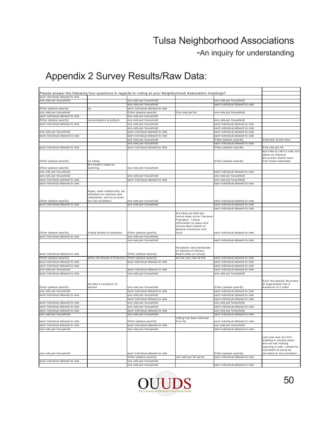-An inquiry for understanding

|                                                                    |                                                                                            | Please answer the following four questions in regards to voting at your Neighborhood Association meetings? |                                                                                                                                                         |                                                                    |                                                                                                                                                                     |
|--------------------------------------------------------------------|--------------------------------------------------------------------------------------------|------------------------------------------------------------------------------------------------------------|---------------------------------------------------------------------------------------------------------------------------------------------------------|--------------------------------------------------------------------|---------------------------------------------------------------------------------------------------------------------------------------------------------------------|
| each individual allowed to vote                                    |                                                                                            |                                                                                                            |                                                                                                                                                         |                                                                    |                                                                                                                                                                     |
| one vote per household                                             |                                                                                            | one vote per household<br>one vote per household                                                           |                                                                                                                                                         | one vote per household<br>each individual allowed to vote          |                                                                                                                                                                     |
| Other (please specify)                                             | na                                                                                         | each individual allowed to vote                                                                            |                                                                                                                                                         |                                                                    |                                                                                                                                                                     |
| one vote per household                                             |                                                                                            | Other (please specify)                                                                                     | One vote per lot.                                                                                                                                       | one vote per household                                             |                                                                                                                                                                     |
| each individual allowed to vote                                    |                                                                                            | one vote per household                                                                                     |                                                                                                                                                         |                                                                    |                                                                                                                                                                     |
| Other (please specify)                                             | conversations at potluck                                                                   | one vote per household                                                                                     |                                                                                                                                                         | one vote per household                                             |                                                                                                                                                                     |
| each individual allowed to vote                                    |                                                                                            | one vote per household                                                                                     |                                                                                                                                                         | each individual allowed to vote                                    |                                                                                                                                                                     |
|                                                                    |                                                                                            | one vote per household                                                                                     |                                                                                                                                                         | each individual allowed to vote                                    |                                                                                                                                                                     |
| one vote per household                                             |                                                                                            | each individual allowed to vote                                                                            |                                                                                                                                                         | each individual allowed to vote                                    |                                                                                                                                                                     |
| each individual allowed to vote                                    |                                                                                            | each individual allowed to vote<br>one vote per household                                                  |                                                                                                                                                         | each individual allowed to vote<br>Other (please specify)          | Unknown at this time                                                                                                                                                |
|                                                                    |                                                                                            | one vote per household                                                                                     |                                                                                                                                                         | each individual allowed to vote                                    |                                                                                                                                                                     |
| each individual allowed to vote                                    |                                                                                            | each individual allowed to vote                                                                            |                                                                                                                                                         | Other (please specify)                                             | One vote per lot                                                                                                                                                    |
| Other (please specify)                                             | no voting                                                                                  |                                                                                                            |                                                                                                                                                         | Other (please specify)                                             | don't like to call it a vote, but<br>rather an informal<br>discussion and/or input<br>from those interested                                                         |
|                                                                    | We haven't voted on                                                                        |                                                                                                            |                                                                                                                                                         |                                                                    |                                                                                                                                                                     |
| Other (please specify)<br>one vote per household                   | anything.                                                                                  | one vote per household                                                                                     |                                                                                                                                                         | each individual allowed to vote                                    |                                                                                                                                                                     |
| one vote per household                                             |                                                                                            | one vote per household                                                                                     |                                                                                                                                                         | one vote per household                                             |                                                                                                                                                                     |
| each individual allowed to vote                                    |                                                                                            | each individual allowed to vote                                                                            |                                                                                                                                                         | one vote per household                                             |                                                                                                                                                                     |
| each individual allowed to vote                                    |                                                                                            |                                                                                                            |                                                                                                                                                         | each individual allowed to vote                                    |                                                                                                                                                                     |
|                                                                    | Again, open relationship, we<br>verbalize our opinions and<br>complaints, and try to solve |                                                                                                            |                                                                                                                                                         |                                                                    |                                                                                                                                                                     |
| Other (please specify)                                             | our own problems.                                                                          | one vote per household                                                                                     |                                                                                                                                                         | each individual allowed to vote                                    |                                                                                                                                                                     |
| each individual allowed to vote                                    |                                                                                            | one vote per household                                                                                     |                                                                                                                                                         | each individual allowed to vote<br>each individual allowed to vote |                                                                                                                                                                     |
|                                                                    |                                                                                            |                                                                                                            | We have not held any<br>formal votes since I became<br>President. I share<br>information on plans and<br>pursue items based on<br>general consensus and |                                                                    |                                                                                                                                                                     |
| Other (please specify)<br>each individual allowed to vote          | Voting limited to members                                                                  | Other (please specify)                                                                                     | input.                                                                                                                                                  | each individual allowed to vote                                    |                                                                                                                                                                     |
|                                                                    |                                                                                            | one vote per household<br>one vote per household                                                           |                                                                                                                                                         | each individual allowed to vote                                    |                                                                                                                                                                     |
| each individual allowed to vote                                    |                                                                                            | Other (please specify)                                                                                     | Residents vote individually<br>for election of officers.<br>Board votes on issues.                                                                      |                                                                    |                                                                                                                                                                     |
| Other (please specify)                                             | within the Board of Directors.                                                             | Other (please specify)                                                                                     | we are very new at this                                                                                                                                 | each individual allowed to vote                                    |                                                                                                                                                                     |
| each individual allowed to vote<br>each individual allowed to vote |                                                                                            | each individual allowed to vote                                                                            |                                                                                                                                                         | each individual allowed to vote<br>each individual allowed to vote |                                                                                                                                                                     |
| one vote per household                                             |                                                                                            | each individual allowed to vote                                                                            |                                                                                                                                                         | each individual allowed to vote                                    |                                                                                                                                                                     |
| each individual allowed to vote                                    |                                                                                            | one vote per household                                                                                     |                                                                                                                                                         | one vote per household                                             |                                                                                                                                                                     |
| Other (please specify)                                             | we take a consenus fo<br>opinion                                                           | one vote per household                                                                                     |                                                                                                                                                         | Other (please specify)                                             | Each Household, Business,<br>or organization has a<br>maximum of 2 votes                                                                                            |
| one vote per household                                             |                                                                                            | each individual allowed to vote                                                                            |                                                                                                                                                         | each individual allowed to vote                                    |                                                                                                                                                                     |
| each individual allowed to vote                                    |                                                                                            | one vote per household                                                                                     |                                                                                                                                                         | each individual allowed to vote                                    |                                                                                                                                                                     |
| each individual allowed to vote                                    |                                                                                            | each individual allowed to vote<br>one vote per household                                                  |                                                                                                                                                         | each individual allowed to vote<br>one vote per household          |                                                                                                                                                                     |
| each individual allowed to vote                                    |                                                                                            | one vote per household                                                                                     |                                                                                                                                                         | each individual allowed to vote                                    |                                                                                                                                                                     |
| each individual allowed to vote                                    |                                                                                            | each individual allowed to vote                                                                            |                                                                                                                                                         | one vote per household                                             |                                                                                                                                                                     |
| one vote per household                                             |                                                                                            | one vote per household                                                                                     |                                                                                                                                                         | each individual allowed to vote                                    |                                                                                                                                                                     |
| each individual allowed to vote                                    |                                                                                            | Other (please specify)                                                                                     | Voting has been informal<br>thus far.                                                                                                                   | each individual allowed to vote                                    |                                                                                                                                                                     |
| each individual allowed to vote                                    |                                                                                            | each individual allowed to vote                                                                            |                                                                                                                                                         | one vote per household                                             |                                                                                                                                                                     |
| one vote per household                                             |                                                                                            | one vote per household                                                                                     |                                                                                                                                                         | each individual allowed to vote                                    |                                                                                                                                                                     |
| one vote per household                                             |                                                                                            | each individual allowed to vote                                                                            |                                                                                                                                                         | Other (please specify)                                             | Last year was our first<br>meeting in several years<br>and we had nothing<br>requiring a vote. I asked for<br>volunteers to serve as<br>secretary & vice president. |
|                                                                    |                                                                                            | Other (please specify)                                                                                     | one vote per lot owner                                                                                                                                  | each individual allowed to vote                                    |                                                                                                                                                                     |
| each individual allowed to vote                                    |                                                                                            | one vote per household                                                                                     |                                                                                                                                                         |                                                                    |                                                                                                                                                                     |
|                                                                    |                                                                                            | one vote per household                                                                                     |                                                                                                                                                         | each individual allowed to vote                                    |                                                                                                                                                                     |

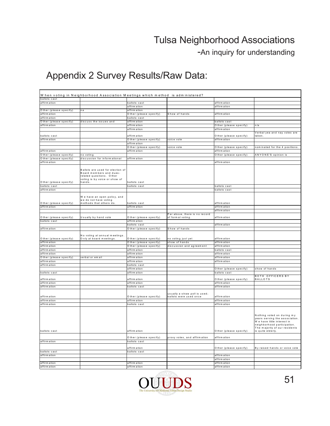-An inquiry for understanding

|                                         | When voting in Neighborhood Association Meetings which method is administered?                                                    |                                         |                               |                              |                                                                                                                           |
|-----------------------------------------|-----------------------------------------------------------------------------------------------------------------------------------|-----------------------------------------|-------------------------------|------------------------------|---------------------------------------------------------------------------------------------------------------------------|
| ballots cast                            |                                                                                                                                   |                                         |                               |                              |                                                                                                                           |
| affirm ation                            |                                                                                                                                   | ballots cast                            |                               | affirm ation                 |                                                                                                                           |
|                                         |                                                                                                                                   | affirm ation                            |                               | affirm ation                 |                                                                                                                           |
| Other (please specify)                  | n a                                                                                                                               | affirm ation                            |                               |                              |                                                                                                                           |
| affirm ation                            |                                                                                                                                   | O ther (please specify)                 | Show of hands                 | affirm ation                 |                                                                                                                           |
| affirm ation                            |                                                                                                                                   | ballots cast                            |                               |                              |                                                                                                                           |
| Other (please specify)                  | discuss the issues and                                                                                                            | affirm ation                            |                               | ballots cast                 |                                                                                                                           |
| affirm ation                            |                                                                                                                                   | affirm ation                            |                               | Other (please specify)       | n/a                                                                                                                       |
|                                         |                                                                                                                                   | affirm ation                            |                               | affirm ation                 |                                                                                                                           |
| ballots cast                            |                                                                                                                                   | affirm ation                            |                               | Other (please specify)       | Verbal yea and nay votes are<br>taken                                                                                     |
| affirm ation                            |                                                                                                                                   | O ther (please specify)                 | voice vote                    | affirm ation                 |                                                                                                                           |
|                                         |                                                                                                                                   | affirm ation                            |                               |                              |                                                                                                                           |
|                                         |                                                                                                                                   | O ther (please specify)                 | voice vote                    | Other (please specify)       | nominated for the 4 positions.                                                                                            |
| affirm ation                            |                                                                                                                                   | affirm ation                            |                               | affirm ation                 |                                                                                                                           |
| O ther (please specify)                 | no voting<br>discussion for informational                                                                                         | affirm ation                            |                               | Other (please specify)       | ANYONE'S opinion is                                                                                                       |
| O ther (please specify)<br>affirm ation |                                                                                                                                   |                                         |                               | affirm ation                 |                                                                                                                           |
|                                         |                                                                                                                                   |                                         |                               |                              |                                                                                                                           |
| O ther (please specify)                 | Ballots are used for election of<br>Board members and dues-<br>related questions. Other<br>voting is by voice or show of<br>hands | ballots cast                            |                               |                              |                                                                                                                           |
| ballots cast                            |                                                                                                                                   | ballots cast                            |                               | ballots cast                 |                                                                                                                           |
| affirm ation                            |                                                                                                                                   |                                         |                               | ballots cast                 |                                                                                                                           |
|                                         | We have an open policy, and<br>we do not have voting                                                                              |                                         |                               |                              |                                                                                                                           |
| O ther (please specify)<br>affirm ation | methods that others do.                                                                                                           | ballots cast<br>affirm ation            |                               | affirm ation<br>affirm ation |                                                                                                                           |
|                                         |                                                                                                                                   |                                         |                               |                              |                                                                                                                           |
|                                         |                                                                                                                                   |                                         | Per above, there is no record | affirm ation                 |                                                                                                                           |
| O ther (please specify)<br>ballots cast | Usually by hand vote                                                                                                              | Other (please specify)                  | of form al voting.            | affirm ation                 |                                                                                                                           |
|                                         |                                                                                                                                   | affirm ation<br>ballots cast            |                               | affirm ation                 |                                                                                                                           |
|                                         |                                                                                                                                   |                                         |                               |                              |                                                                                                                           |
| affirm ation                            |                                                                                                                                   | O ther (please specify)                 | Show of hands                 |                              |                                                                                                                           |
| O ther (please specify)                 | No voting at annual meetings<br>Only at board meetings.                                                                           | Other (please specify)                  | no voting just yet            | affirm ation                 |                                                                                                                           |
| affirm ation                            |                                                                                                                                   | Other (please specify)                  | show of hands                 | affirm ation                 |                                                                                                                           |
| affirm ation                            |                                                                                                                                   | Other (please specify)                  | discussion and agreement      | affirm ation                 |                                                                                                                           |
| affirm ation                            |                                                                                                                                   | affirm ation                            |                               | ballots cast                 |                                                                                                                           |
| affirm ation                            |                                                                                                                                   | affirm ation                            |                               | affirm ation                 |                                                                                                                           |
| O ther (please specify)                 | verbal or email                                                                                                                   | affirm ation                            |                               | affirm ation                 |                                                                                                                           |
| affirm ation                            |                                                                                                                                   | affirm ation                            |                               | affirm ation                 |                                                                                                                           |
| affirm ation                            |                                                                                                                                   | ballots cast                            |                               |                              |                                                                                                                           |
|                                         |                                                                                                                                   | affirm ation                            |                               | O ther (please specify)      | show of hands                                                                                                             |
| ballots cast                            |                                                                                                                                   | affirm ation                            |                               | ballots cast                 |                                                                                                                           |
|                                         |                                                                                                                                   |                                         |                               |                              | <b>BOTH OFFICERS BY</b>                                                                                                   |
| affirm ation                            |                                                                                                                                   | affirm ation                            |                               | O ther (please specify)      | <b>BALLOTS</b>                                                                                                            |
| affirm ation                            |                                                                                                                                   | affirm ation                            |                               | affirm ation                 |                                                                                                                           |
| affirm ation                            |                                                                                                                                   | ballots cast                            |                               | affirm ation                 |                                                                                                                           |
|                                         |                                                                                                                                   |                                         | usually a straw poll is used; |                              |                                                                                                                           |
| affirm ation<br>affirm ation            |                                                                                                                                   | O ther (please specify)<br>affirm ation | ballots were used once        | affirm ation<br>affirm ation |                                                                                                                           |
| affirm ation                            |                                                                                                                                   | ballots cast                            |                               | affirm ation                 |                                                                                                                           |
|                                         |                                                                                                                                   |                                         |                               |                              | Nothing voted on during my<br>years serving the association.<br>We have little interest in<br>neighborhood participation. |
| ballots cast                            |                                                                                                                                   | affirm ation                            |                               | O ther (please specify)      | The majority of our residents<br>is quite elderly.                                                                        |
|                                         |                                                                                                                                   | O ther (please specify)                 | proxy votes, and affirm ation | affirm ation                 |                                                                                                                           |
| affirm ation                            |                                                                                                                                   | ballots cast                            |                               |                              |                                                                                                                           |
|                                         |                                                                                                                                   | affirm ation                            |                               | O ther (please specify)      | By raised hands or voice vote                                                                                             |
| ballots cast                            |                                                                                                                                   | ballots cast                            |                               |                              |                                                                                                                           |
| affirm ation                            |                                                                                                                                   |                                         |                               | affirm ation                 |                                                                                                                           |
|                                         |                                                                                                                                   |                                         |                               | affirm ation                 |                                                                                                                           |
| affirm ation                            |                                                                                                                                   | affirm ation                            |                               | affirm ation                 |                                                                                                                           |
| affirm ation                            |                                                                                                                                   | affirm ation                            |                               | affirm ation                 |                                                                                                                           |

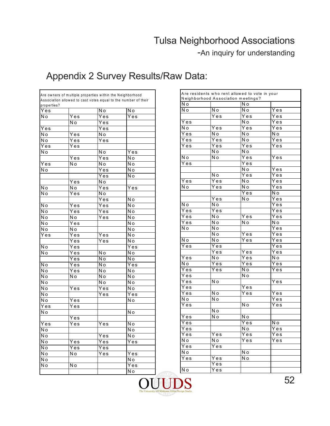-An inquiry for understanding

|                          | Are owners of multiple properties within the Neighborhood |                          |                                                                |                          | Are residents who rent allowed t |                             |
|--------------------------|-----------------------------------------------------------|--------------------------|----------------------------------------------------------------|--------------------------|----------------------------------|-----------------------------|
|                          |                                                           |                          | Association allowed to cast votes equal to the number of their |                          | Neighborhood Association meet    |                             |
| properties?              |                                                           |                          |                                                                | N o                      |                                  | $\overline{\mathsf{N}}$ o   |
| Yes                      |                                                           | N o                      | Νo                                                             | $\overline{N}$ o         | N <sub>o</sub>                   | $\overline{N}$              |
| N o                      | Yes                                                       | $\overline{Yes}$         | Yes                                                            |                          | Yes                              | $\overline{Y}$ e            |
|                          | N o                                                       | Yes                      |                                                                | Yes                      |                                  | N <sub>o</sub>              |
| Yes                      |                                                           | $\overline{Yes}$         |                                                                | $\overline{\mathsf{No}}$ | Yes                              | $\overline{Y}$ e            |
| N o                      | Yes                                                       | $\overline{N}$ o         |                                                                | Yes                      | N o                              | $\overline{N}$              |
| $\overline{N}$           | Yes                                                       | Yes                      |                                                                | $\overline{Y}$ es        | Yes                              | $\overline{N}$ o            |
| Yes                      | Yes                                                       |                          |                                                                | Yes                      | Yes                              | $\overline{Y}$ e            |
| N o                      |                                                           | N o                      | Yes                                                            |                          | $\overline{N}$                   | $\overline{\mathsf{N}}$ o   |
|                          | Yes                                                       | Yes                      | No                                                             | N o                      | N o                              | $\overline{Y}$ e            |
| $\overline{Y}$ es        | Νo                                                        | N o                      | No                                                             | Yes                      |                                  | Ye                          |
| N o                      |                                                           | $\overline{Yes}$         | N o                                                            |                          |                                  | $\overline{N}$              |
|                          |                                                           | $\overline{Yes}$         | Νo                                                             |                          | $\overline{N}$ o                 | $\overline{Y}$ e            |
|                          | Yes                                                       | N o                      |                                                                | $\overline{Y}$ es        | Yes                              | $\overline{\overline{N}}$ o |
| N <sub>o</sub>           | N o                                                       | $\overline{Yes}$         | Yes                                                            | N o                      | Yes                              | $\overline{\overline{N}}$ o |
| N <sub>o</sub>           | Yes                                                       | $\overline{No}$          |                                                                |                          |                                  | $\overline{Y}$ e            |
|                          |                                                           | Yes                      | $\overline{No}$                                                |                          | Yes                              | $\overline{N}$ o            |
| N o                      | Yes                                                       | Yes                      | N o                                                            | N o                      | N o                              |                             |
| N o                      | Yes                                                       | $\overline{Y}$ es        | N o                                                            | $\overline{Y}$ es        | $\overline{Y}$ es                |                             |
| N <sub>o</sub>           | N <sub>o</sub>                                            | Yes                      | N o                                                            | Yes                      | N o                              | $\overline{Y}$ e            |
| N o                      | Yes                                                       |                          | N o                                                            | Yes                      | $\overline{N}$ o                 | $\overline{\mathsf{N}}$ o   |
| N o                      | N o                                                       |                          | N o                                                            | N o                      | N o                              |                             |
| Yes                      | Yes                                                       | Yes                      | $\overline{\mathsf{No}}$                                       |                          | N o                              | $\overline{Y}$ e            |
|                          | Yes                                                       | Yes                      | N <sub>o</sub>                                                 | N o                      | N o                              | $\overline{Y}$ e            |
| N <sub>o</sub>           | Yes                                                       |                          | Yes                                                            | Yes                      | Yes                              |                             |
| N o                      | Yes                                                       | N o                      | N o                                                            |                          | Yes                              | $\overline{Y}$ e            |
|                          | Yes                                                       | N o                      | N o                                                            | $\overline{Y}$ es        | N o                              | Y e                         |
| $\overline{No}$          | Yes                                                       | $\overline{\mathsf{No}}$ | Yes                                                            | N o                      | Yes                              | $\overline{Y}$ e            |
| $\overline{\mathsf{No}}$ | Yes                                                       | $\overline{\mathsf{No}}$ | N o                                                            | Yes                      | Yes                              | $\overline{N}$ o            |
| N o                      | $\overline{N}$ o                                          | $\overline{N}$           | $\overline{N}$                                                 | Yes                      |                                  | $\overline{\mathsf{N}}$ o   |
| $\overline{N}$           |                                                           | N <sub>o</sub>           | N o                                                            | Yes                      | N o                              |                             |
| N o                      | Yes                                                       | Yes                      | N o                                                            | Yes                      |                                  | $\overline{Y}$ e            |
| N <sub>o</sub>           |                                                           | Yes                      | Yes                                                            | Yes                      | N o                              | $\overline{Y}$ e            |
| N o                      | Yes                                                       |                          | Νo                                                             | N o                      | $\overline{N}$ o                 |                             |
| Yes                      | Yes                                                       |                          |                                                                | Yes                      |                                  | $\overline{N}$              |
| N o                      |                                                           |                          | N <sub>o</sub>                                                 |                          | N o                              |                             |
|                          | Yes                                                       |                          |                                                                | $\overline{Y}$ es        | N o                              | $\overline{\mathsf{N}}$ o   |
| Yes                      | Yes                                                       | Yes                      | N o                                                            | Yes                      |                                  | $\overline{Y}$ e            |
| N o                      |                                                           |                          | N o                                                            | Yes                      |                                  | N <sub>o</sub>              |
| N o                      |                                                           | Yes                      | N o                                                            | Yes                      | Yes                              | $\overline{Y}$ e            |
| N o                      | Yes                                                       | Yes                      | Yes                                                            | N o                      | N o                              | $\overline{Y}$ e            |
| N o                      | Yes                                                       | Yes                      |                                                                | Yes                      | Yes                              |                             |
|                          |                                                           |                          |                                                                | N o                      |                                  | $\overline{N}$ o            |
| $\overline{N}$           | N o                                                       | Yes                      | $\overline{Y}$ es                                              | Yes                      | Yes                              | $\overline{\overline{N}}$ o |
| N o                      |                                                           |                          | No                                                             |                          | Yes                              |                             |
| N <sub>o</sub>           | Νo                                                        |                          | Yes                                                            | N o                      | Yes                              |                             |
|                          |                                                           |                          | N <sub>o</sub>                                                 |                          |                                  |                             |

| N o               | Neighborhood Association meetings? | N o               |                   |
|-------------------|------------------------------------|-------------------|-------------------|
| No                | Νo                                 | N o               | Yes               |
|                   | Yes                                | Yes               | Yes               |
| Yes               |                                    | N o               | $\overline{Y}$ es |
| N o               | Yes                                | Yes               | Yes               |
| Yes               | N o                                | N o               | N o               |
| Yes               | Yes                                | N o               | Yes               |
| Yes               | Yes                                | Yes               | Yes               |
|                   | N o                                | Ñ٥                |                   |
| N o               | Νo                                 | Yes               | Yes               |
| Yes               |                                    | Yes               |                   |
|                   |                                    | N o               | Yes               |
|                   | N o                                | $\bar{Y}$ es      | $\overline{Y}$ es |
| Yes               | Yes                                | N o               | Yes               |
| N o               | Yes                                | No                | Yes               |
|                   |                                    | Yes               | N o               |
|                   | $\bar{Y}$ es                       | N o               | Yes               |
| N o               | N o                                |                   | Yes               |
| Yes               | $\bar{Y}$ es                       |                   | $\overline{Y}$ es |
| $\overline{Y}$ es | $\overline{\mathsf{N}}$ o          | $\overline{Y}$ es | Yes               |
| Yes               | Ñо                                 | N o               | Ñо                |
| N o               | N o                                |                   | $\overline{Y}$ es |
|                   | N o                                | Yes               | Yes               |
| N o               | N o                                | Yes               | Yes               |
| Yes               | $\overline{Y}$ es                  |                   | $\overline{Y}$ es |
|                   | Yes                                | Yes               | Yes               |
| Yes               | N o                                | Yes               | N o               |
| N o               | $\overline{Y}$ es                  | $\bar{Y}$ es      | Yes               |
| $\overline{Y}$ es | Yes                                | N o               | Yes               |
| $\overline{Y}$ es |                                    | Ñо                |                   |
| Yes               | Νo                                 |                   | Yes               |
| $\overline{Y}$ es |                                    | Yes               |                   |
| Yes               | Νo                                 | Yes               | Yes               |
| N ol              | N o                                |                   | Yes               |
| Yes               |                                    | N o               | Yes               |
|                   | N o                                |                   |                   |
| Yes               | N o                                | N o               |                   |
| Yes               |                                    | Yes               | N o               |
| Yes               |                                    | N o               | Yes               |
| Yes               | Yes                                | Yes               | Yes               |
| N o               | N o                                | Yes               | $\overline{Y}$ es |
| Yes               | Yes                                |                   |                   |
| N o               |                                    | N o               |                   |
| Yes               | Yes                                | N o               |                   |
|                   | Yes                                |                   |                   |
| N o               | Yes                                |                   |                   |

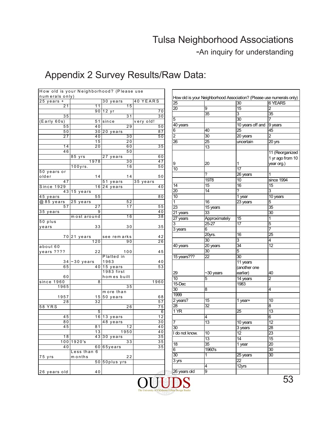-An inquiry for understanding

|                 | How old is your Neighborhood? (Please use |                       |           |
|-----------------|-------------------------------------------|-----------------------|-----------|
| num erals only) |                                           |                       |           |
| $25$ years +    |                                           | 30 years              | 40 YEARS  |
| 21              | 11                                        | 15                    |           |
|                 | 90                                        | $\overline{1}2$ yr    | 70        |
| 35              |                                           | 31                    | 30        |
| (Early 60s)     | 51                                        | since                 | very old! |
| 55              | 40                                        | 29                    | 50        |
| 50              | 301                                       | 20 years              | 87        |
| 27              | 40                                        | 30                    | 50        |
|                 | 15                                        | 20                    |           |
| 14              | 20                                        | 60                    | 35        |
| 46              |                                           | 50                    |           |
|                 | 85 yrs                                    | 27 years              | 60        |
|                 | 1978                                      | 30                    | 47        |
|                 | 100yrs.                                   | 16                    | 50        |
| 50 years or     |                                           |                       |           |
| older           | 14                                        | 14                    | 50        |
| 47              |                                           | $\overline{51}$ years | 35 years  |
| Since 1929      | 16                                        | $\sqrt{24}$ years     | 40        |
| 43              | 15 years                                  |                       |           |
| 45 years        | 55                                        |                       | 80        |
| $@85$ years     | 25 years                                  | 52                    |           |
| 57              | 27                                        | 17                    | 55        |
| 35 years        | 9                                         |                       | 40        |
|                 | most around                               | 16                    | 38        |
| 50 plus         |                                           |                       |           |
| years           | 33                                        | 30                    | 35        |
|                 |                                           |                       |           |
|                 | 70 21 years                               | see remarks           | 42        |
|                 | 120                                       | 90                    | 26        |
| about 60        |                                           |                       |           |
| years ????      | 22                                        | 100                   | 45        |
|                 |                                           | Platted in            |           |
|                 | $34 - 30$ years<br>40                     | 1963                  | 40        |
| 65              |                                           | 15 years              | 53        |
|                 |                                           | 1983 first            |           |
| 60              |                                           | hom es built          |           |
| since 1960      | 8                                         |                       | 1960      |
| 1965            |                                           | 35                    |           |
|                 |                                           | more than             |           |
| 1957            | 15                                        | 50 years              | 68        |
| 28              | 32                                        |                       | 57        |
| 58 YRS          |                                           | 26                    | 75        |
|                 | 5<br>16                                   |                       | 6         |
| 45              |                                           | 13 years              | 12        |
| 80              |                                           | 48 years<br>12        | 30        |
| 45              | 81                                        |                       | 40        |
|                 | 13                                        | 1950                  | 40        |
| 18              | 43                                        | 30 years              | 35        |
| 100             | 1920's                                    | 33                    | 35        |
| 40              | 60                                        | 65years               | 35        |
|                 | Less than<br>6                            |                       |           |
| 75 yrs          | months                                    | 22                    |           |
|                 | 50                                        | 50plus yrs            |           |
|                 |                                           |                       |           |
| 26 years old    | 40                                        |                       |           |

|                 |                        | How old is your Neighborhood Association? (Please use numerals only) |                     |
|-----------------|------------------------|----------------------------------------------------------------------|---------------------|
| 25              |                        | 30                                                                   | <b>6 YEARS</b>      |
| $\overline{20}$ | 9                      | $\overline{15}$                                                      | 2                   |
|                 | $\overline{35}$        | $\overline{3}$                                                       | 35                  |
| 5               |                        | $\overline{30}$                                                      | $\overline{7}$      |
| 40 years        |                        | 10 years off and                                                     | 9 years             |
| 6               | 40                     | 25                                                                   | 45                  |
| $\overline{c}$  | 30                     | 20 years                                                             | 2                   |
| 26              | 25                     | uncertain                                                            | $\overline{20}$ yrs |
|                 | 13                     |                                                                      |                     |
|                 |                        |                                                                      | 11 (Reorganized     |
|                 |                        |                                                                      | 1 yr ago from 10    |
| 9               | 20                     | 1                                                                    | year org.)          |
| 10              |                        | $\overline{17}$                                                      |                     |
|                 | ?                      | 26 years                                                             | 1                   |
|                 | 1978                   | 10                                                                   | since 1994          |
| 14              | 15                     | 16                                                                   | 15                  |
| $\overline{20}$ | $\overline{14}$        | 2                                                                    | 3                   |
| $\overline{10}$ |                        | 1 year                                                               | 10 years            |
| $\mathbf{1}$    | 16                     | 23 years                                                             | 5                   |
| 23              | 15 years               |                                                                      | 35                  |
|                 | 33                     |                                                                      | $\overline{30}$     |
| 21 years        |                        |                                                                      | 1                   |
| 27 years<br>3   | Approximately<br>25-27 | 15<br>17                                                             | 5                   |
|                 | 6                      |                                                                      | $\overline{7}$      |
| $3$ years       |                        | 16                                                                   |                     |
|                 | 20yrs.<br>30           | 3                                                                    | 25<br>4             |
|                 |                        | $\overline{34}$                                                      | 12                  |
| 40 years        | 20 years               |                                                                      |                     |
|                 | 30                     | 5                                                                    |                     |
| 15 years???     | 22                     | $\overline{30}$                                                      |                     |
|                 |                        | 11 years                                                             |                     |
|                 |                        | (another one                                                         |                     |
| 29              | ~30 years              | earlier)                                                             | 40                  |
| 10              | 5                      | 14 years                                                             | $\overline{2}$      |
| $15$ -Dec       |                        | 1983                                                                 |                     |
| 30              | 8                      |                                                                      | 4                   |
| 1999            |                        |                                                                      |                     |
| 2 years?        | 15                     | 1 year+                                                              | 10                  |
| $\overline{28}$ | 32                     |                                                                      | 8                   |
| 1 YR            |                        | 25                                                                   | 13                  |
|                 | 4                      |                                                                      | 6                   |
| 7               | 13                     | 10 years                                                             | 12                  |
| 30              |                        | 3 years                                                              | 28                  |
| I do not know.  | $\overline{10}$        | $\frac{1}{12}$                                                       | 23                  |
|                 | 13                     | 14                                                                   | 15                  |
| $\overline{18}$ | $\overline{35}$        | 1 year                                                               | $\overline{20}$     |
| 6               | 1960's                 |                                                                      | 30                  |
| $\overline{30}$ | 1                      | 25 years                                                             | 30                  |
| 3 yrs           |                        | 22                                                                   |                     |
|                 | 4                      | 12yrs                                                                |                     |
| 26 years old    | 9                      |                                                                      |                     |

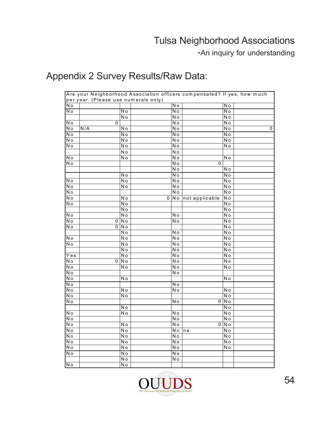-An inquiry for understanding

|                          | Are your Neighborhood Association officers compensated? If yes, how much |                          |   |                                              |                |                           |   |
|--------------------------|--------------------------------------------------------------------------|--------------------------|---|----------------------------------------------|----------------|---------------------------|---|
| $\overline{N}$ o         | per year. (Please use numerals only)                                     |                          |   | $\overline{N}$                               |                | N o                       |   |
| N <sub>o</sub>           |                                                                          | N o                      |   | N <sub>o</sub>                               |                | $\overline{N}$            |   |
|                          |                                                                          | $\overline{N}$           |   | $\overline{N}$ o                             |                | $\overline{N}$ o          |   |
| N <sub>o</sub>           | 0                                                                        |                          |   | $\overline{N}$ o                             |                | $\overline{N}$            |   |
| N o                      | N/A                                                                      | N o                      |   | $\overline{N}$ o                             |                | N o                       | 0 |
| N o                      |                                                                          | N o                      |   | N o                                          |                | N o                       |   |
| N o                      |                                                                          | N o                      |   | N o                                          |                | N o                       |   |
| $\overline{N}$ o         |                                                                          | $\overline{N}$ o         |   | $\overline{\mathsf{No}}$                     |                | N o                       |   |
|                          |                                                                          | N <sub>o</sub>           |   | N <sub>o</sub>                               |                |                           |   |
| N o                      |                                                                          | $\overline{N}$           |   | $\overline{N}$ o                             |                | N <sub>o</sub>            |   |
| $\overline{N}$ o         |                                                                          |                          |   | $\overline{\mathsf{N}}$ o                    | 0              |                           |   |
|                          |                                                                          |                          |   | N <sub>o</sub>                               |                | N o                       |   |
|                          |                                                                          | N <sub>o</sub>           |   | $\overline{\mathsf{No}}$                     |                | $\overline{N}$ o          |   |
| N o                      |                                                                          | N o                      |   | $\overline{\mathsf{N}}$ o                    |                | N o                       |   |
| No                       |                                                                          | $\overline{N}$           |   | $\overline{\mathsf{No}}$                     |                | N <sub>o</sub>            |   |
| N o                      |                                                                          |                          |   | N <sub>o</sub>                               |                | N <sub>o</sub>            |   |
| No                       |                                                                          | N <sub>o</sub>           | 0 | $\overline{N}$                               | not applicable | N <sub>o</sub>            |   |
| N <sub>o</sub>           |                                                                          | $\overline{N}$ o         |   |                                              |                | N <sub>o</sub>            |   |
|                          |                                                                          | $\overline{\mathsf{No}}$ |   |                                              |                | $\overline{N}$            |   |
| Νo                       |                                                                          | $\overline{N}$           |   | N <sub>o</sub>                               |                | $\overline{\mathsf{N}}$ o |   |
| $\overline{N}$ o         | 0                                                                        | N <sub>o</sub>           |   | $\overline{N}$                               |                | $\overline{N}$            |   |
| $\overline{N}$ o         | 0                                                                        | $\overline{N}$           |   |                                              |                | $\overline{\mathsf{N}}$ o |   |
|                          |                                                                          | $\overline{N}$           |   | $\overline{N}$                               |                | $\overline{N}$            |   |
| N o                      |                                                                          | N <sub>o</sub>           |   | N <sub>o</sub>                               |                | N <sub>o</sub>            |   |
| $\overline{N}$ o         |                                                                          | N <sub>o</sub>           |   | N <sub>o</sub>                               |                | N o                       |   |
|                          |                                                                          | $\overline{\mathsf{No}}$ |   | $\overline{\mathsf{No}}$                     |                | $\overline{N}$ o          |   |
| $Y \overline{e} s$       |                                                                          | N <sub>o</sub>           |   | N <sub>o</sub>                               |                | N <sub>o</sub>            |   |
| N o<br>N o               | 0                                                                        | $\overline{N}$<br>N o    |   | $\overline{N}$ o<br>$\overline{\mathsf{No}}$ |                | N o<br>N o                |   |
| $\overline{N}$ o         |                                                                          |                          |   | $\overline{N}$ o                             |                |                           |   |
| N o                      |                                                                          | Νo                       |   |                                              |                | Νo                        |   |
| No                       |                                                                          |                          |   | No                                           |                |                           |   |
| N o                      |                                                                          | N o                      |   | N <sub>o</sub>                               |                | N o                       |   |
| $\overline{\mathsf{No}}$ |                                                                          | $\overline{N}$           |   |                                              |                | $\overline{\mathsf{N}}$ o |   |
| N <sub>o</sub>           |                                                                          |                          |   | N o                                          | $\overline{0}$ | $\overline{N}$            |   |
|                          |                                                                          | $\overline{\mathsf{No}}$ |   |                                              |                | $\overline{No}$           |   |
| N o                      |                                                                          | N <sub>o</sub>           |   | N <sub>o</sub>                               |                | N o                       |   |
| No                       |                                                                          |                          |   | $\overline{\mathsf{No}}$                     |                | $\overline{N}$            |   |
| N o                      |                                                                          | N o                      |   | N <sub>o</sub>                               | $\mathbf{0}$   | N <sub>o</sub>            |   |
| No                       |                                                                          | $\overline{\mathsf{No}}$ |   | N o                                          | na             | N <sub>o</sub>            |   |
| $\overline{N}$ o         |                                                                          | $\overline{N}$ o         |   | $\overline{N}$ o                             |                | $\overline{N}$ o          |   |
| No                       |                                                                          | $\overline{\mathsf{No}}$ |   | $\overline{\mathsf{No}}$                     |                | $\overline{N}$ o          |   |
| $\overline{N}$ o         |                                                                          | $\overline{N}$ o         |   | $\overline{\mathsf{No}}$                     |                | $\overline{N}$            |   |
| Νo                       |                                                                          | $\overline{N}$           |   | $\overline{N}$ o                             |                |                           |   |
|                          |                                                                          | $\overline{\mathsf{No}}$ |   | $\overline{\mathsf{No}}$                     |                |                           |   |
| $\overline{N}$           |                                                                          | $\overline{N}$           |   |                                              |                |                           |   |

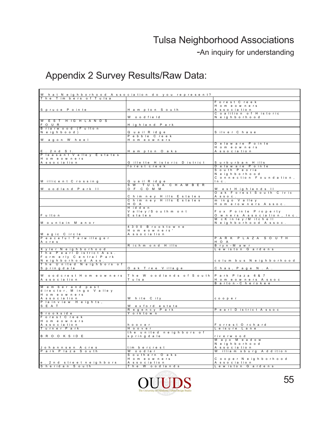-An inquiry for understanding

| W hat Neighborhood Association do you represent? |                                                |                                    |
|--------------------------------------------------|------------------------------------------------|------------------------------------|
| The Tim bers of Tulsa                            |                                                | Forest Creek                       |
|                                                  |                                                | Homeowners                         |
| Spruce Pointe                                    | Hampton South                                  | A s s o c ia tion                  |
|                                                  |                                                | Coalition of Historic              |
|                                                  | Wood field                                     | Neighborhood                       |
| W E S T H IG H L A N D S<br>F O U R              | Highland Park                                  |                                    |
| Briarwood (Fulton                                |                                                |                                    |
| Neighbood)                                       | Quail Ridge                                    | Silver Chase                       |
|                                                  | Pebble Creek                                   |                                    |
| Wagon Wheel                                      | Homeowners                                     | Delaware Pointe                    |
|                                                  |                                                | Homeowners                         |
| $E$ . 2 n d S t .                                | Hampton Oaks                                   | A s s o c ia tion                  |
| Pleasant Valley Estates                          |                                                |                                    |
| H omeowners                                      |                                                |                                    |
| A s s o c ia tion                                | Gillette Historic District<br>forest creek     | Surburban Hills<br>Delaware Pointe |
|                                                  |                                                | South Peoria                       |
|                                                  |                                                | Neighborhood                       |
|                                                  |                                                | Connection Foundation,             |
| Millicent Crossing                               | Quail Ridge                                    | Inc.                               |
| Woodland Park II                                 | SW TULSA CHAMBER<br>OF COMM                    | West Highlands II                  |
|                                                  |                                                | O ak Forest South Civic            |
|                                                  | Chimney Hills Estates                          | $A$ s s o c .                      |
|                                                  | Chimney Hills Estates<br>H O A                 | m in go V alley                    |
|                                                  | Hidden                                         | Homerowners Assoc.                 |
|                                                  | Valley / South mont                            | Fox Pointe Property                |
| Fulton                                           | E states                                       | O w ners Association, Inc.         |
|                                                  |                                                | McKinley/Mitchell                  |
| Mountain Manor                                   | 4 3 0 0 B rook to w n e                        | Neighborhood Assoc.                |
|                                                  | Homeowners'                                    |                                    |
| M a g ic C ircle                                 | A s s o c ia tion                              |                                    |
| Peaceful Terwilleger<br>A cres                   |                                                | PARK PLAZA SOUTH<br>H O A          |
|                                                  | Richmond Hills                                 | Bryn-Mawr                          |
| X y ler N eighborhood                            |                                                | Lewiston Gardens                   |
| The Pearl District Ass.                          |                                                |                                    |
| Form erly Central Park<br>Neighborhood Ass.      |                                                | colum bus Neighborhood             |
| The United Neighbors of                          |                                                |                                    |
| Springdale                                       | O a k T ree Village                            | Chas, Page N.A.                    |
|                                                  |                                                |                                    |
| Woodcrest Homeowners<br>A s s o c ia tion        | The Woodlands of South Park Plaza 6&7<br>Tulsa | Homeowners Assoc                   |
|                                                  |                                                | Barton - Cherokee                  |
| M em berand past                                 |                                                |                                    |
| director, M in go V alley<br>Homeowners          |                                                |                                    |
| A s s o c ia tion                                | White City                                     | cooper                             |
| lainview Heights,<br>$\overline{P}$              |                                                |                                    |
| S E A T                                          | Wexford estate                                 |                                    |
|                                                  | Regency Park                                   | Pearl District Assoc               |
| B rookside<br>Forest Creek                       | Y orktown                                      |                                    |
| Homeowners                                       |                                                |                                    |
| A s s o c ia tion                                | hoover                                         | Forrest Orchard                    |
| Turner Park                                      | Hoover                                         | Leisure Lane                       |
| <b>BROOKSIDE</b>                                 | the united neighbors of<br>springdale          | riverwood                          |
|                                                  |                                                | Mayo Meadow                        |
|                                                  |                                                | Neighborhood                       |
| Johannsen Acres                                  | tim bercrest                                   | A s s o c ia tion                  |
| Park Plaza South                                 | Woodlar<br>Southern Oaks                       | William sburg Addition             |
|                                                  | Homeowners                                     | Cooper Neighborhood                |
| e. 2 nd street neighbors                         | A s s o c ia tion                              | Association                        |
| Sheridan South                                   | The Woodlands                                  | Lewiston Gardens                   |

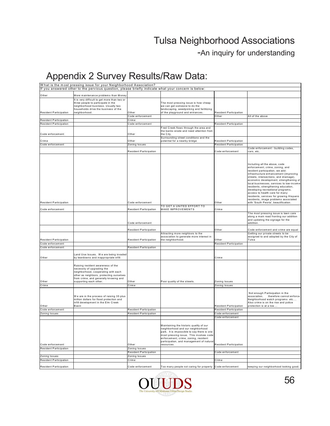-An inquiry for understanding

|                                            | What is the most pressing issue for your Neighborhood Association?                                                                                                                                                    |                                            |                                                                                                                                                                                                                                                                         |                                                                |                                                                                                                                                                                                                                                                                                                                                                                                                                                                                                                        |
|--------------------------------------------|-----------------------------------------------------------------------------------------------------------------------------------------------------------------------------------------------------------------------|--------------------------------------------|-------------------------------------------------------------------------------------------------------------------------------------------------------------------------------------------------------------------------------------------------------------------------|----------------------------------------------------------------|------------------------------------------------------------------------------------------------------------------------------------------------------------------------------------------------------------------------------------------------------------------------------------------------------------------------------------------------------------------------------------------------------------------------------------------------------------------------------------------------------------------------|
|                                            | If you answered other to the pervious question, please briefly indicate what your concern is below:                                                                                                                   |                                            |                                                                                                                                                                                                                                                                         |                                                                |                                                                                                                                                                                                                                                                                                                                                                                                                                                                                                                        |
| Other                                      | More maintenance problems than Money                                                                                                                                                                                  |                                            |                                                                                                                                                                                                                                                                         |                                                                |                                                                                                                                                                                                                                                                                                                                                                                                                                                                                                                        |
| <b>Resident Participation</b>              | It is very difficult to get more than two or<br>three people to participate in the<br>neighborhood business. Usually two<br>households drive the business of the<br>neighborhood.                                     | Other                                      | The most pressing issue is how cheap<br>we can get someone to do the<br>landscaping, weedpicking and fertilizing<br>of the playground and entrances.                                                                                                                    | <b>Resident Participation</b>                                  |                                                                                                                                                                                                                                                                                                                                                                                                                                                                                                                        |
|                                            |                                                                                                                                                                                                                       | Code enforcement                           |                                                                                                                                                                                                                                                                         | Other                                                          | All of the above                                                                                                                                                                                                                                                                                                                                                                                                                                                                                                       |
| Resident Participation                     |                                                                                                                                                                                                                       | Crime                                      |                                                                                                                                                                                                                                                                         |                                                                |                                                                                                                                                                                                                                                                                                                                                                                                                                                                                                                        |
| Resident Participation                     |                                                                                                                                                                                                                       | Code enforcement                           |                                                                                                                                                                                                                                                                         | <b>Resident Participation</b>                                  |                                                                                                                                                                                                                                                                                                                                                                                                                                                                                                                        |
| Code enforcement                           |                                                                                                                                                                                                                       | Other                                      | Fred Creek flows through the area and<br>the banks erode and need attention from<br>the City.                                                                                                                                                                           |                                                                |                                                                                                                                                                                                                                                                                                                                                                                                                                                                                                                        |
| Crime                                      |                                                                                                                                                                                                                       | Other                                      | Surrounding street conditions and the<br>potential for a nearby bridge                                                                                                                                                                                                  |                                                                |                                                                                                                                                                                                                                                                                                                                                                                                                                                                                                                        |
| Code enforcement                           |                                                                                                                                                                                                                       | Zoning Issues                              |                                                                                                                                                                                                                                                                         | <b>Resident Participation</b><br><b>Resident Participation</b> |                                                                                                                                                                                                                                                                                                                                                                                                                                                                                                                        |
|                                            |                                                                                                                                                                                                                       | Resident Participation                     |                                                                                                                                                                                                                                                                         | Code enforcement                                               | Code enforcement - building codes,<br>cars, etc,                                                                                                                                                                                                                                                                                                                                                                                                                                                                       |
| Resident Participation                     |                                                                                                                                                                                                                       | Code enforcement                           |                                                                                                                                                                                                                                                                         | Other                                                          | Including all the above, code<br>enforcement, crime, zoning, and<br>resident participation, we add:<br>infrastructure enhancement (improving<br>streets, intersections, and drainage),<br>economic development, strengthening of<br>local businesses, services to low-income<br>residents, strengthening education,<br>developing recreational programs,<br>access to health care for many<br>residents, services for growing Hispanic<br>residents, image problems associated<br>with 'South Peoria', beautification. |
|                                            |                                                                                                                                                                                                                       |                                            | TO GET A UNITED EFFORT TO                                                                                                                                                                                                                                               |                                                                |                                                                                                                                                                                                                                                                                                                                                                                                                                                                                                                        |
| Code enforcement                           |                                                                                                                                                                                                                       | Resident Participation<br>Code enforcement | MAKE IMPROVEMENTS                                                                                                                                                                                                                                                       | Crime                                                          | The most pressing issue is lawn care<br>along a main road fronting our addition<br>and updating the signage for the<br>addition.                                                                                                                                                                                                                                                                                                                                                                                       |
|                                            |                                                                                                                                                                                                                       |                                            |                                                                                                                                                                                                                                                                         |                                                                |                                                                                                                                                                                                                                                                                                                                                                                                                                                                                                                        |
|                                            |                                                                                                                                                                                                                       | Resident Participation                     | Attracting more neighbors to the<br>association to generate more interest in                                                                                                                                                                                            | Other                                                          | Code enforcement and crime are equal<br>Getting our private streets to be<br>assigned to and adopted by the City of                                                                                                                                                                                                                                                                                                                                                                                                    |
| <b>Resident Participation</b>              |                                                                                                                                                                                                                       | Resident Participation                     | the neighborhood.                                                                                                                                                                                                                                                       | Other                                                          | Tulsa                                                                                                                                                                                                                                                                                                                                                                                                                                                                                                                  |
| Code enforcement<br>Code enforcement       |                                                                                                                                                                                                                       | Resident Participation                     |                                                                                                                                                                                                                                                                         | <b>Resident Participation</b>                                  |                                                                                                                                                                                                                                                                                                                                                                                                                                                                                                                        |
|                                            |                                                                                                                                                                                                                       |                                            |                                                                                                                                                                                                                                                                         |                                                                |                                                                                                                                                                                                                                                                                                                                                                                                                                                                                                                        |
| Other                                      | Land Use Issues. We are being invaded<br>by teardowns and inappropriate infill.                                                                                                                                       |                                            |                                                                                                                                                                                                                                                                         | Crime                                                          |                                                                                                                                                                                                                                                                                                                                                                                                                                                                                                                        |
| Other                                      | Raising resident awareness of the<br>necessity of upgrading the<br>neighborhood, cooperating with each<br>other as neighbors, protecting ourselves<br>from crime, and generally knowing and<br>supporting each other. | Other                                      | Poor quality of the streets.                                                                                                                                                                                                                                            | Zoning Issues                                                  |                                                                                                                                                                                                                                                                                                                                                                                                                                                                                                                        |
| Crime                                      |                                                                                                                                                                                                                       | Crime                                      |                                                                                                                                                                                                                                                                         | Zoning Issues                                                  |                                                                                                                                                                                                                                                                                                                                                                                                                                                                                                                        |
| Other                                      | We are in the process of raising 35 plus<br>million dollars for flood protection and<br>infill development in the Elm Creek<br>Basin                                                                                  |                                            |                                                                                                                                                                                                                                                                         | <b>Resident Participation</b>                                  | Not enough Partisipation in the<br>association.<br>therefore cannot enforce<br>Neighborhood watch programs etc<br>Also crime is on the rise and police<br>protection is at a low                                                                                                                                                                                                                                                                                                                                       |
| Code enforcement                           |                                                                                                                                                                                                                       | Resident Participation                     |                                                                                                                                                                                                                                                                         | Resident Participation                                         |                                                                                                                                                                                                                                                                                                                                                                                                                                                                                                                        |
| Zoning Issues                              |                                                                                                                                                                                                                       | <b>Resident Participation</b>              |                                                                                                                                                                                                                                                                         | Code enforcement                                               |                                                                                                                                                                                                                                                                                                                                                                                                                                                                                                                        |
|                                            |                                                                                                                                                                                                                       |                                            |                                                                                                                                                                                                                                                                         | Code enforcement                                               |                                                                                                                                                                                                                                                                                                                                                                                                                                                                                                                        |
| Code enforcement<br>Resident Participation |                                                                                                                                                                                                                       | Other<br>Zoning Issues                     | Maintaining the historic quality of our<br>neighborhood and our neighborhood<br>park. It is impossible to say there is one<br>most pressing issue. This involves code<br>enforcement, crime, zoning, resident<br>participation, and management of natural<br>resources. | <b>Resident Participation</b>                                  |                                                                                                                                                                                                                                                                                                                                                                                                                                                                                                                        |
|                                            |                                                                                                                                                                                                                       | Resident Participation                     |                                                                                                                                                                                                                                                                         | Code enforcement                                               |                                                                                                                                                                                                                                                                                                                                                                                                                                                                                                                        |
| Zoning Issues                              |                                                                                                                                                                                                                       | Zoning Issues                              |                                                                                                                                                                                                                                                                         |                                                                |                                                                                                                                                                                                                                                                                                                                                                                                                                                                                                                        |
| Resident Participation                     |                                                                                                                                                                                                                       | Crime                                      |                                                                                                                                                                                                                                                                         | Crime                                                          |                                                                                                                                                                                                                                                                                                                                                                                                                                                                                                                        |
|                                            |                                                                                                                                                                                                                       |                                            |                                                                                                                                                                                                                                                                         |                                                                |                                                                                                                                                                                                                                                                                                                                                                                                                                                                                                                        |
| Resident Participation                     |                                                                                                                                                                                                                       | Code enforcement                           | Too many people not caring for property Code enforcement                                                                                                                                                                                                                |                                                                | keeping our neighborhood looking good.                                                                                                                                                                                                                                                                                                                                                                                                                                                                                 |

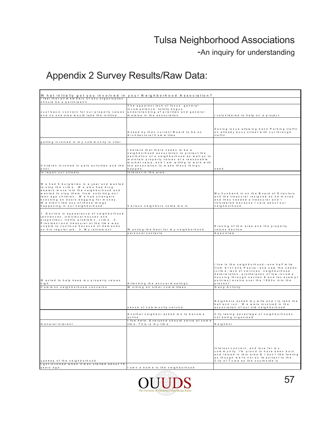-An inquiry for understanding

|                                                                                         | W hat initially got you involved in your Neighborhood Association?                    |                                                                                         |
|-----------------------------------------------------------------------------------------|---------------------------------------------------------------------------------------|-----------------------------------------------------------------------------------------|
| I feel that all members of any organization<br>should be a participant/                 |                                                                                       |                                                                                         |
|                                                                                         | The apparent lack of focus, general                                                   |                                                                                         |
| Just basic concern for our property values                                              | incompetence, totally bogus<br>understanding of priorities and general                |                                                                                         |
| and no one else would take the inititive.                                               | malaise in the association.                                                           | I volunteered to help on a project.                                                     |
|                                                                                         |                                                                                       |                                                                                         |
|                                                                                         |                                                                                       |                                                                                         |
|                                                                                         |                                                                                       | Zoning issue allowing bank Parking traffic                                              |
|                                                                                         | Asked by then current Board to be on<br>A rchitectural Committee                      | on already busy street with cut through<br>traffic.                                     |
|                                                                                         |                                                                                       |                                                                                         |
| getting involved in my community is vital                                               |                                                                                       |                                                                                         |
|                                                                                         | I believe that there needs to be a                                                    |                                                                                         |
|                                                                                         | neighborhood association to protect the<br>aesthetics of a neighborhood as well as to |                                                                                         |
|                                                                                         | maintain property values at a reasonable                                              |                                                                                         |
| Children involved in park activities and the                                            | market value, and I am willing to work with<br>the association to make these things   |                                                                                         |
| $D$ $O$ $O$ $I$ .                                                                       | happen.                                                                               | need                                                                                    |
| to repair our streets                                                                   | Interest in the area.                                                                 |                                                                                         |
|                                                                                         |                                                                                       |                                                                                         |
| We had 5 burgleries in a year and wanted                                                |                                                                                       |                                                                                         |
| to stop the crime. We also had drug<br>dealers move into the neighborhood and           |                                                                                       |                                                                                         |
| wanted to stop them from soliciting our                                                 |                                                                                       | My husband is on the Board of Directors                                                 |
| teen age children. We had strangers<br>knocking on doors begging for money.             |                                                                                       | and the treasurer resigned as he moved<br>and they needed a treasurer and I             |
| Wedidn't like any of these things                                                       |                                                                                       | voluteered because I care about our                                                     |
| happening in our neighborhood.                                                          | Various neighbors voted me in                                                         | neighborhood.                                                                           |
| 1. Decline in appearance of neighborhood                                                |                                                                                       |                                                                                         |
| (entrances, individual houses and                                                       |                                                                                       |                                                                                         |
| properties), traffic problems, crime. 2.<br>President and treasurer at the time was     |                                                                                       |                                                                                         |
| unable to continue because of dem ands                                                  |                                                                                       | E rosing of this area and the property                                                  |
| on his regular job. 3. My retirement                                                    | W anting the best formy neighborhood.                                                 | values decline.                                                                         |
|                                                                                         |                                                                                       |                                                                                         |
|                                                                                         | personal contacts                                                                     | Appointed.                                                                              |
|                                                                                         |                                                                                       |                                                                                         |
|                                                                                         |                                                                                       |                                                                                         |
|                                                                                         |                                                                                       |                                                                                         |
|                                                                                         |                                                                                       |                                                                                         |
|                                                                                         |                                                                                       |                                                                                         |
|                                                                                         |                                                                                       | I live in the neighborhood--one half mile                                               |
|                                                                                         |                                                                                       | from 61st and Peoria--and saw the needs<br>(crime, lack of services, neighborhood       |
|                                                                                         |                                                                                       | deterioration, proliferation of low-income                                              |
| W anted to help keep my property values                                                 |                                                                                       | housing through section 8 and tax exempt<br>policies) evolve over the 1980s into the    |
| high.                                                                                   | Attending the annual meetings.                                                        | present.                                                                                |
| Common neighborhood concerns                                                            | W orking on other committees.                                                         | Gang Activity                                                                           |
|                                                                                         |                                                                                       |                                                                                         |
|                                                                                         |                                                                                       | Neighbors asked my wife and I to take the                                               |
|                                                                                         |                                                                                       | ball and run. We were involved in the                                                   |
|                                                                                         | sense of community service                                                            | association of our old neighborhood.                                                    |
|                                                                                         | Another neighbor asked me to become                                                   | City taking advantage of neighborhoods                                                  |
|                                                                                         | active<br>I live here. Everyone should serve at some                                  | not being organized                                                                     |
| G eneral Interest                                                                       | time. This is my time.                                                                | Neighbor                                                                                |
|                                                                                         |                                                                                       |                                                                                         |
|                                                                                         |                                                                                       |                                                                                         |
|                                                                                         |                                                                                       |                                                                                         |
|                                                                                         |                                                                                       |                                                                                         |
|                                                                                         |                                                                                       | Interest, concern, and love for my                                                      |
|                                                                                         |                                                                                       | community I'm proud to have been born<br>and raised in this area & I don't like feeling |
|                                                                                         |                                                                                       | as though we're not as important to the                                                 |
| upkeep of the neighborhood<br>I got involved when it was started about 10<br>years ago. | lown a home in the neighborhood                                                       | City of Tulsa as the southside is                                                       |

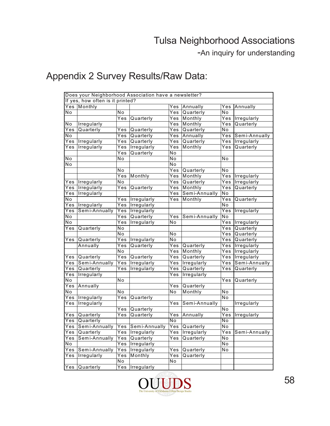-An inquiry for understanding

|                   | Does your Neighborhood Association have a newsletter? |                  |               |                   |               |                   |                    |
|-------------------|-------------------------------------------------------|------------------|---------------|-------------------|---------------|-------------------|--------------------|
|                   | If yes, how often is it printed?                      |                  |               |                   |               |                   |                    |
|                   | Yes Monthly                                           |                  |               | Yes               | Annually      | Yes               | Annually           |
| No                |                                                       | No               |               | Yes               | Quarterly     | No                |                    |
|                   |                                                       | Yes              | Quarterly     | Yes               | Monthly       | Yes               | Irregularly        |
| No                | Irregularly                                           |                  |               | Yes               | Monthly       | Yes               | Quarterly          |
| Yes               | Quarterly                                             | Yes              | Quarterly     | Yes               | Quarterly     | No                |                    |
| No                |                                                       | Yes              | Quarterly     | Yes               | Annually      | Yes               | Semi-Annually      |
| Yes               | Irregularly                                           | Yes              | Quarterly     | Yes               | Quarterly     | Yes               | Irregularly        |
| Yes               | Irregularly                                           | Yes              | Irregularly   | Yes               | Monthly       | Yes               | Quarterly          |
|                   |                                                       | Yes              | Quarterly     | No                |               |                   |                    |
| Ñо                |                                                       | No               |               | No                |               | No                |                    |
| No                |                                                       |                  |               | No                |               |                   |                    |
|                   |                                                       | No               |               | Yes               | Quarterly     | No                |                    |
|                   |                                                       | Yes              | Monthly       | Yes               | Monthly       | Yes               | Irregularly        |
| Yes               | Irregularly                                           | $\overline{No}$  |               | Yes               | Quarterly     | Yes               | Irregularly        |
| Yes               | Irregularly                                           | Yes              | Quarterly     | Yes               | Monthly       | $\overline{Y}$ es | Quarterly          |
| Yes               | Irregularly                                           |                  |               | Yes               | Semi-Annually | No                |                    |
| No                |                                                       | Yes              | Irregularly   | Yes               | Monthly       | Yes               | Quarterly          |
| Yes               | Irregularly                                           | Yes              | Irregularly   |                   |               | No                |                    |
| Yes               | Semi-Annually                                         | Yes              | Irregularly   |                   |               | Yes               | Irregularly        |
| No                |                                                       | Yes              | Quarterly     | Yes               | Semi-Annually | No                |                    |
| No                |                                                       | Yes              | Irregularly   | No                |               | Yes               | Irregularly        |
| Yes               | Quarterly                                             | N <sub>o</sub>   |               |                   |               | Yes               | Quarterly          |
|                   |                                                       | $\overline{No}$  |               | No                |               | Yes               | Quarterly          |
| Yes               | Quarterly                                             | Yes              | Irregularly   | No                |               | Yes               | Quarterly          |
|                   | Annually                                              | Yes              | Quarterly     | Yes               | Quarterly     | Yes               | Irregularly        |
|                   |                                                       | No               |               | Yes               | Monthly       | Yes               | <b>Irregularly</b> |
| $\overline{Y}$ es | Quarterly                                             | $\overline{Yes}$ | Quarterly     | Yes               | Quarterly     | $\overline{Y}$ es | Irregularly        |
| Yes               | Semi-Annually                                         | Yes              | Irregularly   | Yes               | Irregularly   | Yes               | Semi-Annually      |
| Yes               | Quarterly                                             | Yes              | Irregularly   | Yes               | Quarterly     | Yes               | Quarterly          |
| Yes               | Irregularly                                           |                  |               | Yes               | Irregularly   |                   |                    |
| N٥                |                                                       | No               |               |                   |               | Yes               | Quarterly          |
| Yes               | Annually                                              |                  |               | Yes               | Quarterly     |                   |                    |
| N o               |                                                       | N <sub>o</sub>   |               | No                | Monthly       | No                |                    |
| Yes               | Irregularly                                           | Yes              | Quarterly     |                   |               | No                |                    |
| Yes               | Irregularly                                           |                  |               | Yes               | Semi-Annually |                   | Irregularly        |
|                   |                                                       | $\overline{Yes}$ | Quarterly     |                   |               | No                |                    |
| Yes               | Quarterly                                             | Yes              | Quarterly     | $\overline{Y}$ es | Annually      | Yes               | Irregularly        |
| Yes               | Quarterly                                             |                  |               | No                |               | No                |                    |
| Yes               | Semi-Annually                                         | Yes              | Semi-Annually | Yes               | Quarterly     | No                |                    |
| Yes               | Quarterly                                             | Yes              | Irregularly   | Yes               | Irregularly   | Yes               | Semi-Annually      |
| Yes               | Semi-Annually                                         | Yes              | Quarterly     | Yes               | Quarterly     | No                |                    |
| No                |                                                       | $\overline{Yes}$ | Irregularly   |                   |               | No                |                    |
| Yes               | Semi-Annually                                         | Yes              | Irregularly   | $\overline{Y}$ es | Quarterly     | No                |                    |
| Yes               | Irregularly                                           | Yes              | Monthly       | Yes               | Quarterly     |                   |                    |
|                   |                                                       | $\overline{N}$ o |               | No                |               |                   |                    |
| Yes               | Quarterly                                             | $\overline{Yes}$ | Irregularly   |                   |               |                   |                    |

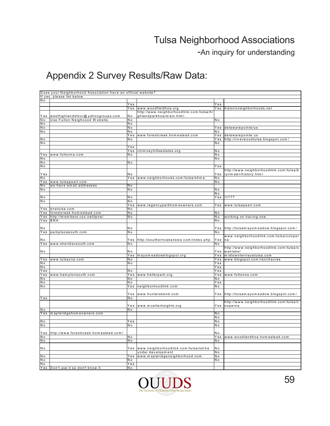-An inquiry for understanding

|                | Does your Neighborhood Association have an official website? |                |                                           |                |                                          |
|----------------|--------------------------------------------------------------|----------------|-------------------------------------------|----------------|------------------------------------------|
|                | If yes, please list below.                                   |                |                                           |                |                                          |
| N o            |                                                              |                |                                           |                |                                          |
|                |                                                              | Yes            |                                           | Yes            |                                          |
|                |                                                              |                | Yes  www.woodfieldhoa.org                 |                | Yes historicneighborhoods.net            |
|                |                                                              |                | http://www.neighborhoodlink.com/tulsa/hi  |                |                                          |
|                | Yes westhighlandsfour@yahoogroups.com                        | N o            | ghlandparkhoa/main.html                   |                |                                          |
| N o            | Use Fulton Neighoood Website.                                | N o            |                                           | N <sub>o</sub> |                                          |
| N o            |                                                              | Nο             |                                           |                |                                          |
| N o            |                                                              | N o            |                                           |                | delawarepointe/us                        |
|                |                                                              | N <sub>o</sub> |                                           | Yes            |                                          |
| N o            |                                                              |                |                                           | N o            |                                          |
|                |                                                              | Yes            | www.forestcreek.homestead.com             | Yes            | delawarepointe.us                        |
| N o            |                                                              | N o            |                                           | Yes            | http://riverwoodtulsa.blogspot.com/      |
| N <sub>o</sub> |                                                              |                |                                           | N <sub>o</sub> |                                          |
|                |                                                              | Yes            |                                           |                |                                          |
|                |                                                              | Yes            | chim neyhillsestates.org                  | N <sub>o</sub> |                                          |
|                | Yes  www.fultonna.com                                        | N o            |                                           | N o            |                                          |
| N o            |                                                              |                |                                           | N o            |                                          |
| N o            |                                                              | N o            |                                           |                |                                          |
| N o            |                                                              |                |                                           | Yes            |                                          |
|                |                                                              |                |                                           |                | http://www.neighborhoodlink.com/tulsa/b  |
| Yes            |                                                              | N o            |                                           | Y e s          | rynm awr/history.html                    |
| N o            |                                                              | Yes            | www.neighborhoods.com/tulsa/shma          | N o            |                                          |
| Yes            | www.tulsapearl.com                                           |                |                                           | N o            |                                          |
| N o            | we have email addresses                                      | N o            |                                           |                |                                          |
| N o            |                                                              | N o            |                                           | N o            |                                          |
|                |                                                              |                |                                           | N <sub>o</sub> |                                          |
| N <sub>o</sub> |                                                              | N o            |                                           | Yes            | 11222                                    |
| N o            |                                                              | N o            |                                           |                |                                          |
|                |                                                              |                |                                           |                |                                          |
|                |                                                              | Yes            | www.regencyparkhomeowners.com             | Yes            | www.tulsapearl.com                       |
|                | Yes bnatulsa.com                                             | N o            |                                           |                |                                          |
|                | Yes forestcreek.homestead.com                                | N <sub>o</sub> |                                           | N <sub>o</sub> |                                          |
| Yes            | http://members.cox.net/tpna/                                 | N o            |                                           | N o            | working on having one                    |
|                | Yes BNA                                                      |                |                                           | N <sub>o</sub> |                                          |
|                |                                                              |                |                                           |                |                                          |
| N o            |                                                              | N o            |                                           | YeS            | http://tulsamayomeadow.blogspot.com/     |
| Yes            | parkplazasouth.com                                           | N o            |                                           | N o            |                                          |
|                |                                                              |                |                                           |                | www.neighborhoodlink.com/tulsa/cooper    |
| N o            |                                                              |                | Yes http://southernoaksnews.com/index.php | Yes            | na                                       |
|                | Yes  www.sheridansouth.com                                   | N o            |                                           | N o            |                                          |
|                |                                                              |                |                                           |                | http://www.neighborhoodlink.com/tulsa/s  |
| N o            |                                                              | N o            |                                           | Yes            | wanlake/                                 |
|                |                                                              | Yes            | mayom eadowblogspot.org                   | Yes            | midtownterrracetulsa.com                 |
|                | Yes www.tulsacna.com                                         | N o            |                                           |                | Yes www.blogspot.com/ranchacres          |
| N o            |                                                              | N o            |                                           | Yes            |                                          |
| N o            |                                                              |                |                                           | Yes            |                                          |
| Yes            |                                                              | N o            |                                           | Yes            |                                          |
|                |                                                              |                |                                           |                |                                          |
| Yes            | www.hamptonsouth.com                                         | Yes            | www.hellerpark.org                        | Yes            | www.fultonna.com                         |
| N o            |                                                              | N o            |                                           | N o            |                                          |
| N o            |                                                              | N o            |                                           | Yes            |                                          |
| N o            |                                                              | Yes            | neighborhoodlink.com                      | N o            |                                          |
|                |                                                              |                |                                           |                |                                          |
|                |                                                              | Yes            | www.huntersbend.com                       |                | Yes http://tulsamayomeadow.blogspot.com/ |
| Yes            |                                                              | N o            |                                           |                |                                          |
|                |                                                              |                |                                           |                | http://www.neighborhoodlink.com/tulsa/c  |
|                |                                                              | $Y_{es}$       | www.moellerheights.org                    | Yes            | ooperna                                  |
| N o            |                                                              | N o            |                                           |                |                                          |
|                | Yes   mapleridgehomeowners.com                               |                |                                           | N o            |                                          |
|                |                                                              |                |                                           | N o            |                                          |
| N o            |                                                              | Yes            |                                           | N <sub>o</sub> |                                          |
| N o            |                                                              | N o            |                                           | N o            |                                          |
|                |                                                              |                |                                           |                |                                          |
|                | Yes http://www.forestcreek.homestead.com/                    |                |                                           | N o            |                                          |
| N o            |                                                              | N o            |                                           | Yes            | www.woodlandhoa.homestead.com            |
| N o            |                                                              | N o            |                                           | N o            |                                          |
|                |                                                              |                |                                           |                |                                          |
|                |                                                              |                |                                           | N <sub>o</sub> |                                          |
| N o            |                                                              |                | Yes  www.neighborhoodlink.com/tulsa/smha  |                |                                          |
|                |                                                              |                | under development                         | N o            |                                          |
| N o            |                                                              | Yes            | www.mapleridgeneighborhood.com            | N <sub>o</sub> |                                          |
| N o            |                                                              | N <sub>o</sub> |                                           | N o            |                                          |
| N o            |                                                              | Yes            |                                           |                |                                          |
|                | Yes Don't use it so don't know it                            | N <sub>o</sub> |                                           |                |                                          |

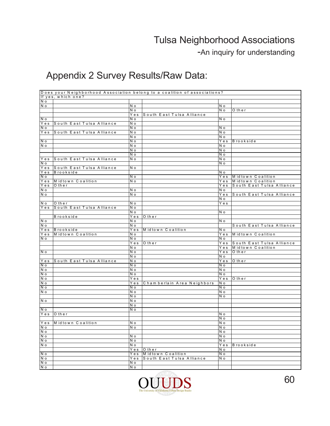-An inquiry for understanding

|                    |                           |     | Does your Neighborhood Association belong to a coalition of associations? |            |                           |
|--------------------|---------------------------|-----|---------------------------------------------------------------------------|------------|---------------------------|
|                    | If yes, which one?        |     |                                                                           |            |                           |
| N o                |                           |     |                                                                           |            |                           |
| N o                |                           | N o |                                                                           | N o        |                           |
|                    |                           | N o |                                                                           | N o        | Other                     |
|                    |                           | Yes | South East Tulsa Alliance                                                 |            |                           |
| $N$ o              |                           | N o |                                                                           | N o        |                           |
| Yes                | South East Tulsa Alliance | N o |                                                                           |            |                           |
| N <sub>o</sub>     |                           | N o |                                                                           | N o        |                           |
| Yes                | South East Tulsa Alliance | N o |                                                                           | N o        |                           |
|                    |                           | N o |                                                                           | N o        |                           |
| o N                |                           | N o |                                                                           |            | Yes Brookside             |
| N o                |                           | N o |                                                                           | N o        |                           |
|                    |                           | N o |                                                                           | N o        |                           |
|                    |                           | N o |                                                                           | N o        |                           |
| Yes                | South East Tulsa Alliance | N o |                                                                           | N o        |                           |
| N <sub>o</sub>     |                           |     |                                                                           | N o        |                           |
| Yes                | South East Tulsa Alliance | N o |                                                                           |            |                           |
| Yes<br>N o         | Brookside                 | N o |                                                                           | N o        | Yes Midtown Coalition     |
| Yes                | Midtown Coalition         | N o |                                                                           | Yes        | Midtown Coalition         |
|                    | Other                     |     |                                                                           | Yes        |                           |
| Yes<br>N o         |                           | N o |                                                                           | N o        | South East Tulsa Alliance |
| N o                |                           |     |                                                                           |            | South East Tulsa Alliance |
|                    |                           | N o |                                                                           | Yes<br>N o |                           |
| $\overline{N}$ o   | Other                     | N o |                                                                           | Yes        |                           |
| Yes                | South East Tulsa Alliance | N o |                                                                           |            |                           |
|                    |                           | N o |                                                                           | N o        |                           |
|                    | Brookside                 | Yes | Other                                                                     |            |                           |
| o N                |                           | N o |                                                                           | N o        |                           |
| o N                |                           | N o |                                                                           |            | South East Tulsa Alliance |
| Yes                | Brookside                 | Yes | Midtown Coalition                                                         | N o        |                           |
| Yes                | Midtown Coalition         | N o |                                                                           | Yes        | Midtown Coalition         |
| N o                |                           | N o |                                                                           | N o        |                           |
|                    |                           | Yes | Other                                                                     | Yes        | South East Tulsa Alliance |
|                    |                           | N o |                                                                           | Yes        | Midtown Coalition         |
| N o                |                           | N o |                                                                           | Yes        | Other                     |
|                    |                           | N o |                                                                           | N o        |                           |
| $\overline{Y}$ e s | South East Tulsa Alliance | N o |                                                                           |            | Yes Other                 |
| N o                |                           | N o |                                                                           | N o        |                           |
| N o                |                           | N o |                                                                           | N o        |                           |
| N o                |                           | N o |                                                                           | N o        |                           |
| N o                |                           | Yes |                                                                           | Yes        | Other                     |
| N o                |                           | Yes | Chamberlain Area Neighbors                                                | N o        |                           |
| N o                |                           | N o |                                                                           | N o        |                           |
| N o                |                           | N o |                                                                           | N o        |                           |
|                    |                           | N o |                                                                           | N o        |                           |
| N o                |                           | N o |                                                                           |            |                           |
|                    |                           | N o |                                                                           |            |                           |
| o N                |                           | N o |                                                                           |            |                           |
| Yes                | Other                     |     |                                                                           | N o        |                           |
|                    |                           |     |                                                                           | N o        |                           |
| Yes                | Midtown Coalition         | N o |                                                                           | N o        |                           |
| N o                |                           | N o |                                                                           | N o        |                           |
| N o                |                           |     |                                                                           | N o        |                           |
| N o                |                           | N o |                                                                           | N o        |                           |
| N o                |                           | N o |                                                                           | N o        |                           |
| N o                |                           | N o |                                                                           | Yes        | $\sqrt{B}$ rookside       |
|                    |                           | Yes | Other                                                                     | N o        |                           |
| N o                |                           | Yes | Midtown Coalition                                                         | N o        |                           |
| N o                |                           | Yes | South East Tulsa Alliance                                                 | N o        |                           |
| N o                |                           | N o |                                                                           |            |                           |
| N o                |                           | N o |                                                                           |            |                           |